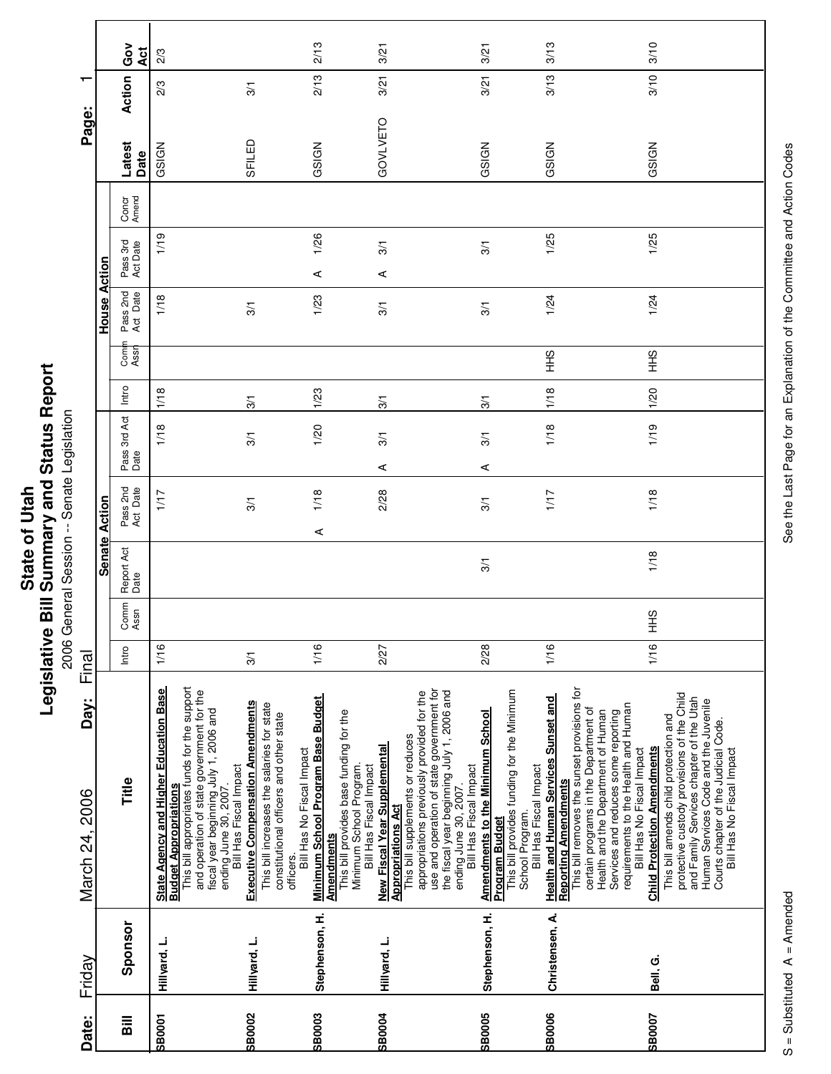| Ĩ.<br>' and<br>į<br>$\overline{\phantom{a}}$<br>ご<br>nmar<br>State of<br><b>Rill Cum</b><br>ï<br>vislativ<br>りうい |
|------------------------------------------------------------------------------------------------------------------|
|------------------------------------------------------------------------------------------------------------------|

onative Diri Deminitary and Dictatory<br>2006 General Session -- Senate Legislation 2006 General Session -- Senate Legislation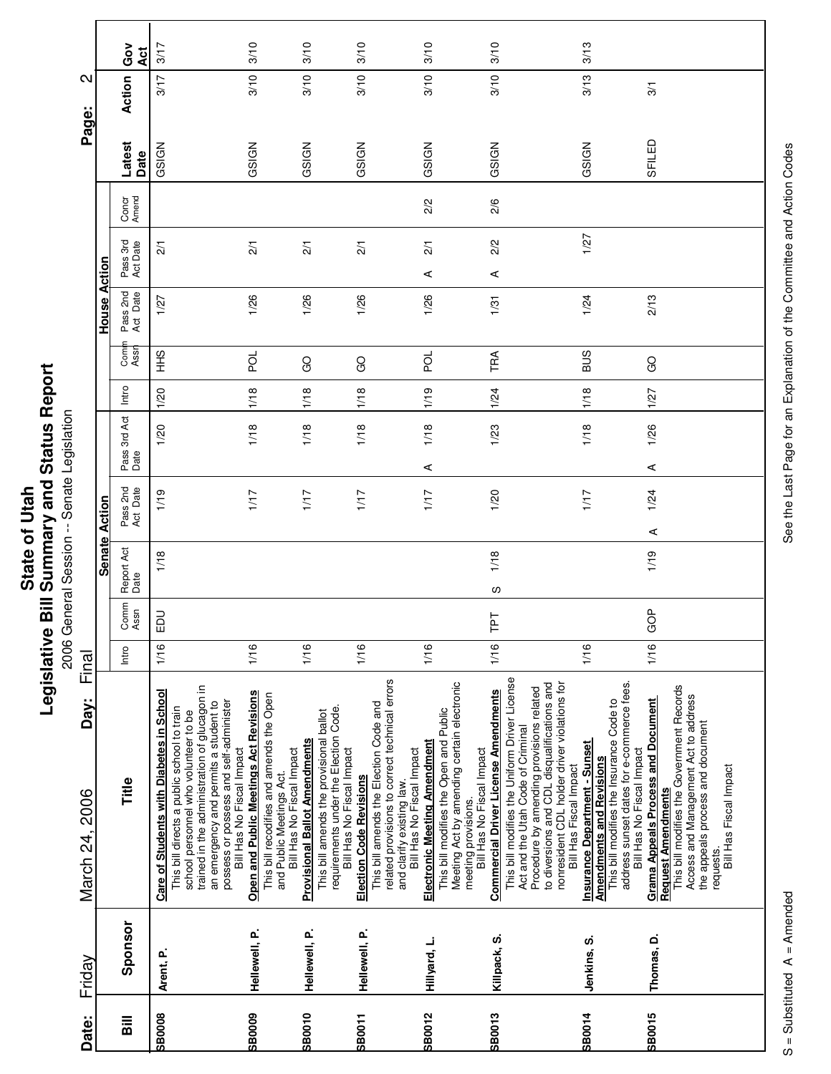|                        |               | င်္ဝ<br>Act          | 3/17                                                                                                                                                                                                                                                              | 3/10                                                                                                                                        | 3/10                                                                                                                                                                               | 3/10                                                                                                                                                                                 | 3/10                                                                                                                                                                     | 3/10                                                                                                                                                                                                                                                                                                   | 3/13                                                                                                                                                                                          |                                                                                                                                                                                                                                 |
|------------------------|---------------|----------------------|-------------------------------------------------------------------------------------------------------------------------------------------------------------------------------------------------------------------------------------------------------------------|---------------------------------------------------------------------------------------------------------------------------------------------|------------------------------------------------------------------------------------------------------------------------------------------------------------------------------------|--------------------------------------------------------------------------------------------------------------------------------------------------------------------------------------|--------------------------------------------------------------------------------------------------------------------------------------------------------------------------|--------------------------------------------------------------------------------------------------------------------------------------------------------------------------------------------------------------------------------------------------------------------------------------------------------|-----------------------------------------------------------------------------------------------------------------------------------------------------------------------------------------------|---------------------------------------------------------------------------------------------------------------------------------------------------------------------------------------------------------------------------------|
| $\mathbf{\Omega}$      |               | Action               | 3/17                                                                                                                                                                                                                                                              | 3/10                                                                                                                                        | 3/10                                                                                                                                                                               | 3/10                                                                                                                                                                                 | 3/10                                                                                                                                                                     | 3/10                                                                                                                                                                                                                                                                                                   | 3/13                                                                                                                                                                                          | $\overline{3}$                                                                                                                                                                                                                  |
| Page:                  |               |                      |                                                                                                                                                                                                                                                                   |                                                                                                                                             |                                                                                                                                                                                    |                                                                                                                                                                                      |                                                                                                                                                                          |                                                                                                                                                                                                                                                                                                        |                                                                                                                                                                                               |                                                                                                                                                                                                                                 |
|                        |               | Latest<br>Date       | GSIGN                                                                                                                                                                                                                                                             | GSIGN                                                                                                                                       | GSIGN                                                                                                                                                                              | GSIGN                                                                                                                                                                                | GSIGN                                                                                                                                                                    | GSIGN                                                                                                                                                                                                                                                                                                  | GSIGN                                                                                                                                                                                         | SFILED                                                                                                                                                                                                                          |
|                        |               | Concr<br>Amend       |                                                                                                                                                                                                                                                                   |                                                                                                                                             |                                                                                                                                                                                    |                                                                                                                                                                                      | 2/2                                                                                                                                                                      | 2/6                                                                                                                                                                                                                                                                                                    |                                                                                                                                                                                               |                                                                                                                                                                                                                                 |
|                        |               | Pass 3rd<br>Act Date | $\overline{21}$                                                                                                                                                                                                                                                   | $\frac{2}{1}$                                                                                                                               | $\frac{2}{1}$                                                                                                                                                                      | $\overline{21}$                                                                                                                                                                      | $\overline{21}$                                                                                                                                                          | 2/2                                                                                                                                                                                                                                                                                                    | 1/27                                                                                                                                                                                          |                                                                                                                                                                                                                                 |
|                        | Action        |                      |                                                                                                                                                                                                                                                                   |                                                                                                                                             |                                                                                                                                                                                    |                                                                                                                                                                                      | ⋖                                                                                                                                                                        | ⋖                                                                                                                                                                                                                                                                                                      |                                                                                                                                                                                               |                                                                                                                                                                                                                                 |
|                        | House         | Pass 2nd<br>Act Date | 1/27                                                                                                                                                                                                                                                              | 1/26                                                                                                                                        | 1/26                                                                                                                                                                               | 1/26                                                                                                                                                                                 | 1/26                                                                                                                                                                     | 1/31                                                                                                                                                                                                                                                                                                   | 1/24                                                                                                                                                                                          | 2/13                                                                                                                                                                                                                            |
|                        |               | Comi<br>Assr         | $rac{9}{1}$                                                                                                                                                                                                                                                       | pod                                                                                                                                         | GO                                                                                                                                                                                 | <b>GO</b>                                                                                                                                                                            | pol                                                                                                                                                                      | TRA                                                                                                                                                                                                                                                                                                    | SUS                                                                                                                                                                                           | GO                                                                                                                                                                                                                              |
|                        |               | Intro                | 1/20                                                                                                                                                                                                                                                              | 1/18                                                                                                                                        | 1/18                                                                                                                                                                               | 1/18                                                                                                                                                                                 | 1/19                                                                                                                                                                     | 1/24                                                                                                                                                                                                                                                                                                   | 1/18                                                                                                                                                                                          | 1/27                                                                                                                                                                                                                            |
|                        |               | Pass 3rd Act<br>Date | 1/20                                                                                                                                                                                                                                                              | 1/18                                                                                                                                        | 1/18                                                                                                                                                                               | 1/18                                                                                                                                                                                 | 1/18                                                                                                                                                                     | 1/23                                                                                                                                                                                                                                                                                                   | 1/18                                                                                                                                                                                          | 1/26                                                                                                                                                                                                                            |
|                        |               |                      |                                                                                                                                                                                                                                                                   |                                                                                                                                             |                                                                                                                                                                                    |                                                                                                                                                                                      | ⋖                                                                                                                                                                        |                                                                                                                                                                                                                                                                                                        |                                                                                                                                                                                               | ⋖                                                                                                                                                                                                                               |
|                        | Action        | Pass 2nd<br>Act Date | 1/19                                                                                                                                                                                                                                                              | 1/17                                                                                                                                        | 1/17                                                                                                                                                                               | 1/17                                                                                                                                                                                 | 1/17                                                                                                                                                                     | 1/20                                                                                                                                                                                                                                                                                                   | 1/17                                                                                                                                                                                          | 1/24<br>⋖                                                                                                                                                                                                                       |
|                        | <b>Senate</b> | Report Act<br>Date   | 1/18                                                                                                                                                                                                                                                              |                                                                                                                                             |                                                                                                                                                                                    |                                                                                                                                                                                      |                                                                                                                                                                          | 1/18                                                                                                                                                                                                                                                                                                   |                                                                                                                                                                                               | 1/19                                                                                                                                                                                                                            |
|                        |               |                      |                                                                                                                                                                                                                                                                   |                                                                                                                                             |                                                                                                                                                                                    |                                                                                                                                                                                      |                                                                                                                                                                          | S                                                                                                                                                                                                                                                                                                      |                                                                                                                                                                                               |                                                                                                                                                                                                                                 |
|                        |               | Comm<br>Assn         | $\overline{a}$<br>ш                                                                                                                                                                                                                                               |                                                                                                                                             |                                                                                                                                                                                    |                                                                                                                                                                                      |                                                                                                                                                                          | <b>Ld1</b>                                                                                                                                                                                                                                                                                             |                                                                                                                                                                                               | GOP                                                                                                                                                                                                                             |
| Final                  |               | Intro                | 1/16                                                                                                                                                                                                                                                              | 1/16                                                                                                                                        | 1/16                                                                                                                                                                               | 1/16                                                                                                                                                                                 | 1/16                                                                                                                                                                     | 1/16                                                                                                                                                                                                                                                                                                   | 1/16                                                                                                                                                                                          | 1/16                                                                                                                                                                                                                            |
| Day:<br>March 24, 2006 |               | Title                | trained in the administration of glucagon in<br>Care of Students with Diabetes in School<br>possess or possess and self-administer<br>an emergency and permits a student to<br>This bill directs a public school to train<br>school personnel who volunteer to be | Open and Public Meetings Act Revisions<br>This bill recodifies and amends the Open<br>Bill Has No Fiscal Impact<br>and Public Meetings Act. | requirements under the Election Code.<br>This bill amends the provisional ballot<br><b>Provisional Ballot Amendments</b><br>Bill Has No Fiscal Impact<br>Bill Has No Fiscal Impact | related provisions to correct technical errors<br>This bill amends the Election Code and<br>and clarify existing law.<br>Bill Has No Fiscal Impact<br><b>Election Code Revisions</b> | Meeting Act by amending certain electronic<br>This bill modifies the Open and Public<br>Electronic Meeting Amendment<br>Bill Has No Fiscal Impact<br>meeting provisions. | This bill modifies the Uniform Driver License<br>to diversions and CDL disqualifications and<br>nonresident CDL holder driver violations for<br>Procedure by amending provisions related<br><b>Commercial Driver License Amendments</b><br>Act and the Utah Code of Criminal<br>Bill Has Fiscal Impact | address sunset dates for e-commerce fees.<br>This bill modifies the Insurance Code to<br><b>Insurance Department - Sunset</b><br>Bill Has No Fiscal Impact<br><b>Amendments and Revisions</b> | This bill modifies the Government Records<br>Access and Management Act to address<br>Grama Appeals Process and Document<br>the appeals process and document<br>Bill Has Fiscal Impact<br><b>Request Amendments</b><br>requests. |
| Friday                 |               | Sponsor              | Arent, P.                                                                                                                                                                                                                                                         | Hellewell, P.                                                                                                                               | Hellewell, P.                                                                                                                                                                      | Hellewell, P.                                                                                                                                                                        | Hillyard, L.                                                                                                                                                             | Killpack, S.                                                                                                                                                                                                                                                                                           | Jenkins, S.                                                                                                                                                                                   | Thomas, D.                                                                                                                                                                                                                      |
| Date:                  |               | $\overline{B}$       | <b>SB0008</b>                                                                                                                                                                                                                                                     | <b>60008S</b>                                                                                                                               | <b>SB0010</b>                                                                                                                                                                      | <b>SB0011</b>                                                                                                                                                                        | <b>SB0012</b>                                                                                                                                                            | <b>SB0013</b>                                                                                                                                                                                                                                                                                          | <b>SB0014</b>                                                                                                                                                                                 | <b>SB0015</b>                                                                                                                                                                                                                   |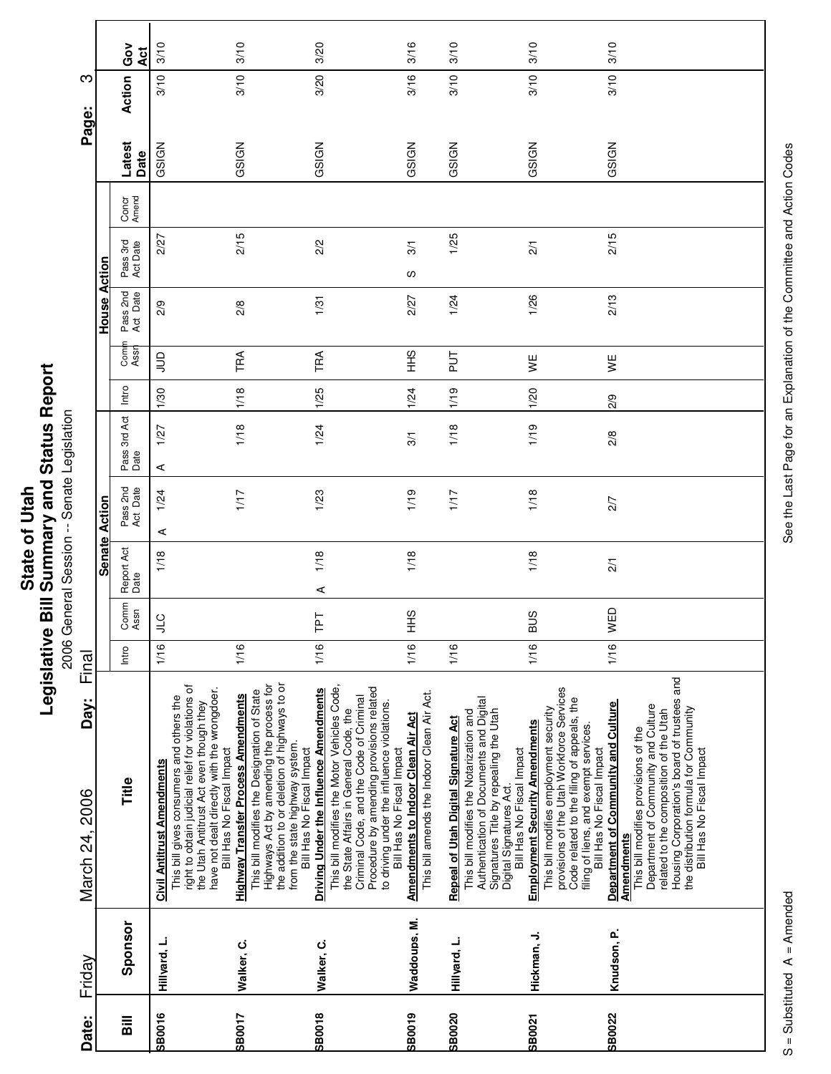|                        |               | Ğο<br>Āct                          | 3/10                                                                                                                                                                                                                                               | 3/10                                                                                                                                                                                                                                                  | 3/20                                                                                                                                                                                                                                                                                              | 3/16                                                                                    | 3/10                                                                                                                                                                                                                         | 3/10                                                                                                                                                                                                                                             | 3/10                                                                                                                                                                                                                                                                                                    |
|------------------------|---------------|------------------------------------|----------------------------------------------------------------------------------------------------------------------------------------------------------------------------------------------------------------------------------------------------|-------------------------------------------------------------------------------------------------------------------------------------------------------------------------------------------------------------------------------------------------------|---------------------------------------------------------------------------------------------------------------------------------------------------------------------------------------------------------------------------------------------------------------------------------------------------|-----------------------------------------------------------------------------------------|------------------------------------------------------------------------------------------------------------------------------------------------------------------------------------------------------------------------------|--------------------------------------------------------------------------------------------------------------------------------------------------------------------------------------------------------------------------------------------------|---------------------------------------------------------------------------------------------------------------------------------------------------------------------------------------------------------------------------------------------------------------------------------------------------------|
| ო                      |               | Action                             | 3/10                                                                                                                                                                                                                                               | 3/10                                                                                                                                                                                                                                                  | 3/20                                                                                                                                                                                                                                                                                              | 3/16                                                                                    | 3/10                                                                                                                                                                                                                         | 3/10                                                                                                                                                                                                                                             | 3/10                                                                                                                                                                                                                                                                                                    |
| Page:                  |               | Latest<br>Date                     | GSIGN                                                                                                                                                                                                                                              | GSIGN                                                                                                                                                                                                                                                 | GSIGN                                                                                                                                                                                                                                                                                             | GSIGN                                                                                   | GSIGN                                                                                                                                                                                                                        | GSIGN                                                                                                                                                                                                                                            | GSIGN                                                                                                                                                                                                                                                                                                   |
|                        |               |                                    |                                                                                                                                                                                                                                                    |                                                                                                                                                                                                                                                       |                                                                                                                                                                                                                                                                                                   |                                                                                         |                                                                                                                                                                                                                              |                                                                                                                                                                                                                                                  |                                                                                                                                                                                                                                                                                                         |
|                        |               | Concr<br>Amend                     |                                                                                                                                                                                                                                                    |                                                                                                                                                                                                                                                       |                                                                                                                                                                                                                                                                                                   |                                                                                         |                                                                                                                                                                                                                              |                                                                                                                                                                                                                                                  |                                                                                                                                                                                                                                                                                                         |
|                        | Action        | Pass 3rd<br>Act Date               | 2/27                                                                                                                                                                                                                                               | 2/15                                                                                                                                                                                                                                                  | 2/2                                                                                                                                                                                                                                                                                               | 3/1<br>S                                                                                | 1/25                                                                                                                                                                                                                         | $\overline{21}$                                                                                                                                                                                                                                  | 2/15                                                                                                                                                                                                                                                                                                    |
|                        | House         | Pass 2nd<br>Act Date               | 2/9                                                                                                                                                                                                                                                | 2/8                                                                                                                                                                                                                                                   | 1/31                                                                                                                                                                                                                                                                                              | 2/27                                                                                    | 1/24                                                                                                                                                                                                                         | 1/26                                                                                                                                                                                                                                             | 2/13                                                                                                                                                                                                                                                                                                    |
|                        |               | Com<br>Assr                        | $\Xi$                                                                                                                                                                                                                                              | TRA                                                                                                                                                                                                                                                   | TRA                                                                                                                                                                                                                                                                                               | $rac{9}{1}$                                                                             | $\frac{1}{2}$                                                                                                                                                                                                                | ¥                                                                                                                                                                                                                                                | ¥                                                                                                                                                                                                                                                                                                       |
|                        |               | Intro                              | 1/30                                                                                                                                                                                                                                               | 1/18                                                                                                                                                                                                                                                  | 1/25                                                                                                                                                                                                                                                                                              | 1/24                                                                                    | 1/19                                                                                                                                                                                                                         | 1/20                                                                                                                                                                                                                                             | 2/9                                                                                                                                                                                                                                                                                                     |
|                        |               | Pass 3rd Act<br>Date               | 1/27<br>⋖                                                                                                                                                                                                                                          | 1/18                                                                                                                                                                                                                                                  | 1/24                                                                                                                                                                                                                                                                                              | 3/1                                                                                     | 1/18                                                                                                                                                                                                                         | 1/19                                                                                                                                                                                                                                             | $\frac{2}{8}$                                                                                                                                                                                                                                                                                           |
|                        | Action        | Pass 2nd<br>Act Date               | 1/24<br>⋖                                                                                                                                                                                                                                          | 1/17                                                                                                                                                                                                                                                  | 1/23                                                                                                                                                                                                                                                                                              | 1/19                                                                                    | 1/17                                                                                                                                                                                                                         | 1/18                                                                                                                                                                                                                                             | 2/7                                                                                                                                                                                                                                                                                                     |
|                        | <b>Senate</b> | Report Act<br>Date                 | 1/18                                                                                                                                                                                                                                               |                                                                                                                                                                                                                                                       | 1/18<br>$\prec$                                                                                                                                                                                                                                                                                   | 1/18                                                                                    |                                                                                                                                                                                                                              | 1/18                                                                                                                                                                                                                                             | $\overline{21}$                                                                                                                                                                                                                                                                                         |
|                        |               | Comm<br>Assn                       | 9∏                                                                                                                                                                                                                                                 |                                                                                                                                                                                                                                                       | 군<br>⊢                                                                                                                                                                                                                                                                                            | SHH                                                                                     |                                                                                                                                                                                                                              | <b>BUS</b>                                                                                                                                                                                                                                       | WED                                                                                                                                                                                                                                                                                                     |
| Final                  |               | Intro                              | 1/16                                                                                                                                                                                                                                               | 1/16                                                                                                                                                                                                                                                  | 1/16                                                                                                                                                                                                                                                                                              | 1/16                                                                                    | 1/16                                                                                                                                                                                                                         | 1/16                                                                                                                                                                                                                                             | 1/16                                                                                                                                                                                                                                                                                                    |
| Day:<br>March 24, 2006 |               | Title                              | right to obtain judicial relief for violations of<br>have not dealt directly with the wrongdoer.<br>This bill gives consumers and others the<br>the Utah Antitrust Act even though they<br>Bill Has No Fiscal Impact<br>Civil Antitrust Amendments | the addition to or deletion of highways to or<br>Highways Act by amending the process for<br>This bill modifies the Designation of State<br><b>Highway Transfer Process Amendments</b><br>from the state highway system.<br>Bill Has No Fiscal Impact | This bill modifies the Motor Vehicles Code,<br>Procedure by amending provisions related<br>Driving Under the Influence Amendments<br>Criminal Code, and the Code of Criminal<br>to driving under the influence violations.<br>the State Affairs in General Code, the<br>Bill Has No Fiscal Impact | This bill amends the Indoor Clean Air Act.<br><b>Amendments to Indoor Clean Air Act</b> | Authentication of Documents and Digital<br>Signatures Title by repealing the Utah<br>This bill modifies the Notarization and<br>Repeal of Utah Digital Signature Act<br>Bill Has No Fiscal Impact<br>Digital Signatures Act. | provisions of the Utah Workforce Services<br>Code related to the filing of appeals, the<br>This bill modifies employment security<br><b>Employment Security Amendments</b><br>filing of liens, and exempt services.<br>Bill Has No Fiscal Impact | Housing Corporation's board of trustees and<br><b>Department of Community and Culture</b><br>Amendments<br>Department of Community and Culture<br>the distribution formula for Community<br>related to the composition of the Utah<br>This bill modifies provisions of the<br>Bill Has No Fiscal Impact |
| Friday                 |               | Sponsor                            | Hillyard, L.                                                                                                                                                                                                                                       | Walker, C.                                                                                                                                                                                                                                            | Walker, C.                                                                                                                                                                                                                                                                                        | Waddoups, M.                                                                            | Hillyard, L.                                                                                                                                                                                                                 | Hickman, J.                                                                                                                                                                                                                                      | Knudson, P.                                                                                                                                                                                                                                                                                             |
| Date:                  |               | $\overline{\overline{\mathbf{a}}}$ | <b>SB0016</b>                                                                                                                                                                                                                                      | SB0017                                                                                                                                                                                                                                                | <b>SB0018</b>                                                                                                                                                                                                                                                                                     | <b>SB0019</b>                                                                           | <b>SB0020</b>                                                                                                                                                                                                                | SB0021                                                                                                                                                                                                                                           | <b>SB0022</b>                                                                                                                                                                                                                                                                                           |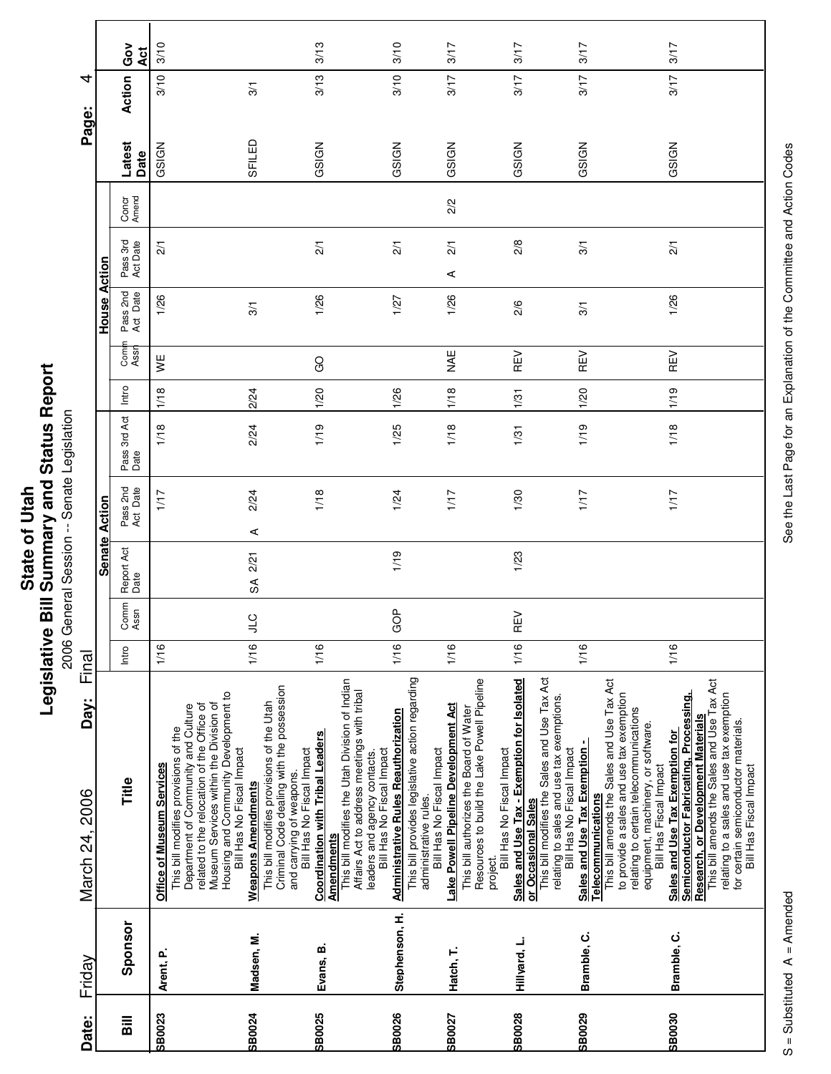|                      | Repor<br>Status I                     |
|----------------------|---------------------------------------|
| <b>State of Utah</b> | <b>Bill Summary and?</b><br>vitslativ |

eport **Printing Conditions of the Second Session**<br>2006 General Session -- Senate Legislation 2006 General Session -- Senate Legislation

| Date:          | Friday         | Day:<br>March 24, 2006                                                                                                                                                                                                                                                       | Final |              |                    |                      |                      |       |             |                      |                      |                | Page:          | ₹             |            |
|----------------|----------------|------------------------------------------------------------------------------------------------------------------------------------------------------------------------------------------------------------------------------------------------------------------------------|-------|--------------|--------------------|----------------------|----------------------|-------|-------------|----------------------|----------------------|----------------|----------------|---------------|------------|
|                |                |                                                                                                                                                                                                                                                                              |       |              | <b>Senate</b>      | Action               |                      |       |             | House                | Action               |                |                |               |            |
| $\overline{a}$ | Sponsor        | Title                                                                                                                                                                                                                                                                        | Intro | Comm<br>Assn | Report Act<br>Date | Pass 2nd<br>Act Date | Pass 3rd Act<br>Date | Intro | Com<br>Assr | Pass 2nd<br>Act Date | Pass 3rd<br>Act Date | Concr<br>Amend | Latest<br>Date | Action        | Gov<br>Act |
| <b>SB0023</b>  | Arent, P.      | Housing and Community Development to<br>Museum Services within the Division of<br>related to the relocation of the Office of<br>Department of Community and Culture<br>This bill modifies provisions of the<br>Bill Has No Fiscal Impact<br><b>Office of Museum Services</b> | 1/16  |              |                    | 1/17                 | 1/18                 | 1/18  | ¥           | 1/26                 | $\overline{21}$      |                | GSIGN          | 3/10          | 3/10       |
| <b>SB0024</b>  | Madsen, M.     | Criminal Code dealing with the possession<br>This bill modifies provisions of the Utah<br>Bill Has No Fiscal Impact<br>and carrying of weapons.<br><b>Weapons Amendments</b>                                                                                                 | 1/16  | <b>CT</b>    | 2/21<br>SÃ         | 2/24<br>⋖            | 2/24                 | 2/24  |             | 3/1                  |                      |                | SFILED         | $\frac{5}{2}$ |            |
| <b>SB0025</b>  | Evans, B.      | This bill modifies the Utah Division of Indian<br>Affairs Act to address meetings with tribal<br><b>Coordination with Tribal Leaders</b><br>Bill Has No Fiscal Impact<br>leaders and agency contacts.<br><b>Amendments</b>                                                   | 1/16  |              |                    | 1/18                 | 1/19                 | 1/20  | GO          | 1/26                 | $\frac{2}{1}$        |                | GSIGN          | 3/13          | 3/13       |
| <b>SB0026</b>  | Stephenson, H. | This bill provides legislative action regarding<br><b>Administrative Rules Reauthorization</b><br>Bill Has No Fiscal Impact<br>administrative rules.                                                                                                                         | 1/16  | GOP          | 1/19               | 1/24                 | 1/25                 | 1/26  |             | 1/27                 | $\overline{21}$      |                | GSIGN          | 3/10          | 3/10       |
| <b>SB0027</b>  | Hatch, T.      | Resources to build the Lake Powell Pipeline<br>Lake Powell Pipeline Development Act<br>This bill authorizes the Board of Water<br>Bill Has No Fiscal Impact<br>project.                                                                                                      | 1/16  |              |                    | 1/17                 | 1/18                 | 1/18  | NAE         | 1/26                 | $\overline{21}$<br>⋖ | 2/2            | GSIGN          | 3/17          | 3/17       |
| <b>SB0028</b>  | Hillyard, L.   | This bill modifies the Sales and Use Tax Act<br>Sales and Use Tax - Exemption for Isolated<br>relating to sales and use tax exemptions.<br>Bill Has No Fiscal Impact<br>or Occasional Sales                                                                                  | 1/16  | ξŇ<br>Œ      | 1/23               | 1/30                 | 1/31                 | 1/31  | REV         | 2/6                  | 2/8                  |                | GSIGN          | 3/17          | 3/17       |
| <b>SB0029</b>  | Bramble, C.    | Telecommunications<br>This bill amends the Sales and Use Tax Act<br>to provide a sales and use tax exemption<br>relating to certain telecommunications<br>equipment, machinery, or software.<br>Sales and Use Tax Exemption -<br>Bill Has Fiscal Impact                      | 1/16  |              |                    | 1/17                 | 1/19                 | 1/20  | REV         | 3/1                  | 3/1                  |                | GSIGN          | 3/17          | 3/17       |
| <b>SB0030</b>  | Bramble, C.    | This bill amends the Sales and Use Tax Act<br>Semiconductor Fabricating, Processing,<br>relating to a sales and use tax exemption<br>Research, or Development Materials<br>for certain semiconductor materials.<br>Sales and Use Tax Exemption for<br>Bill Has Fiscal Impact | 1/16  |              |                    | 1/17                 | 1/18                 | 1/19  | REV         | 1/26                 | $\overline{21}$      |                | GSIGN          | 3/17          | 3/17       |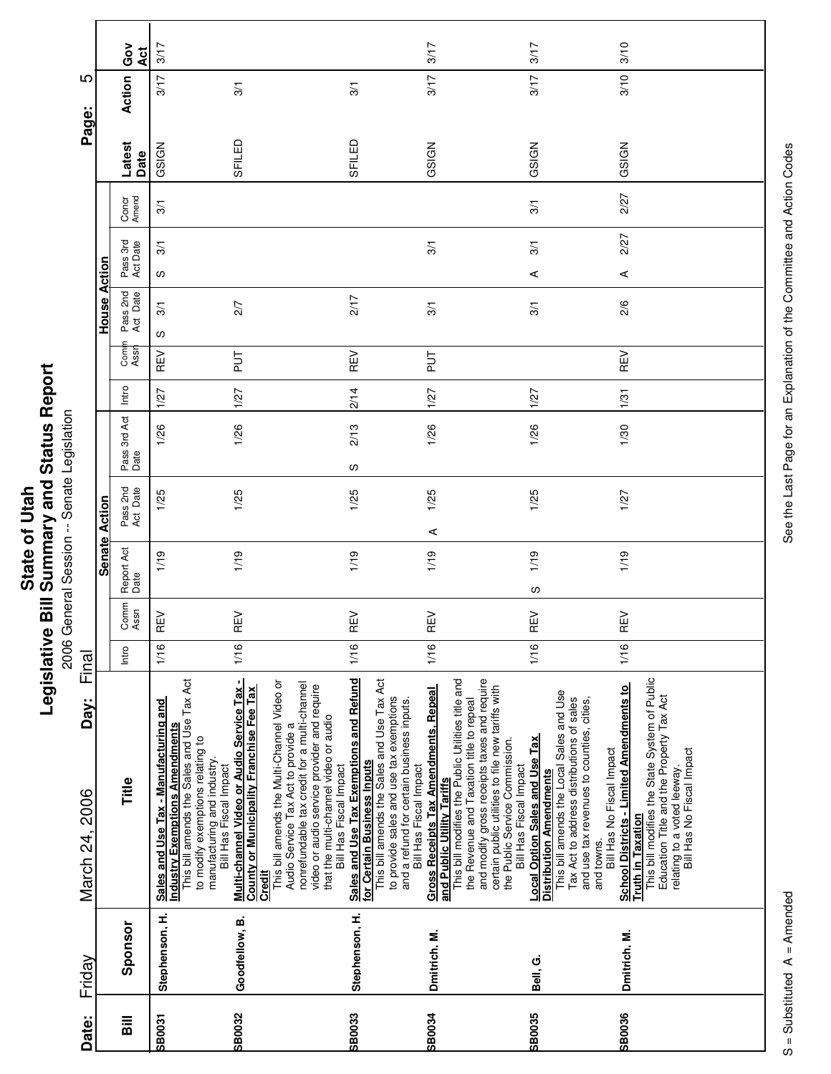|                        |                 | င်္ဝ<br>Act          | 3/17                                                                                                                                                                                                               |                                                                                                                                                                                                                                                                                                                                                                |                                                                                                                                                                                                                                        | 3/17                                                                                                                                                                                                                                                                                                                                        | 3/17                                                                                                                                                                                                                                                     | 3/10                                                                                                                                                                                                                          |
|------------------------|-----------------|----------------------|--------------------------------------------------------------------------------------------------------------------------------------------------------------------------------------------------------------------|----------------------------------------------------------------------------------------------------------------------------------------------------------------------------------------------------------------------------------------------------------------------------------------------------------------------------------------------------------------|----------------------------------------------------------------------------------------------------------------------------------------------------------------------------------------------------------------------------------------|---------------------------------------------------------------------------------------------------------------------------------------------------------------------------------------------------------------------------------------------------------------------------------------------------------------------------------------------|----------------------------------------------------------------------------------------------------------------------------------------------------------------------------------------------------------------------------------------------------------|-------------------------------------------------------------------------------------------------------------------------------------------------------------------------------------------------------------------------------|
| ഥ                      |                 | Action               | 3/17                                                                                                                                                                                                               | 3/1                                                                                                                                                                                                                                                                                                                                                            | 3/1                                                                                                                                                                                                                                    | 3/17                                                                                                                                                                                                                                                                                                                                        | 3/17                                                                                                                                                                                                                                                     | 3/10                                                                                                                                                                                                                          |
| Page:                  |                 | Latest<br>Date       | GSIGN                                                                                                                                                                                                              | SFILED                                                                                                                                                                                                                                                                                                                                                         | SFILED                                                                                                                                                                                                                                 | GSIGN                                                                                                                                                                                                                                                                                                                                       | GSIGN                                                                                                                                                                                                                                                    | GSIGN                                                                                                                                                                                                                         |
|                        |                 | Concr<br>Amend       | $\overline{3}$                                                                                                                                                                                                     |                                                                                                                                                                                                                                                                                                                                                                |                                                                                                                                                                                                                                        |                                                                                                                                                                                                                                                                                                                                             | 3/1                                                                                                                                                                                                                                                      | 2/27                                                                                                                                                                                                                          |
|                        |                 | Pass 3rd<br>Act Date | 3/1<br>w                                                                                                                                                                                                           |                                                                                                                                                                                                                                                                                                                                                                |                                                                                                                                                                                                                                        | 3/1                                                                                                                                                                                                                                                                                                                                         | 3/1<br>⋖                                                                                                                                                                                                                                                 | 2/27                                                                                                                                                                                                                          |
|                        | Action<br>House | Pass 2nd<br>Act Date | $\overline{3}$<br>w                                                                                                                                                                                                | 2/7                                                                                                                                                                                                                                                                                                                                                            | 2/17                                                                                                                                                                                                                                   | 3/1                                                                                                                                                                                                                                                                                                                                         | 3/1                                                                                                                                                                                                                                                      | ⋖<br>2/6                                                                                                                                                                                                                      |
|                        |                 | Com<br>Assr          | REV                                                                                                                                                                                                                | 11<br>11                                                                                                                                                                                                                                                                                                                                                       | REV                                                                                                                                                                                                                                    | 11g                                                                                                                                                                                                                                                                                                                                         |                                                                                                                                                                                                                                                          | REV                                                                                                                                                                                                                           |
|                        |                 | Intro                | 1/27                                                                                                                                                                                                               | 1/27                                                                                                                                                                                                                                                                                                                                                           | 2/14                                                                                                                                                                                                                                   | 1/27                                                                                                                                                                                                                                                                                                                                        | 1/27                                                                                                                                                                                                                                                     | 1/31                                                                                                                                                                                                                          |
|                        |                 | Pass 3rd Act<br>Date | 1/26                                                                                                                                                                                                               | 1/26                                                                                                                                                                                                                                                                                                                                                           | 2/13                                                                                                                                                                                                                                   | 1/26                                                                                                                                                                                                                                                                                                                                        | 1/26                                                                                                                                                                                                                                                     | 1/30                                                                                                                                                                                                                          |
|                        | Action          | Pass 2nd<br>Act Date | 1/25                                                                                                                                                                                                               | 1/25                                                                                                                                                                                                                                                                                                                                                           | လ<br>1/25                                                                                                                                                                                                                              | 1/25                                                                                                                                                                                                                                                                                                                                        | 1/25                                                                                                                                                                                                                                                     | 1/27                                                                                                                                                                                                                          |
|                        | <b>Senate</b>   | Report Act<br>Date   | 1/19                                                                                                                                                                                                               | 1/19                                                                                                                                                                                                                                                                                                                                                           | 1/19                                                                                                                                                                                                                                   | ⋖<br>1/19                                                                                                                                                                                                                                                                                                                                   | 1/19<br>S                                                                                                                                                                                                                                                | 1/19                                                                                                                                                                                                                          |
|                        |                 | Comm<br>Assn         | ΛEλ<br>щ,                                                                                                                                                                                                          | ΥĒ<br>ட                                                                                                                                                                                                                                                                                                                                                        | REV                                                                                                                                                                                                                                    | REV                                                                                                                                                                                                                                                                                                                                         | REV                                                                                                                                                                                                                                                      | REV                                                                                                                                                                                                                           |
| Final                  |                 | Intro                | 1/16                                                                                                                                                                                                               | 1/16                                                                                                                                                                                                                                                                                                                                                           | 1/16                                                                                                                                                                                                                                   | 1/16                                                                                                                                                                                                                                                                                                                                        | 1/16                                                                                                                                                                                                                                                     | 1/16                                                                                                                                                                                                                          |
| Day:<br>March 24, 2006 |                 | Title                | This bill amends the Sales and Use Tax Act<br>Sales and Use Tax - Manufacturing and<br>Industry Exemptions Amendments<br>to modify exemptions relating to<br>manufacturing and industry.<br>Bill Has Fiscal Impact | Multi-channel Video or Audio Service Tax -<br>This bill amends the Multi-Channel Video or<br>nonrefundable tax credit for a multi-channel<br>video or audio service provider and require<br>County or Municipality Franchise Fee Tax<br>that the multi-channel video or audio<br>Audio Service Tax Act to provide a<br>Bill Has Fiscal Impact<br><b>Credit</b> | Sales and Use Tax Exemptions and Refund<br>This bill amends the Sales and Use Tax Act<br>to provide sales and use tax exemptions<br>and a refund for certain business inputs.<br>for Certain Business Inputs<br>Bill Has Fiscal Impact | and modify gross receipts taxes and require<br>This bill modifies the Public Utilities title and<br>certain public utilities to file new tariffs with<br><b>Gross Receipts Tax Amendments, Repeal</b><br>the Revenue and Taxation title to repeal<br>the Public Service Commission.<br>Bill Has Fiscal Impact<br>and Public Utility Tariffs | This bill amends the Local Sales and Use<br>Tax Act to address distributions of sales<br>and use tax revenues to counties, cities,<br><b>Local Option Sales and Use Tax</b><br>Bill Has No Fiscal Impact<br><b>Distribution Amendments</b><br>and towns. | This bill modifies the State System of Public<br>School Districts - Limited Amendments to<br>Education Title and the Property Tax Act<br>relating to a voted leeway.<br>Bill Has No Fiscal Impact<br><b>Truth in Taxation</b> |
| Friday                 |                 | Sponsor              | Stephenson, H.                                                                                                                                                                                                     | Goodfellow, B.                                                                                                                                                                                                                                                                                                                                                 | Stephenson, H.                                                                                                                                                                                                                         | Dmitrich, M.                                                                                                                                                                                                                                                                                                                                | Bell, G.                                                                                                                                                                                                                                                 | Dmitrich, M.                                                                                                                                                                                                                  |
| Date:                  |                 | $\overline{a}$       | <b>SB0031</b>                                                                                                                                                                                                      | SB0032                                                                                                                                                                                                                                                                                                                                                         | <b>SB0033</b>                                                                                                                                                                                                                          | <b>SB0034</b>                                                                                                                                                                                                                                                                                                                               | SB0035                                                                                                                                                                                                                                                   | SB0036                                                                                                                                                                                                                        |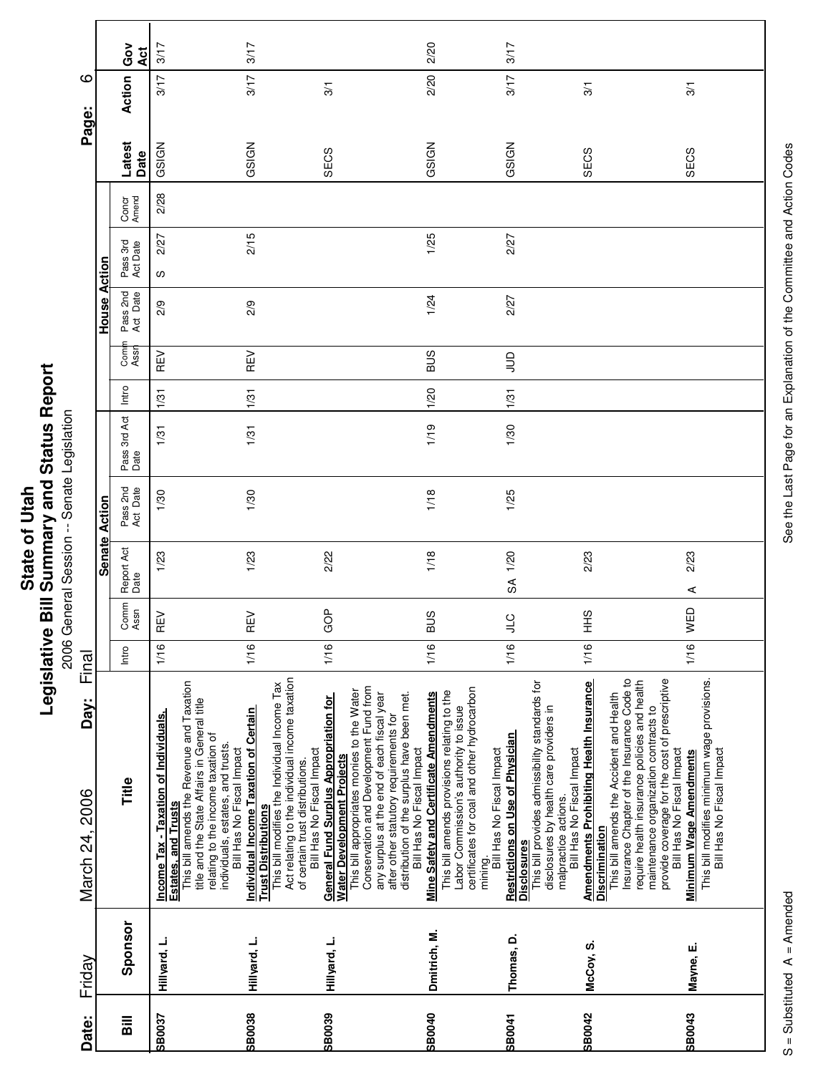| Ĩ.<br>' and<br>į<br>$\overline{\phantom{a}}$<br>ご<br>nmar<br>State of<br><b>Rill Cum</b><br>ï<br>vislativ<br>りうい |
|------------------------------------------------------------------------------------------------------------------|
|------------------------------------------------------------------------------------------------------------------|

**Printing Conditions of the Second Session**<br>2006 General Session -- Senate Legislation 2006 General Session -- Senate Legislation

| ဖ                               | Ğ<br>Āct<br>Action                     | 3/17<br>3/17                                                                                                                                                                                                                                |                                                                    | 3/17<br>3/17                                                                                                                 | $\frac{5}{2}$                                                                                                                                                                                                                                                                     | 2/20<br>2/20                                                                                                                                                                                                                                        | 3/17<br>3/17                                                                                                                                                                                    | $\overline{3}$                                                                                                                                                                                                                                                                                                    |
|---------------------------------|----------------------------------------|---------------------------------------------------------------------------------------------------------------------------------------------------------------------------------------------------------------------------------------------|--------------------------------------------------------------------|------------------------------------------------------------------------------------------------------------------------------|-----------------------------------------------------------------------------------------------------------------------------------------------------------------------------------------------------------------------------------------------------------------------------------|-----------------------------------------------------------------------------------------------------------------------------------------------------------------------------------------------------------------------------------------------------|-------------------------------------------------------------------------------------------------------------------------------------------------------------------------------------------------|-------------------------------------------------------------------------------------------------------------------------------------------------------------------------------------------------------------------------------------------------------------------------------------------------------------------|
| Page:                           | Latest<br>Date                         | GSIGN<br>2/28                                                                                                                                                                                                                               |                                                                    | GSIGN                                                                                                                        | SECS                                                                                                                                                                                                                                                                              | GSIGN                                                                                                                                                                                                                                               | GSIGN                                                                                                                                                                                           | SECS                                                                                                                                                                                                                                                                                                              |
| Action                          | Concr<br>Amend<br>Pass 3rd<br>Act Date | 2/27<br>လ                                                                                                                                                                                                                                   |                                                                    | 2/15                                                                                                                         |                                                                                                                                                                                                                                                                                   | 1/25                                                                                                                                                                                                                                                | 2/27                                                                                                                                                                                            |                                                                                                                                                                                                                                                                                                                   |
| House                           | Pass 2nd<br>Act Date<br>Comi<br>Assr   | 2/9<br>REV                                                                                                                                                                                                                                  |                                                                    | 2/9<br>REV                                                                                                                   |                                                                                                                                                                                                                                                                                   | 1/24<br><b>BUS</b>                                                                                                                                                                                                                                  | 2/27<br>$\supseteq$                                                                                                                                                                             |                                                                                                                                                                                                                                                                                                                   |
|                                 | Intro<br>Pass 3rd Act<br>Date          | 1/31<br>1/31                                                                                                                                                                                                                                |                                                                    | 1/31<br>1/31                                                                                                                 |                                                                                                                                                                                                                                                                                   | 1/20<br>1/19                                                                                                                                                                                                                                        | 1/31<br>1/30                                                                                                                                                                                    |                                                                                                                                                                                                                                                                                                                   |
| Action                          | Pass 2nd<br>Act Date                   | 1/30                                                                                                                                                                                                                                        |                                                                    | 1/30                                                                                                                         |                                                                                                                                                                                                                                                                                   | 1/18                                                                                                                                                                                                                                                | 1/25                                                                                                                                                                                            |                                                                                                                                                                                                                                                                                                                   |
| <b>Senate</b>                   | Report Act<br>Date                     | 1/23                                                                                                                                                                                                                                        |                                                                    | 1/23                                                                                                                         | 2/22                                                                                                                                                                                                                                                                              | 1/18                                                                                                                                                                                                                                                | SA 1/20                                                                                                                                                                                         | 2/23                                                                                                                                                                                                                                                                                                              |
|                                 | Comm<br>Assn<br>Intro                  | らい<br>Œ<br>1/16                                                                                                                                                                                                                             | $\tilde{E}$<br>Œ<br>1/16                                           |                                                                                                                              | GOP<br>1/16                                                                                                                                                                                                                                                                       | <b>BUS</b><br>1/16                                                                                                                                                                                                                                  | )<br>기<br>1/16                                                                                                                                                                                  | SHH<br>1/16                                                                                                                                                                                                                                                                                                       |
| Final<br>Day:<br>March 24, 2006 | Title                                  | This bill amends the Revenue and Taxation<br>title and the State Affairs in General title<br><u>Income Tax - Taxation of Individuals,</u><br>Estates, and Trusts<br>relating to the income taxation of<br>individuals, estates, and trusts. | Individual Income Taxation of Certain<br>Bill Has No Fiscal Impact | Act relating to the individual income taxation<br>This bill modifies the Individual Income Tax<br><b>Trust Distributions</b> | Conservation and Development Fund from<br>This bill appropriates monies to the Water<br>any surplus at the end of each fiscal year<br><b>General Fund Surplus Appropriation for</b><br>Water Development Projects<br>Bill Has No Fiscal Impact<br>of certain trust distributions. | This bill amends provisions relating to the<br>Mine Safety and Certificate Amendments<br>distribution of the surplus have been met.<br>Labor Commission's authority to issue<br>after other statutory requirements for<br>Bill Has No Fiscal Impact | This bill provides admissibility standards for<br>certificates for coal and other hydrocarbon<br>Restrictions on Use of Physician<br>Bill Has No Fiscal Impact<br><b>Disclosures</b><br>mining. | Insurance Chapter of the Insurance Code to<br><b>Amendments Prohibiting Health Insurance</b><br>require health insurance policies and health<br>This bill amends the Accident and Health<br>disclosures by health care providers in<br>Bill Has No Fiscal Impact<br>malpractice actions.<br><b>Discrimination</b> |
| Friday<br>Date:                 | Sponsor<br>$\bar{a}$                   | Hillyard, L.<br><b>SB0037</b>                                                                                                                                                                                                               | Hillyard, L.<br><b>SB0038</b>                                      |                                                                                                                              | Hillyard, L.                                                                                                                                                                                                                                                                      | Dmitrich, M.                                                                                                                                                                                                                                        | Thomas, D.                                                                                                                                                                                      | McCoy, S.<br><b>SB0040</b><br><b>SB0042</b><br>SB0039<br><b>SB0041</b>                                                                                                                                                                                                                                            |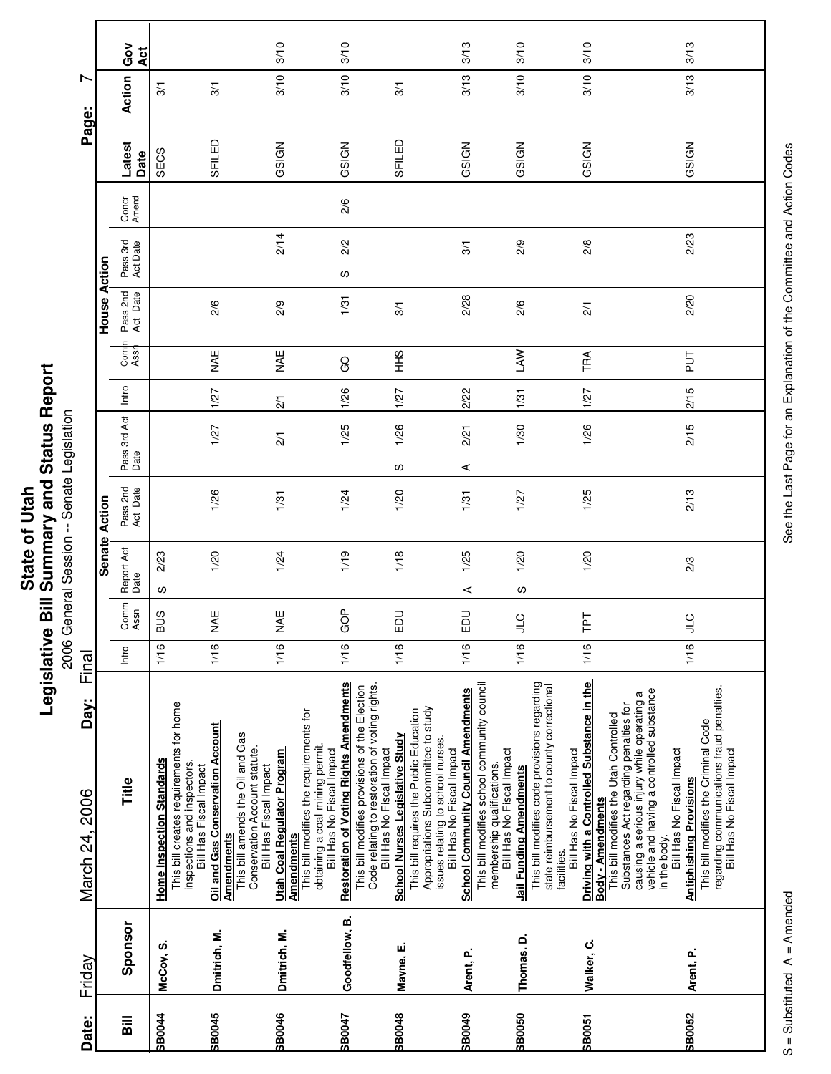|                      | Repor<br>Status I                     |
|----------------------|---------------------------------------|
| <b>State of Utah</b> | <b>Bill Summary and?</b><br>vitslativ |

eport 2006 General Session -- Senate Legislation

| Date:                              | Friday         | Day:<br>March 24, 2006                                                                                                                                                                           | Final |              |                    |                         |   |                      |                 |               |                      |                      |                |                | L<br>Page:    |          |
|------------------------------------|----------------|--------------------------------------------------------------------------------------------------------------------------------------------------------------------------------------------------|-------|--------------|--------------------|-------------------------|---|----------------------|-----------------|---------------|----------------------|----------------------|----------------|----------------|---------------|----------|
|                                    |                |                                                                                                                                                                                                  |       |              |                    | Action<br><b>Senate</b> |   |                      |                 |               | House                | Action               |                |                |               |          |
| $\overline{\overline{\mathbf{a}}}$ | Sponsor        | Title                                                                                                                                                                                            | Intro | Comm<br>Assn | Report Act<br>Date | Pass 2nd<br>Act Date    |   | Pass 3rd Act<br>Date | Intro           | Comi<br>Assr  | Pass 2nd<br>Act Date | Pass 3rd<br>Act Date | Concr<br>Amend | Latest<br>Date | Action        | Ğ<br>Act |
| <b>SB0044</b>                      | McCoy, S.      | <b>Home Inspection Standards</b>                                                                                                                                                                 | 1/16  | <b>BUS</b>   | S                  | 2/23                    |   |                      |                 |               |                      |                      |                | SECS           | $\frac{5}{2}$ |          |
|                                    |                | This bill creates requirements for home<br>inspections and inspectors.<br>Bill Has Fiscal Impact                                                                                                 |       |              |                    |                         |   |                      |                 |               |                      |                      |                |                |               |          |
| SB0045                             | Dmitrich, M.   | Oil and Gas Conservation Account                                                                                                                                                                 | 1/16  | NAE          |                    | 1/26<br>1/20            |   | 1/27                 | 1/27            | MHE           | 2/6                  |                      |                | SFILED         | $\frac{1}{2}$ |          |
|                                    |                | This bill amends the Oil and Gas<br>Conservation Account statute.<br>Bill Has Fiscal Impact<br><b>Amendments</b>                                                                                 |       |              |                    |                         |   |                      |                 |               |                      |                      |                |                |               |          |
| <b>SB0046</b>                      | Dmitrich, M.   | Utah Coal Regulator Program                                                                                                                                                                      | 1/16  | <b>NAE</b>   |                    | 1/31<br>1/24            |   | $\overline{2}$       | $\overline{21}$ | <b>MAE</b>    | 2/9                  | 2/14                 |                | GSIGN          | 3/10          | 3/10     |
|                                    |                | This bill modifies the requirements for<br>obtaining a coal mining permit.<br>Bill Has No Fiscal Impact<br><b>Amendments</b>                                                                     |       |              |                    |                         |   |                      |                 |               |                      |                      |                |                |               |          |
| SB0047                             | Goodfellow, B. | <b>Restoration of Voting Rights Amendments</b>                                                                                                                                                   | 1/16  | GOP          |                    | 1/24<br>1/19            |   | 1/25                 | 1/26            | GO            | 1/31                 | 2/2<br>w             | 2/6            | GSIGN          | 3/10          | 3/10     |
|                                    |                | Code relating to restoration of voting rights.<br>This bill modifies provisions of the Election<br>Bill Has No Fiscal Impact                                                                     |       |              |                    |                         |   |                      |                 |               |                      |                      |                |                |               |          |
| SB0048                             | Mayne, E.      | <b>School Nurses Legislative Study</b>                                                                                                                                                           | 1/16  | EDU          |                    | 1/20<br>1/18            | S | 1/26                 | 1/27            | $rac{9}{1}$   | 3/1                  |                      |                | SFILED         | 3/1           |          |
|                                    |                | Appropriations Subcommittee to study<br>This bill requires the Public Education<br>issues relating to school nurses.<br>Bill Has No Fiscal Impact                                                |       |              |                    |                         |   |                      |                 |               |                      |                      |                |                |               |          |
| <b>SP0049</b>                      | Arent, P.      | <b>School Community Council Amendments</b>                                                                                                                                                       | 1/16  | EDU          | ⋖                  | 1/31<br>1/25            | ⋖ | 2/21                 | 2/22            |               | 2/28                 | $\frac{5}{2}$        |                | GSIGN          | 3/13          | 3/13     |
|                                    |                | This bill modifies school community council<br>Bill Has No Fiscal Impact<br>membership qualifications.                                                                                           |       |              |                    |                         |   |                      |                 |               |                      |                      |                |                |               |          |
| <b>SB0050</b>                      | Thomas, D.     | Jail Funding Amendments                                                                                                                                                                          | 1/16  | <b>CTC</b>   | လ                  | 1/27<br>1/20            |   | 1/30                 | 1/31            | <b>LAW</b>    | 2/6                  | 2/9                  |                | GSIGN          | 3/10          | 3/10     |
|                                    |                | This bill modifies code provisions regarding<br>state reimbursement to county correctional<br>Bill Has No Fiscal Impact<br>facilities.                                                           |       |              |                    |                         |   |                      |                 |               |                      |                      |                |                |               |          |
| SB0051                             | Walker, C.     | Driving with a Controlled Substance in the                                                                                                                                                       | 1/16  | 군            |                    | 1/25<br>1/20            |   | 1/26                 | 1/27            | TRA           | $\overline{21}$      | 2/8                  |                | GSIGN          | 3/10          | 3/10     |
|                                    |                | causing a serious injury while operating a<br>vehicle and having a controlled substance<br>Substances Act regarding penalties for<br>This bill modifies the Utah Controlled<br>Body - Amendments |       |              |                    |                         |   |                      |                 |               |                      |                      |                |                |               |          |
|                                    |                | Bill Has No Fiscal Impact<br>in the body.                                                                                                                                                        |       |              |                    |                         |   |                      |                 |               |                      |                      |                |                |               |          |
| SB0052                             | Arent, P.      | regarding communications fraud penalties.<br>Bill Has No Fiscal Impact<br>This bill modifies the Criminal Code<br><b>Antiphishing Provisions</b>                                                 | 1/16  | <b>CTP</b>   | 2/3                | 2/13                    |   | 2/15                 | 2/15            | $\frac{1}{2}$ | 2/20                 | 2/23                 |                | GSIGN          | 3/13          | 3/13     |
|                                    |                |                                                                                                                                                                                                  |       |              |                    |                         |   |                      |                 |               |                      |                      |                |                |               |          |

See the Last Page for an Explanation of the Committee and Action Codes S = Substituted A = Amended A = Amended See the Last Page for an Explanation of the Committee and Action Codes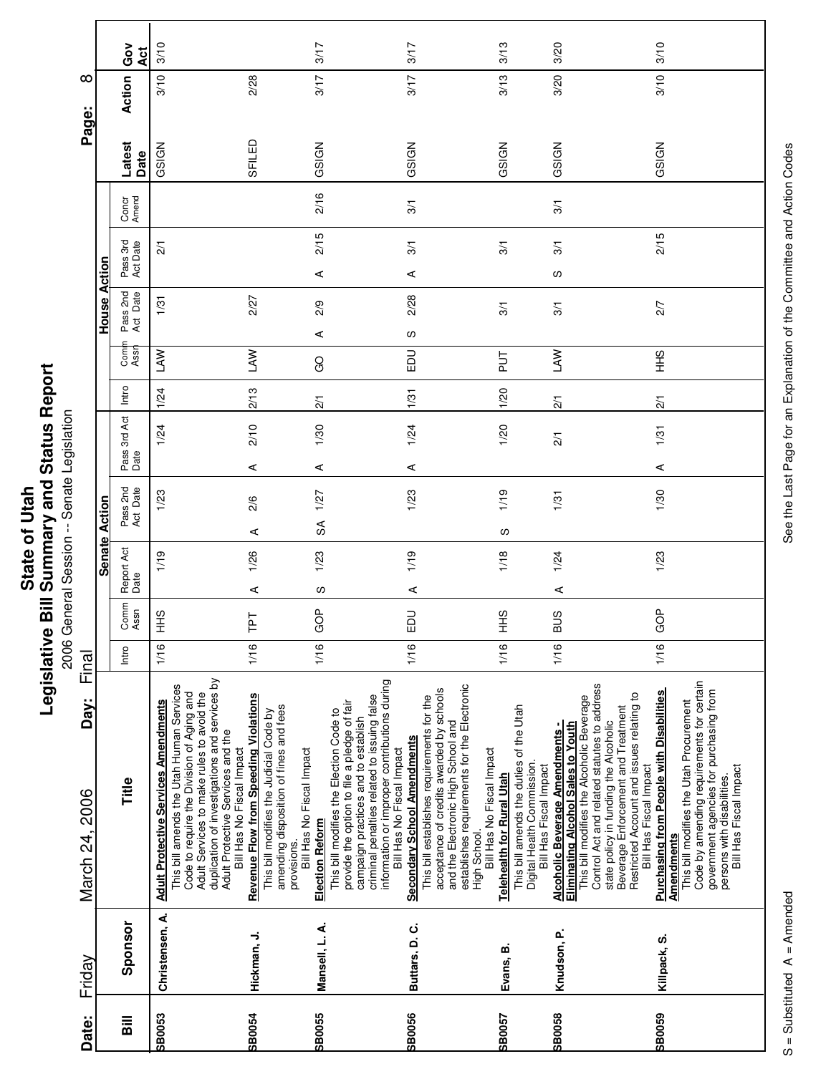**State of Utah<br>Legislative Bill Summary and Status Report** 

**Legislative Bill Summary and Status Report** 2006 General Session -- Senate Legislation 2006 General Session -- Senate Legislation

| Date:          | Friday          | Day:<br>March 24, 2006                                                                                                                                                                                                                                                                                                                                                                                                                                               | Final |                         |                    |           |                      |               |                       |                 |                |                      |                      |                 |                | Page:          | ∞      |             |
|----------------|-----------------|----------------------------------------------------------------------------------------------------------------------------------------------------------------------------------------------------------------------------------------------------------------------------------------------------------------------------------------------------------------------------------------------------------------------------------------------------------------------|-------|-------------------------|--------------------|-----------|----------------------|---------------|-----------------------|-----------------|----------------|----------------------|----------------------|-----------------|----------------|----------------|--------|-------------|
|                |                 |                                                                                                                                                                                                                                                                                                                                                                                                                                                                      |       |                         |                    | Senate    | Action               |               |                       |                 |                | House Action         |                      |                 |                |                |        |             |
| $\overline{a}$ | Sponsor         | Title                                                                                                                                                                                                                                                                                                                                                                                                                                                                | Intro | Comm<br>Assn            | Report Act<br>Date |           | Pass 2nd<br>Act Date | Pass:<br>Date | 3rd Act               | Intro           | Comi<br>Assr   | Pass 2nd<br>Act Date | Pass 3rd<br>Act Date |                 | Concr<br>Amend | Latest<br>Date | Action | င်္ဝ<br>Act |
| SB0053         | Christensen, A. | <b>Adult Protective Services Amendments</b>                                                                                                                                                                                                                                                                                                                                                                                                                          | 1/16  | $rac{9}{5}$             | 1/19               |           | 1/23                 |               | 1/24                  | 1/24            | LAW            | 1/31                 |                      | $\overline{21}$ |                | GSIGN          | 3/10   | 3/10        |
|                |                 | duplication of investigations and services by<br>This bill amends the Utah Human Services<br>Adult Services to make rules to avoid the<br>Code to require the Division of Aging and<br>Adult Protective Services and the                                                                                                                                                                                                                                             |       |                         |                    |           |                      |               |                       |                 |                |                      |                      |                 |                |                |        |             |
| SB0054         | Hickman, J.     | <b>Revenue Flow from Speeding Violations</b><br>Bill Has No Fiscal Impact                                                                                                                                                                                                                                                                                                                                                                                            | 1/16  | 집                       | ⋖                  | ⋖<br>1/26 | 2/6                  | ⋖             | 2/10                  | 2/13            | <b>NYT</b>     | 2/27                 |                      |                 |                | SFILED         | 2/28   |             |
|                |                 | amending disposition of fines and fees<br>This bill modifies the Judicial Code by<br>Bill Has No Fiscal Impact<br>provisions.                                                                                                                                                                                                                                                                                                                                        |       |                         |                    |           |                      |               |                       |                 |                |                      |                      |                 |                |                |        |             |
| SB0055         | Mansell, L. A.  | Election Reform                                                                                                                                                                                                                                                                                                                                                                                                                                                      | 1/16  | GOP                     | 1/23<br>w          | S         | 1/27                 | ⋖             | $\frac{2}{1}$<br>1/30 |                 | ⋖<br>GO        | 2/9                  | ⋖                    | 2/15            | 2/16           | GSIGN          | 3/17   | 3/17        |
|                |                 | information or improper contributions during<br>criminal penalties related to issuing false<br>provide the option to file a pledge of fair<br>This bill modifies the Election Code to<br>campaign practices and to establish                                                                                                                                                                                                                                         |       |                         |                    |           |                      |               |                       |                 |                |                      |                      |                 |                |                |        |             |
| SB0056         | Buttars, D.C.   | <b>Secondary School Amendments</b><br>Bill Has No Fiscal Impact                                                                                                                                                                                                                                                                                                                                                                                                      | 1/16  | $\mathsf{D} \mathsf{D}$ | ⋖                  | 1/19      | 1/23                 | ⋖             | 1/24                  | 1/31            | ω<br><b>DU</b> | 2/28                 | ⋖                    | 3/1             | 3/1            | GSIGN          | 3/17   | 3/17        |
|                |                 | establishes requirements for the Electronic<br>acceptance of credits awarded by schools<br>This bill establishes requirements for the<br>and the Electronic High School and<br>Bill Has No Fiscal Impact<br>High School.                                                                                                                                                                                                                                             |       |                         |                    |           |                      |               |                       |                 |                |                      |                      |                 |                |                |        |             |
| SB0057         | Evans, B.       | This bill amends the duties of the Utah<br>Digital Health Commission.<br>Bill Has Fiscal Impact<br><b>Telehealth for Rural Utah</b>                                                                                                                                                                                                                                                                                                                                  | 1/16  | $rac{9}{5}$             |                    | S<br>1/18 | 1/19                 |               | 1/20                  | 1/20            | 등              | 3/1                  |                      | $\frac{5}{1}$   |                | GSIGN          | 3/13   | 3/13        |
| SB0058         | Knudson, P.     | This bill modifies the Alcoholic Beverage<br><b>Eliminating Alcohol Sales to Youth</b><br><b>Alcoholic Beverage Amendments -</b>                                                                                                                                                                                                                                                                                                                                     | 1/16  | SUB                     | 1/24<br>⋖          |           | 1/31                 |               | $\overline{21}$       | $\overline{21}$ | <b>NYT</b>     | $\frac{5}{1}$        | လ                    | 3/1             | 3/1            | GSIGN          | 3/20   | 3/20        |
| SB0059         | Killpack, S.    | Code by amending requirements for certain<br>Control Act and related statutes to address<br>government agencies for purchasing from<br><b>Purchasing from People with Disabilities</b><br>Restricted Account and issues relating to<br>This bill modifies the Utah Procurement<br>Beverage Enforcement and Treatment<br>state policy in funding the Alcoholic<br>Bill Has Fiscal Impact<br>Bill Has Fiscal Impact<br>persons with disabilities.<br><b>Amendments</b> | 1/16  | GOP                     |                    | 1/23      | 1/30                 | ⋖             | 1/31                  | $\overline{2}$  | $rac{9}{5}$    | 2/7                  |                      | 2/15            |                | GSIGN          | 3/10   | 3/10        |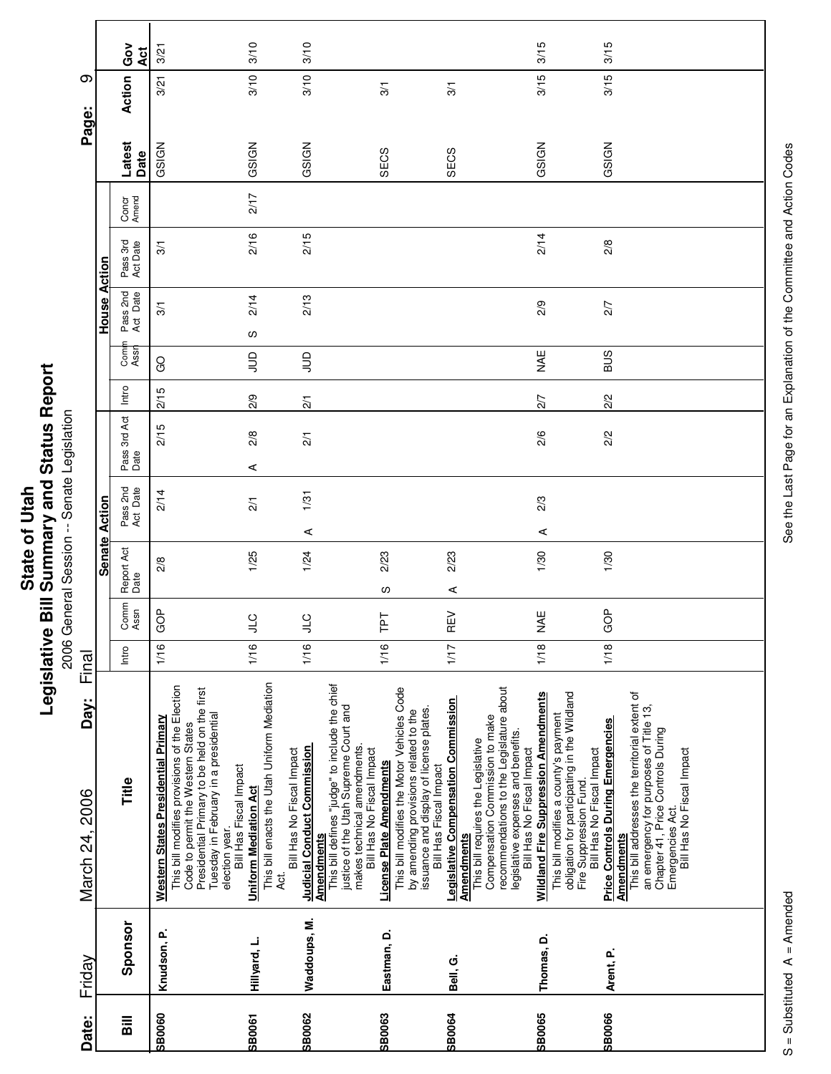| တ                      |                     | Ğ<br>O<br>Āct        | 3/21                                                                                                                                                                      | 3/10                                                                                                                                                              | 3/10                                                                                                                                   |                                                                                                                                                                                                                             |                                                                                                                                                                            | 3/15                                                                                                                                                                                                                                   | 3/15                                                                                                                                                                                                                                                                                                |
|------------------------|---------------------|----------------------|---------------------------------------------------------------------------------------------------------------------------------------------------------------------------|-------------------------------------------------------------------------------------------------------------------------------------------------------------------|----------------------------------------------------------------------------------------------------------------------------------------|-----------------------------------------------------------------------------------------------------------------------------------------------------------------------------------------------------------------------------|----------------------------------------------------------------------------------------------------------------------------------------------------------------------------|----------------------------------------------------------------------------------------------------------------------------------------------------------------------------------------------------------------------------------------|-----------------------------------------------------------------------------------------------------------------------------------------------------------------------------------------------------------------------------------------------------------------------------------------------------|
| Page:                  |                     | Action               | 3/21                                                                                                                                                                      | 3/10                                                                                                                                                              | 3/10                                                                                                                                   | 3/1                                                                                                                                                                                                                         | $\frac{5}{2}$                                                                                                                                                              | 3/15                                                                                                                                                                                                                                   | 3/15                                                                                                                                                                                                                                                                                                |
|                        |                     | Latest<br>Date       | GSIGN                                                                                                                                                                     | GSIGN                                                                                                                                                             | GSIGN                                                                                                                                  | SECS                                                                                                                                                                                                                        | SECS                                                                                                                                                                       | GSIGN                                                                                                                                                                                                                                  | GSIGN                                                                                                                                                                                                                                                                                               |
|                        |                     | Concr<br>Amend       |                                                                                                                                                                           | 2/17                                                                                                                                                              |                                                                                                                                        |                                                                                                                                                                                                                             |                                                                                                                                                                            |                                                                                                                                                                                                                                        |                                                                                                                                                                                                                                                                                                     |
|                        |                     | Pass 3rd<br>Act Date | 3/1                                                                                                                                                                       | 2/16                                                                                                                                                              | 2/15                                                                                                                                   |                                                                                                                                                                                                                             |                                                                                                                                                                            | 2/14                                                                                                                                                                                                                                   | 2/8                                                                                                                                                                                                                                                                                                 |
|                        | <b>House Action</b> | Pass 2nd<br>Act Date | $\frac{5}{2}$                                                                                                                                                             | 2/14<br>လ                                                                                                                                                         | 2/13                                                                                                                                   |                                                                                                                                                                                                                             |                                                                                                                                                                            | 2/9                                                                                                                                                                                                                                    | 2/7                                                                                                                                                                                                                                                                                                 |
|                        |                     | Com<br>Assr          | <b>GO</b>                                                                                                                                                                 | $\Xi$                                                                                                                                                             | $\Xi$                                                                                                                                  |                                                                                                                                                                                                                             |                                                                                                                                                                            | NA≣                                                                                                                                                                                                                                    | <b>SUB</b>                                                                                                                                                                                                                                                                                          |
|                        |                     | Intro                | 2/15                                                                                                                                                                      | 2/9                                                                                                                                                               | $\overline{21}$                                                                                                                        |                                                                                                                                                                                                                             |                                                                                                                                                                            | 2/7                                                                                                                                                                                                                                    | 2/2                                                                                                                                                                                                                                                                                                 |
|                        |                     | Pass 3rd Act<br>Date | 2/15                                                                                                                                                                      | 2/8<br>⋖                                                                                                                                                          | 2/1                                                                                                                                    |                                                                                                                                                                                                                             |                                                                                                                                                                            | 2/6                                                                                                                                                                                                                                    | 2/2                                                                                                                                                                                                                                                                                                 |
|                        | Senate Action       | Pass 2nd<br>Act Date | 2/14                                                                                                                                                                      | $\overline{21}$                                                                                                                                                   | 1/31<br>⋖                                                                                                                              |                                                                                                                                                                                                                             |                                                                                                                                                                            | 2/3<br>⋖                                                                                                                                                                                                                               |                                                                                                                                                                                                                                                                                                     |
|                        |                     | Report Act<br>Date   | 2/8                                                                                                                                                                       | 1/25                                                                                                                                                              | 1/24                                                                                                                                   | 2/23<br>ၯ                                                                                                                                                                                                                   | 2/23<br>⋖                                                                                                                                                                  | 1/30                                                                                                                                                                                                                                   | 1/30                                                                                                                                                                                                                                                                                                |
|                        |                     | Comm<br>Assn         | GOP                                                                                                                                                                       | $\supseteq$<br>⊃                                                                                                                                                  | <b>CTP</b>                                                                                                                             | 고                                                                                                                                                                                                                           | ΚĒ<br>щ.                                                                                                                                                                   | <b>NAE</b>                                                                                                                                                                                                                             | GOP                                                                                                                                                                                                                                                                                                 |
| Final                  |                     | Intro                | 1/16                                                                                                                                                                      | 1/16                                                                                                                                                              | 1/16                                                                                                                                   | 1/16                                                                                                                                                                                                                        | 1/17                                                                                                                                                                       | 1/18                                                                                                                                                                                                                                   | 1/18                                                                                                                                                                                                                                                                                                |
| Day:<br>March 24, 2006 |                     | Title                | This bill modifies provisions of the Election<br>Presidential Primary to be held on the first<br>Western States Presidential Primary<br>Code to permit the Western States | This bill enacts the Utah Uniform Mediation<br>Tuesday in February in a presidential<br>Bill Has Fiscal Impact<br>Uniform Mediation Act<br>election year.<br>Act. | This bill defines "judge" to include the chief<br><b>Judicial Conduct Commission</b><br>Bill Has No Fiscal Impact<br><b>Amendments</b> | This bill modifies the Motor Vehicles Code<br>justice of the Utah Supreme Court and<br>by amending provisions related to the<br>makes technical amendments.<br>Bill Has No Fiscal Impact<br><b>License Plate Amendments</b> | <b>Legislative Compensation Commission</b><br>issuance and display of license plates.<br>This bill requires the Legislative<br>Bill Has Fiscal Impact<br><b>Amendments</b> | recommendations to the Legislature about<br><b>Wildland Fire Suppression Amendments</b><br>Compensation Commission to make<br>This bill modifies a county's payment<br>legislative expenses and benefits.<br>Bill Has No Fiscal Impact | obligation for participating in the Wildland<br>This bill addresses the territorial extent of<br>an emergency for purposes of Title 13,<br><b>Price Controls During Emergencies</b><br>Chapter 41, Price Controls During<br>Bill Has No Fiscal Impact<br>Fire Suppression Fund<br><b>Amendments</b> |
| Friday                 |                     | Sponsor              | Knudson, P.                                                                                                                                                               | Hillyard, L.                                                                                                                                                      | Waddoups, M.                                                                                                                           | Eastman, D.                                                                                                                                                                                                                 | Bell, G.                                                                                                                                                                   | Thomas, D.                                                                                                                                                                                                                             | Arent, P.                                                                                                                                                                                                                                                                                           |
| Date:                  |                     | <b>Sill</b>          | <b>SB0060</b>                                                                                                                                                             | SB0061                                                                                                                                                            | SB0062                                                                                                                                 | <b>SB0063</b>                                                                                                                                                                                                               | <b>SB0064</b>                                                                                                                                                              | <b>SB0065</b>                                                                                                                                                                                                                          | <b>SB0066</b>                                                                                                                                                                                                                                                                                       |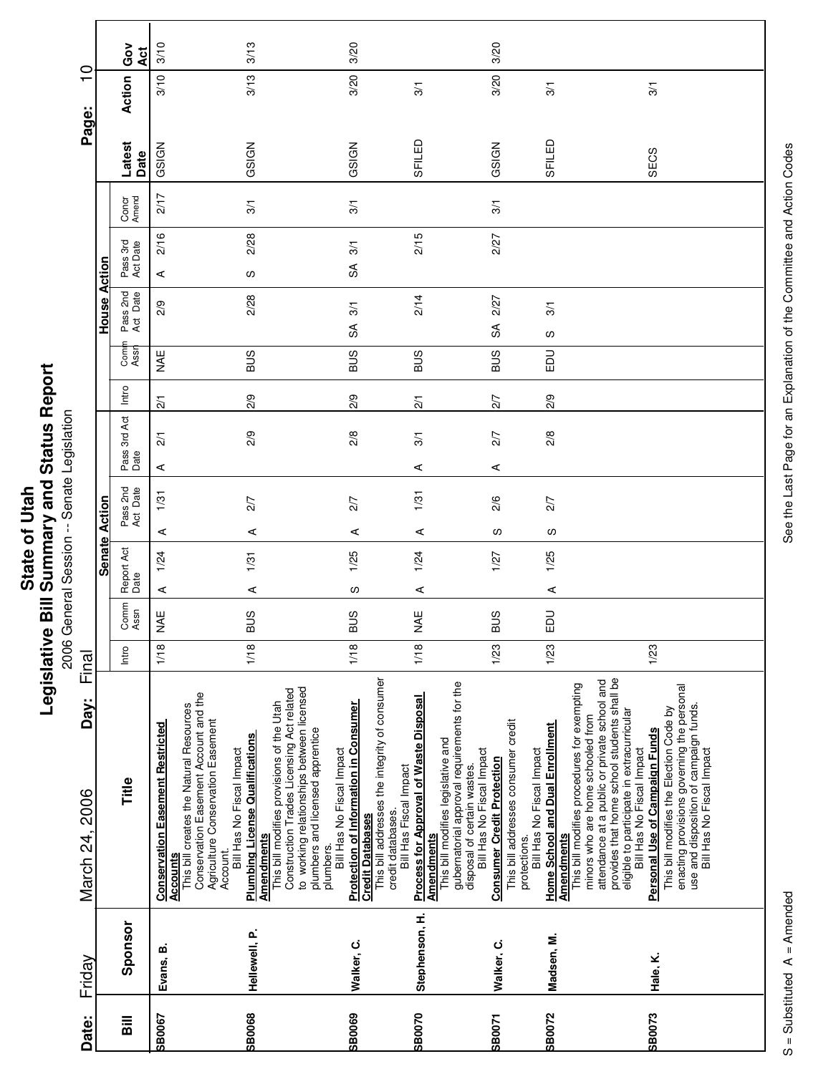| Ĩ.<br>' and<br>į<br>$\overline{\phantom{a}}$<br>ご<br>nmar<br>State of<br><b>Rill Cum</b><br>ï<br>vislativ<br>りうい |
|------------------------------------------------------------------------------------------------------------------|
|------------------------------------------------------------------------------------------------------------------|

**Printing Conditions of the Second Session**<br>2006 General Session -- Senate Legislation 2006 General Session -- Senate Legislation

| Friday                                                                                                                                                                                                                                                                                                                                                                                                                    | Day:<br>March 24, 2006 | Final |              | <b>Senate</b>      | Action |                      |                      |                 |              | House                  | Action               |                | Page:          | $\overline{\phantom{0}}$ | $\circ$          |
|---------------------------------------------------------------------------------------------------------------------------------------------------------------------------------------------------------------------------------------------------------------------------------------------------------------------------------------------------------------------------------------------------------------------------|------------------------|-------|--------------|--------------------|--------|----------------------|----------------------|-----------------|--------------|------------------------|----------------------|----------------|----------------|--------------------------|------------------|
| Title<br>Sponsor                                                                                                                                                                                                                                                                                                                                                                                                          |                        | Intro | Comm<br>Assn | Report Act<br>Date |        | Pass 2nd<br>Act Date | Pass 3rd Act<br>Date | Intro           | Comi<br>Assr | Pass 2nd<br>Act Date   | Pass 3rd<br>Act Date | Concr<br>Amend | Latest<br>Date | Action                   | Ğo<br><b>Act</b> |
| <b>Conservation Easement Restricted</b><br><b>Accounts</b><br>Evans, B.                                                                                                                                                                                                                                                                                                                                                   |                        | 1/18  | NAE          | 1/24<br>⋖          | ⋖      | 1/31                 | $\overline{21}$<br>⋖ | $\overline{21}$ | <b>MAE</b>   | 2/9                    | 2/16<br>⋖            | 217            | GSIGN          | 3/10                     | 3/10             |
| to working relationships between licensed<br>Construction Trades Licensing Act related<br>Conservation Easement Account and the<br>This bill modifies provisions of the Utah<br>This bill creates the Natural Resources<br>Agriculture Conservation Easement<br><b>Plumbing License Qualifications</b><br>Bill Has No Fiscal Impact<br><b>Amendments</b><br>Account.<br>Hellewell, P.                                     |                        | 1/18  | <b>SUS</b>   | 1/31<br>⋖          | ⋖      | 2/7                  | 2/9                  | 2/9             | <b>SUS</b>   | 2/28                   | 2/28<br>w            | 3/1            | GSIGN          | 3/13                     | 3/13             |
| This bill addresses the integrity of consumer<br><b>Protection of Information in Consumer</b><br>plumbers and licensed apprentice<br>Bill Has No Fiscal Impact<br><b>Credit Databases</b><br>plumbers.<br>Walker, C.                                                                                                                                                                                                      |                        | 1/18  | <b>BUS</b>   | 1/25<br>လ          | ⋖      | 2/7                  | 2/8                  | 2/9             | SUS          | 3/1<br>S               | 3/1<br>S             | 3/1            | GSIGN          | 3/20                     | 3/20             |
| <b>Process for Approval of Waste Disposal</b><br>This bill modifies legislative and<br>Bill Has Fiscal Impact<br>credit databases.<br>Amendments<br>Stephenson, H.                                                                                                                                                                                                                                                        |                        | 1/18  | <b>MAE</b>   | 1/24<br>⋖          | ⋖      | 1/31                 | $\overline{3}$<br>⋖  | $\overline{21}$ | <b>SUB</b>   | 2/14                   | 2/15                 |                | SFILED         | $\overline{3}$           |                  |
| gubernatorial approval requirements for the<br>disposal of certain wastes.<br>This bill addresses consumer credit<br>Bill Has No Fiscal Impact<br><b>Consumer Credit Protection</b><br>protections.<br>Walker, C.                                                                                                                                                                                                         |                        | 1/23  | <b>BUS</b>   | 1/27               | ၯ      | 2/6                  | 27<br>⋖              | 2/7             | <b>SUB</b>   | 2/27<br>$\mathfrak{F}$ | 2/27                 | 3/1            | GSIGN          | 3/20                     | 3/20             |
| This bill modifies procedures for exempting<br><b>Home School and Dual Enrollment</b><br>Bill Has No Fiscal Impact<br><b>Amendments</b><br>Madsen, M.                                                                                                                                                                                                                                                                     |                        | 1/23  | EDU          | 1/25<br>⋖          | w      | 2/7                  | 2/8                  | 2/9             | 品            | 3/1<br>w               |                      |                | SFILED         | 3/1                      |                  |
| provides that home school students shall be<br>attendance at a public or private school and<br>enacting provisions governing the personal<br>use and disposition of campaign funds.<br>Bill Has No Fiscal Impact<br>This bill modifies the Election Code by<br>eligible to participate in extracurricular<br>minors who are home schooled from<br>Personal Use of Campaign Funds<br>Bill Has No Fiscal Impact<br>Hale, K. |                        | 1/23  |              |                    |        |                      |                      |                 |              |                        |                      |                | SECS           | 3/1                      |                  |
|                                                                                                                                                                                                                                                                                                                                                                                                                           |                        |       |              |                    |        |                      |                      |                 |              |                        |                      |                |                |                          |                  |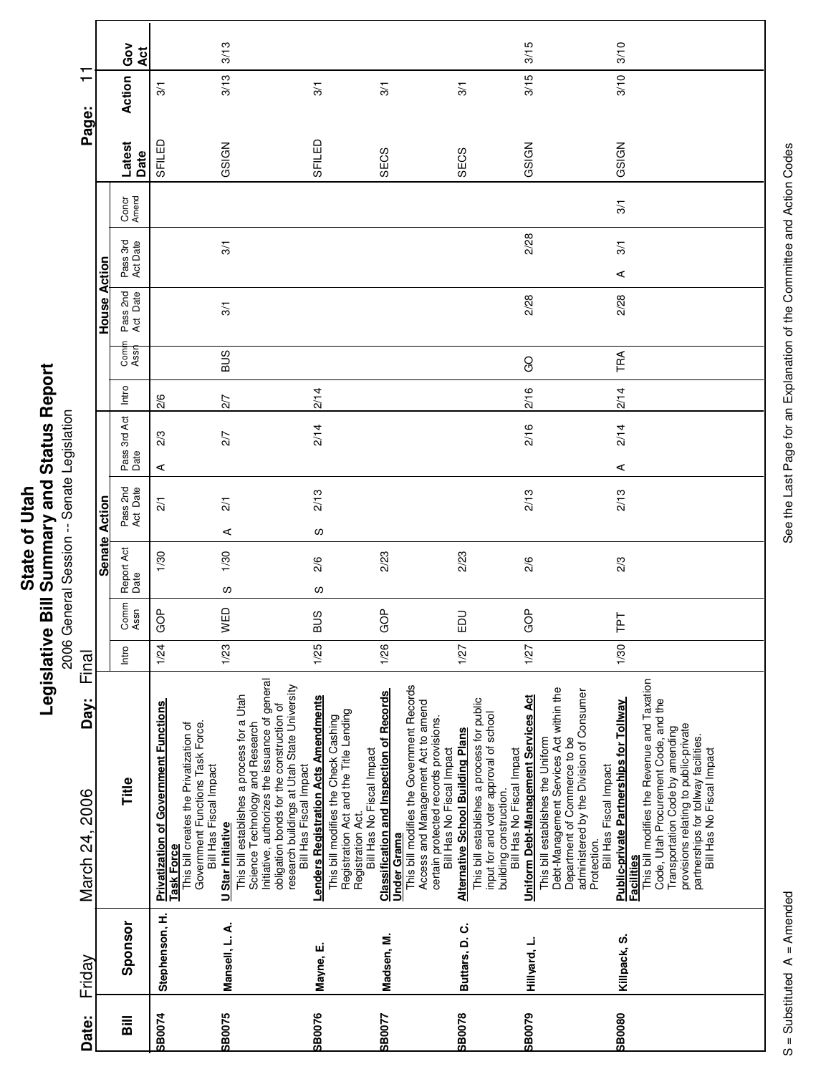| Ĩ.<br>' and<br>į<br>$\overline{\phantom{a}}$<br>ご<br>nmar<br>State of<br><b>Rill Cum</b><br>ï<br>vislativ<br>りうい |
|------------------------------------------------------------------------------------------------------------------|
|------------------------------------------------------------------------------------------------------------------|

| Date:          | Friday         | Day:<br>March 24, 2006                                                                                                                                                                                                                                                                                                                                      | Final |              |                    |                       |                      |       |              |                      |                      |                |                | $\mathbf \tau$<br>Page: | ┯          |  |
|----------------|----------------|-------------------------------------------------------------------------------------------------------------------------------------------------------------------------------------------------------------------------------------------------------------------------------------------------------------------------------------------------------------|-------|--------------|--------------------|-----------------------|----------------------|-------|--------------|----------------------|----------------------|----------------|----------------|-------------------------|------------|--|
|                |                |                                                                                                                                                                                                                                                                                                                                                             |       |              | <b>Senate</b>      | Action                |                      |       |              | House                | Action               |                |                |                         |            |  |
| $\overline{a}$ | Sponsor        | Title                                                                                                                                                                                                                                                                                                                                                       | Intro | Comm<br>Assn | Report Act<br>Date | Pass 2nd<br>Act Date  | Pass 3rd Act<br>Date | Intro | Comi<br>Assr | Pass 2nd<br>Act Date | Pass 3rd<br>Act Date | Concr<br>Amend | Latest<br>Date | Action                  | Gov<br>Act |  |
| <b>SB0074</b>  | Stephenson, H. | <b>Privatization of Government Functions</b><br>Government Functions Task Force.<br>This bill creates the Privatization of<br><b>Task Force</b>                                                                                                                                                                                                             | 1/24  | 9<br>O       | 1/30               | $\overline{21}$       | 2/3<br>⋖             | 2/6   |              |                      |                      |                | SFILED         | $\frac{5}{2}$           |            |  |
| <b>SB0075</b>  | Mansell, L. A. | This bill establishes a process for a Utah<br>Bill Has Fiscal Impact<br>U Star Initiative                                                                                                                                                                                                                                                                   | 1/23  | WED          | 1/30<br>w          | $\overline{2}/1$<br>⋖ | 2/7                  | 2/7   | <b>SUS</b>   | 3/1                  | 3/1                  |                | GSIGN          | 3/13                    | 3/13       |  |
|                |                | Initiative, authorizes the issuance of general<br>research buildings at Utah State University<br>obligation bonds for the construction of<br>Science Technology and Research<br>Bill Has Fiscal Impact                                                                                                                                                      |       |              |                    |                       |                      |       |              |                      |                      |                |                |                         |            |  |
| <b>SB0076</b>  | Mayne, E.      | <b>Lenders Registration Acts Amendments</b><br>This bill modifies the Check Cashing                                                                                                                                                                                                                                                                         | 1/25  | <b>BUS</b>   | 2/6<br>ပ           | 2/13<br>w             | 2/14                 | 2/14  |              |                      |                      |                | SFILED         | $\overline{3}$          |            |  |
| <b>SB0077</b>  | Madsen, M.     | This bill modifies the Government Records<br><b>Classification and Inspection of Records</b><br>Registration Act and the Title Lending<br>Bill Has No Fiscal Impact<br>Registration Act.<br>Under Grama                                                                                                                                                     | 1/26  | ģ<br>O       | 2/23               |                       |                      |       |              |                      |                      |                | SECS           | $\overline{3}$          |            |  |
| <b>SB0078</b>  | Buttars, D.C.  | This bill establishes a process for public<br>Access and Management Act to amend<br>input for and voter approval of school<br>certain protected records provisions.<br><b>Alternative School Building Plans</b><br>Bill Has No Fiscal Impact                                                                                                                | 1/27  | <b>DU</b>    | 2/23               |                       |                      |       |              |                      |                      |                | SECS           | 3/1                     |            |  |
| <b>SB0079</b>  | Hillyard, L.   | Debt-Management Services Act within the<br>Uniform Debt-Management Services Act<br>This bill establishes the Uniform<br>building construction.<br>Bill Has No Fiscal Impact                                                                                                                                                                                 | 1/27  | GOP          | 2/6                | 2/13                  | 2/16                 | 2/16  | <b>GO</b>    | 2/28                 | 2/28                 |                | GSIGN          | 3/15                    | 3/15       |  |
| <b>SB0080</b>  | Killpack, S.   | This bill modifies the Revenue and Taxation<br>administered by the Division of Consumer<br><b>Public-private Partnerships for Tollway</b><br>Code, Utah Procurement Code, and the<br>provisions relating to public-private<br>Transportation Code by amending<br>Department of Commerce to be<br>Bill Has Fiscal Impact<br>Protection.<br><b>Facilities</b> | 1/30  | Ld.L         | 2/3                | 2/13                  | 2/14<br>⋖            | 2/14  | TRA          | 2/28                 | 3/1<br>⋖             | $\overline{3}$ | GSIGN          | 3/10                    | 3/10       |  |
|                |                | partnerships for tollway facilities.<br>Bill Has No Fiscal Impact                                                                                                                                                                                                                                                                                           |       |              |                    |                       |                      |       |              |                      |                      |                |                |                         |            |  |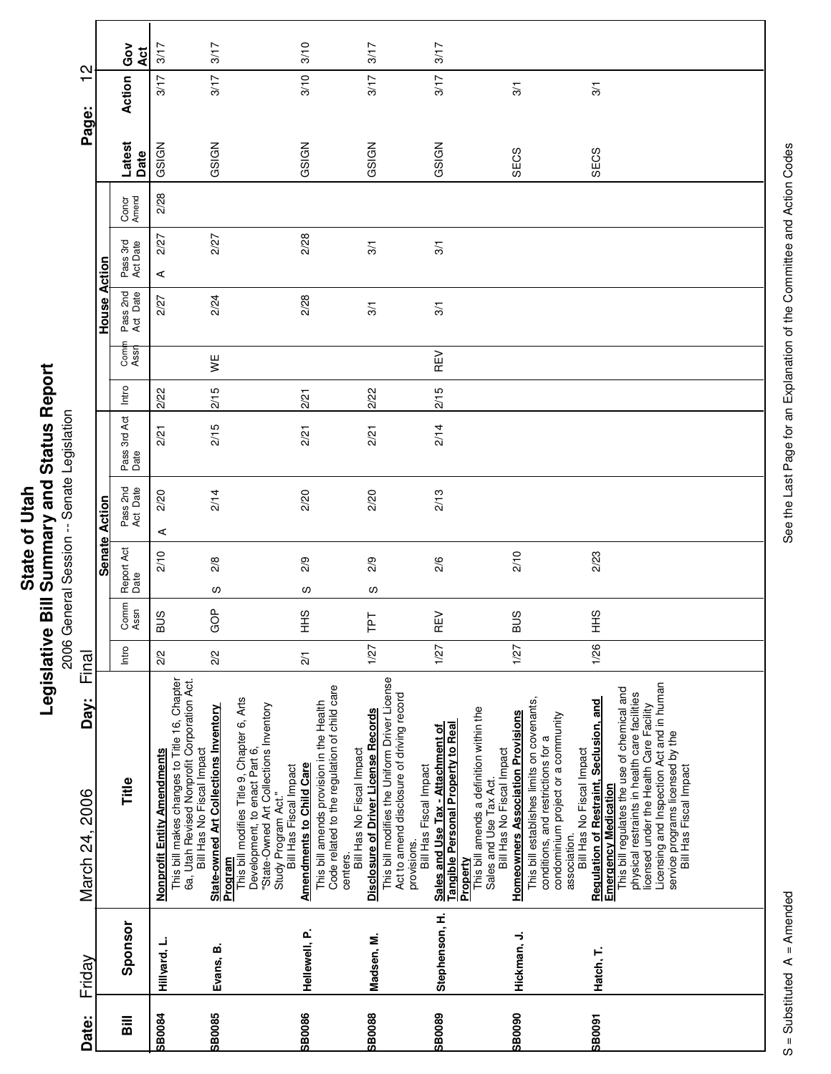|                                     |               | Gov<br>Act           | 3/17                                                                               |                                                                          | 3/17                                             |                                                                                                                                                                         | 3/10                            |                                                                                                                                   | 3/17                                        |                                                                                            |                                       | 3/17                                                                           |                                                      |                                                     |                                          |                                                                                                                        |                                           |                                         |                                                                                                                             |                                         |                                                                                                         |  |  |
|-------------------------------------|---------------|----------------------|------------------------------------------------------------------------------------|--------------------------------------------------------------------------|--------------------------------------------------|-------------------------------------------------------------------------------------------------------------------------------------------------------------------------|---------------------------------|-----------------------------------------------------------------------------------------------------------------------------------|---------------------------------------------|--------------------------------------------------------------------------------------------|---------------------------------------|--------------------------------------------------------------------------------|------------------------------------------------------|-----------------------------------------------------|------------------------------------------|------------------------------------------------------------------------------------------------------------------------|-------------------------------------------|-----------------------------------------|-----------------------------------------------------------------------------------------------------------------------------|-----------------------------------------|---------------------------------------------------------------------------------------------------------|--|--|
| $\mathbf{\Omega}$<br>$\blacksquare$ |               | Action               | 3/17                                                                               |                                                                          | 3/17                                             |                                                                                                                                                                         | 3/10                            |                                                                                                                                   | 3/17                                        |                                                                                            |                                       | 3/17                                                                           |                                                      |                                                     | 3/1                                      |                                                                                                                        |                                           | 3/1                                     |                                                                                                                             |                                         |                                                                                                         |  |  |
| Page:                               |               | Latest<br>Date       | GSIGN                                                                              |                                                                          | GSIGN                                            |                                                                                                                                                                         | GSIGN                           |                                                                                                                                   | GSIGN                                       |                                                                                            |                                       | GSIGN                                                                          |                                                      |                                                     | SECS                                     |                                                                                                                        |                                           | SECS                                    |                                                                                                                             |                                         |                                                                                                         |  |  |
|                                     |               | Concr<br>Amend       | 2/28                                                                               |                                                                          |                                                  |                                                                                                                                                                         |                                 |                                                                                                                                   |                                             |                                                                                            |                                       |                                                                                |                                                      |                                                     |                                          |                                                                                                                        |                                           |                                         |                                                                                                                             |                                         |                                                                                                         |  |  |
|                                     | Action        | Pass 3rd<br>Act Date | 2/27<br>⋖                                                                          |                                                                          | 2/27                                             |                                                                                                                                                                         | 2/28                            |                                                                                                                                   | 3/1                                         |                                                                                            |                                       | $\overline{3}$                                                                 |                                                      |                                                     |                                          |                                                                                                                        |                                           |                                         |                                                                                                                             |                                         |                                                                                                         |  |  |
|                                     | House         | Pass 2nd<br>Act Date | 2/27                                                                               |                                                                          | 2/24                                             |                                                                                                                                                                         | 2/28                            |                                                                                                                                   | 3/1                                         |                                                                                            |                                       | 3/1                                                                            |                                                      |                                                     |                                          |                                                                                                                        |                                           |                                         |                                                                                                                             |                                         |                                                                                                         |  |  |
|                                     |               | Com<br>Assr          |                                                                                    |                                                                          | ¥                                                |                                                                                                                                                                         |                                 |                                                                                                                                   |                                             |                                                                                            |                                       | REV                                                                            |                                                      |                                                     |                                          |                                                                                                                        |                                           |                                         |                                                                                                                             |                                         |                                                                                                         |  |  |
|                                     |               | Intro                | 2/22                                                                               |                                                                          | 2/15                                             |                                                                                                                                                                         | 2/21                            |                                                                                                                                   | 2/22                                        |                                                                                            |                                       | 2/15                                                                           |                                                      |                                                     |                                          |                                                                                                                        |                                           |                                         |                                                                                                                             |                                         |                                                                                                         |  |  |
|                                     |               | Pass 3rd Act<br>Date | 2/21                                                                               |                                                                          | 2/15                                             |                                                                                                                                                                         | 2/21                            |                                                                                                                                   | 2/21                                        |                                                                                            |                                       | 2/14                                                                           |                                                      |                                                     |                                          |                                                                                                                        |                                           |                                         |                                                                                                                             |                                         |                                                                                                         |  |  |
|                                     | Action        | Pass 2nd<br>Act Date | 2/20<br>⋖                                                                          |                                                                          | 2/14                                             |                                                                                                                                                                         | 2/20                            |                                                                                                                                   | 2/20                                        |                                                                                            |                                       | 2/13                                                                           |                                                      |                                                     |                                          |                                                                                                                        |                                           |                                         |                                                                                                                             |                                         |                                                                                                         |  |  |
|                                     | <b>Senate</b> | Report Act<br>Date   | 2/10                                                                               |                                                                          | 2/8                                              |                                                                                                                                                                         | 2/9                             |                                                                                                                                   | 2/9                                         |                                                                                            |                                       | 2/6                                                                            |                                                      |                                                     | 2/10                                     |                                                                                                                        |                                           | 2/23                                    |                                                                                                                             |                                         |                                                                                                         |  |  |
|                                     |               | Comm<br>Assn         | BUS                                                                                |                                                                          | လ<br>GOP                                         |                                                                                                                                                                         | လ<br>SHH                        |                                                                                                                                   | လ<br>Lel                                    |                                                                                            |                                       | $\mathbb{E}$                                                                   |                                                      |                                                     | <b>BUS</b>                               |                                                                                                                        |                                           | 오<br>보                                  |                                                                                                                             |                                         |                                                                                                         |  |  |
|                                     |               | Intro                | 2/2                                                                                |                                                                          | 2/2                                              |                                                                                                                                                                         | $\overline{2}/1$                |                                                                                                                                   | 1/27                                        |                                                                                            |                                       | Œ<br>1/27                                                                      |                                                      |                                                     | 1/27                                     |                                                                                                                        |                                           | 1/26                                    |                                                                                                                             |                                         |                                                                                                         |  |  |
| Final                               |               |                      |                                                                                    |                                                                          |                                                  |                                                                                                                                                                         |                                 |                                                                                                                                   |                                             |                                                                                            |                                       |                                                                                |                                                      |                                                     |                                          |                                                                                                                        |                                           |                                         |                                                                                                                             |                                         |                                                                                                         |  |  |
| Day:<br>March 24, 2006              |               | Title                | This bill makes changes to Title 16, Chapter<br><b>Nonprofit Entity Amendments</b> | 6a, Utah Revised Nonprofit Corporation Act.<br>Bill Has No Fiscal Impact | State-owned Art Collections Inventory<br>Program | This bill modifies Title 9, Chapter 6, Arts<br>Development, to enact Part 6,<br>"State-Owned Art Collections Inventory<br>Bill Has Fiscal Impact<br>Study Program Act." | <b>Amendments to Child Care</b> | Code related to the regulation of child care<br>This bill amends provision in the Health<br>Bill Has No Fiscal Impact<br>centers. | <b>Disclosure of Driver License Records</b> | This bill modifies the Uniform Driver License<br>Act to amend disclosure of driving record | Bill Has Fiscal Impact<br>provisions. | <b>Tangible Personal Property to Real</b><br>Sales and Use Tax - Attachment of | This bill amends a definition within the<br>Property | Bill Has No Fiscal Impact<br>Sales and Use Tax Act. | <b>Homeowners Association Provisions</b> | This bill establishes limits on covenants,<br>condominium project or a community<br>conditions, and restrictions for a | Bill Has No Fiscal Impact<br>association. | Regulation of Restraint, Seclusion, and | This bill regulates the use of chemical and<br>physical restraints in health care facilities<br><b>Emergency Medication</b> | licensed under the Health Care Facility | Licensing and Inspection Act and in human<br>service programs licensed by the<br>Bill Has Fiscal Impact |  |  |
| Friday                              |               | Sponsor              | Hillyard, L.                                                                       |                                                                          | Evans, B.                                        |                                                                                                                                                                         | Hellewell, P.                   |                                                                                                                                   | Madsen, M.                                  |                                                                                            |                                       | Stephenson, H.                                                                 |                                                      |                                                     | Hickman, J.                              |                                                                                                                        |                                           | Hatch, T.                               |                                                                                                                             |                                         |                                                                                                         |  |  |
| Date:                               |               | $\overline{a}$       | <b>SB0084</b>                                                                      |                                                                          | <b>SB0085</b>                                    |                                                                                                                                                                         | <b>SB0086</b>                   |                                                                                                                                   | <b>SB0088</b>                               |                                                                                            |                                       | <b>SB0089</b>                                                                  |                                                      |                                                     | <b>GOOSS</b>                             |                                                                                                                        |                                           | <b>6008S</b>                            |                                                                                                                             |                                         |                                                                                                         |  |  |

See the Last Page for an Explanation of the Committee and Action Codes S = Substituted A = Amended A = Amended See the Last Page for an Explanation of the Committee and Action Codes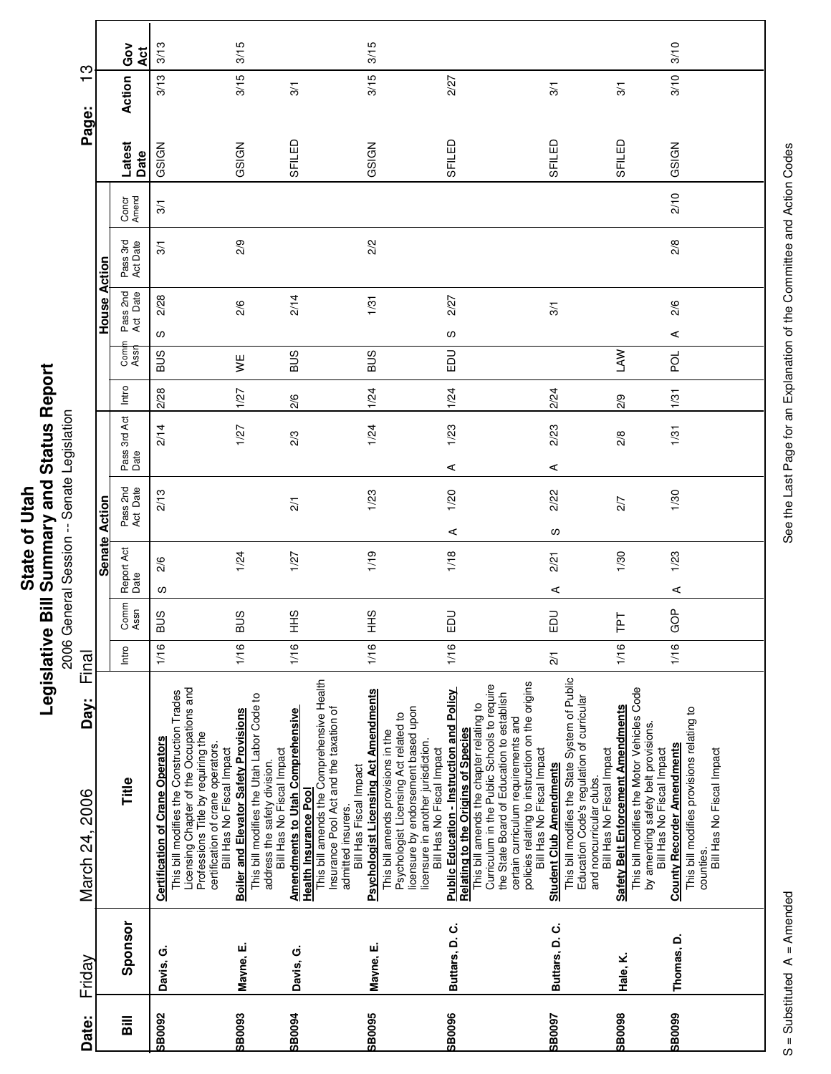| Ĩ.<br>' and<br>į<br>$\overline{\phantom{a}}$<br>ご<br>nmar<br>State of<br><b>Rill Cum</b><br>ï<br>vislativ<br>りうい |
|------------------------------------------------------------------------------------------------------------------|
|------------------------------------------------------------------------------------------------------------------|

onative Diri Deminitary and Direction<br>2006 General Session -- Senate Legislation 2006 General Session -- Senate Legislation

| March 24, 2006<br>Friday                                                                                                                                                                                                                                                                                                                                                                                     | Day: | Final |              |                    |                      |                      |       |             |           |                      |                | Page:          | $\mathbf -$ | ო          |
|--------------------------------------------------------------------------------------------------------------------------------------------------------------------------------------------------------------------------------------------------------------------------------------------------------------------------------------------------------------------------------------------------------------|------|-------|--------------|--------------------|----------------------|----------------------|-------|-------------|-----------|----------------------|----------------|----------------|-------------|------------|
|                                                                                                                                                                                                                                                                                                                                                                                                              |      |       |              | <b>Senate</b>      | Action               |                      |       |             | House     | Action               |                |                |             |            |
| Intro<br>Title<br>Sponsor                                                                                                                                                                                                                                                                                                                                                                                    |      |       | Comm<br>Assn | Report Act<br>Date | Pass 2nd<br>Act Date | Pass 3rd Act<br>Date | Intro | Com<br>Assr | Pass 2nd  | Pass 3rd<br>Act Date | Concr<br>Amend | Latest<br>Date | Action      | Gov<br>Āct |
| 1/16<br>Licensing Chapter of the Occupations and<br>This bill modifies the Construction Trades<br>Professions Title by requiring the<br><b>Certification of Crane Operators</b><br>certification of crane operators.<br>Bill Has No Fiscal Impact<br>Davis, G.                                                                                                                                               |      |       | <b>BUS</b>   | 2/6<br>w           | 2/13                 | 2/14                 | 2/28  | <b>SUS</b>  | 2/28<br>လ | 3/1                  | $\overline{3}$ | GSIGN          | 3/13        | 3/13       |
| മ<br>1/16<br>This bill modifies the Utah Labor Code to<br><b>Boiler and Elevator Safety Provisions</b><br>Bill Has No Fiscal Impact<br>address the safety division.<br>Mayne, E.                                                                                                                                                                                                                             |      |       | S            | 1/24               |                      | 1/27                 | 1/27  | ¥           | 2/6       | 2/9                  |                | GSIGN          | 3/15        | 3/15       |
| 1/16<br>This bill amends the Comprehensive Health<br>Insurance Pool Act and the taxation of<br><b>Amendments to Utah Comprehensive</b><br>Bill Has Fiscal Impact<br><b>Health Insurance Pool</b><br>admitted insurers.<br>Davis, G.                                                                                                                                                                          |      |       | SHH          | 1/27               | $\overline{21}$      | 2/3                  | 2/6   | <b>SUS</b>  | 2/14      |                      |                | SFILED         | 3/1         |            |
| SHH<br>1/16<br><b>Psychologist Licensing Act Amendments</b><br>licensure by endorsement based upon<br>Psychologist Licensing Act related to<br>This bill amends provisions in the<br>licensure in another jurisdiction.<br>Bill Has No Fiscal Impact<br>Mayne, E.                                                                                                                                            |      |       |              | 1/19               | 1/23                 | 1/24                 | 1/24  | <b>SUS</b>  | 1/31      | 2/2                  |                | GSIGN          | 3/15        | 3/15       |
| $\overline{5}$<br>ш<br>1/16<br>policies relating to instruction on the origins<br>This bill amends the chapter relating to<br>Curriculum in the Public Schools to require<br><b>Public Education - Instruction and Policy</b><br>the State Board of Education to establish<br>certain curriculum requirements and<br><b>Relating to the Origins of Species</b><br>Bill Has No Fiscal Impact<br>Buttars, D.C. |      |       |              | 1/18               | 1/20<br>⋖            | 1/23<br>⋖            | 1/24  | EDU         | 2/27<br>ပ |                      |                | SFILED         | 2/27        |            |
| EDU<br>$\overline{2}$<br>This bill modifies the State System of Public<br>Education Code's regulation of curricular<br>Bill Has No Fiscal Impact<br><b>Student Club Amendments</b><br>and noncurricular clubs.<br>Buttars, D.C.                                                                                                                                                                              |      |       |              | 2/21<br>⋖          | 2/22<br>w            | 2/23<br>⋖            | 2/24  |             | 3/1       |                      |                | SFILED         | 3/1         |            |
| F<br>⊢<br>1/16<br>This bill modifies the Motor Vehicles Code<br>Safety Belt Enforcement Amendments<br>by amending safety belt provisions.<br>Bill Has No Fiscal Impact<br>Hale, K.                                                                                                                                                                                                                           |      |       |              | 1/30               | 2/7                  | 2/8                  | 2/9   | <b>NVT</b>  |           |                      |                | SFILED         | 3/1         |            |
| GOP<br>1/16<br>This bill modifies provisions relating to<br><b>County Recorder Amendments</b><br>Bill Has No Fiscal Impact<br>counties<br>Thomas, D.                                                                                                                                                                                                                                                         |      |       |              | 1/23<br>⋖          | 1/30                 | 1/31                 | 1/31  | pol         | 2/6<br>⋖  | 2/8                  | 2/10           | GSIGN          | 3/10        | 3/10       |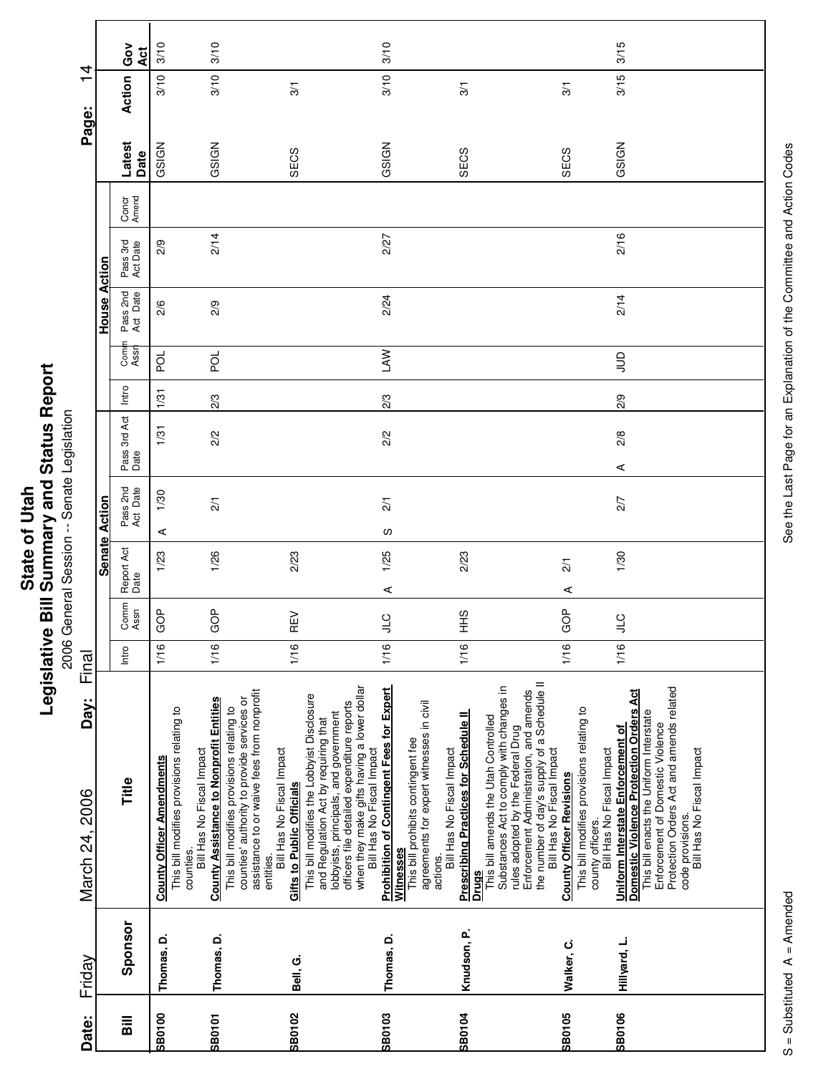| 4                        |               | Gov<br>Āct           | 3/10                                                                          | 3/10                                                                                                                                 |                                                                                                                                                                                                                                                              | 3/10                                                                                                                                                                                                                                                                                                              |                                                                                                                                               |                                                                                                                                                                                                                                                                                                                                      | 3/15                                                                                                                                                                                                                                                     |
|--------------------------|---------------|----------------------|-------------------------------------------------------------------------------|--------------------------------------------------------------------------------------------------------------------------------------|--------------------------------------------------------------------------------------------------------------------------------------------------------------------------------------------------------------------------------------------------------------|-------------------------------------------------------------------------------------------------------------------------------------------------------------------------------------------------------------------------------------------------------------------------------------------------------------------|-----------------------------------------------------------------------------------------------------------------------------------------------|--------------------------------------------------------------------------------------------------------------------------------------------------------------------------------------------------------------------------------------------------------------------------------------------------------------------------------------|----------------------------------------------------------------------------------------------------------------------------------------------------------------------------------------------------------------------------------------------------------|
| $\overline{\phantom{0}}$ |               | Action               | 3/10                                                                          | 3/10                                                                                                                                 | 3/1                                                                                                                                                                                                                                                          | 3/10                                                                                                                                                                                                                                                                                                              | 3/1                                                                                                                                           | $\overline{3}$                                                                                                                                                                                                                                                                                                                       | 3/15                                                                                                                                                                                                                                                     |
| Page:                    |               | Latest<br>Date       | GSIGN                                                                         | GSIGN                                                                                                                                | SECS                                                                                                                                                                                                                                                         | GSIGN                                                                                                                                                                                                                                                                                                             | SECS                                                                                                                                          | SECS                                                                                                                                                                                                                                                                                                                                 | GSIGN                                                                                                                                                                                                                                                    |
|                          |               | Concr<br>Amend       |                                                                               |                                                                                                                                      |                                                                                                                                                                                                                                                              |                                                                                                                                                                                                                                                                                                                   |                                                                                                                                               |                                                                                                                                                                                                                                                                                                                                      |                                                                                                                                                                                                                                                          |
|                          | Action        | Pass 3rd<br>Act Date | 2/9                                                                           | 2/14                                                                                                                                 |                                                                                                                                                                                                                                                              | 2/27                                                                                                                                                                                                                                                                                                              |                                                                                                                                               |                                                                                                                                                                                                                                                                                                                                      | 2/16                                                                                                                                                                                                                                                     |
|                          | House         | Pass 2nd<br>Act Date | 2/6                                                                           | 2/9                                                                                                                                  |                                                                                                                                                                                                                                                              | 2/24                                                                                                                                                                                                                                                                                                              |                                                                                                                                               |                                                                                                                                                                                                                                                                                                                                      | 2/14                                                                                                                                                                                                                                                     |
|                          |               | Comi<br>Assr         | ă                                                                             | pol                                                                                                                                  |                                                                                                                                                                                                                                                              | <b>NV</b>                                                                                                                                                                                                                                                                                                         |                                                                                                                                               |                                                                                                                                                                                                                                                                                                                                      | $\Xi$                                                                                                                                                                                                                                                    |
|                          |               | Intro                | 1/31                                                                          | 2/3                                                                                                                                  |                                                                                                                                                                                                                                                              | 2/3                                                                                                                                                                                                                                                                                                               |                                                                                                                                               |                                                                                                                                                                                                                                                                                                                                      | 2/9                                                                                                                                                                                                                                                      |
|                          |               | Pass 3rd Act<br>Date | 1/31                                                                          | 2/2                                                                                                                                  |                                                                                                                                                                                                                                                              | $\frac{2}{2}$                                                                                                                                                                                                                                                                                                     |                                                                                                                                               |                                                                                                                                                                                                                                                                                                                                      | 2/8<br>⋖                                                                                                                                                                                                                                                 |
|                          |               | Pass 2nd<br>Act Date | 1/30<br>⋖                                                                     | $\frac{2}{1}$                                                                                                                        |                                                                                                                                                                                                                                                              | $\overline{21}$<br>w                                                                                                                                                                                                                                                                                              |                                                                                                                                               |                                                                                                                                                                                                                                                                                                                                      | 2/7                                                                                                                                                                                                                                                      |
|                          | Senate Action | Report Act<br>Date   | 1/23                                                                          | 1/26                                                                                                                                 | 2/23                                                                                                                                                                                                                                                         | 1/25<br>⋖                                                                                                                                                                                                                                                                                                         | 2/23                                                                                                                                          | $\overline{21}$<br>⋖                                                                                                                                                                                                                                                                                                                 | 1/30                                                                                                                                                                                                                                                     |
|                          |               | Comm<br>Assn         | GOP                                                                           | GOP                                                                                                                                  | REV                                                                                                                                                                                                                                                          | <b>CT</b>                                                                                                                                                                                                                                                                                                         | $rac{9}{1}$                                                                                                                                   | GOP                                                                                                                                                                                                                                                                                                                                  | $\cup$                                                                                                                                                                                                                                                   |
| Final                    |               | Intro                | 1/16                                                                          | 1/16                                                                                                                                 | 1/16                                                                                                                                                                                                                                                         | 1/16                                                                                                                                                                                                                                                                                                              | 1/16                                                                                                                                          | 1/16                                                                                                                                                                                                                                                                                                                                 | 1/16                                                                                                                                                                                                                                                     |
| Day:<br>March 24, 2006   |               | Title                | This bill modifies provisions relating to<br><b>County Officer Amendments</b> | <b>County Assistance to Nonprofit Entities</b><br>This bill modifies provisions relating to<br>Bill Has No Fiscal Impact<br>counties | assistance to or waive fees from nonprofit<br>This bill modifies the Lobbyist Disclosure<br>counties' authority to provide services or<br>and Regulation Act by requiring that<br>Bill Has No Fiscal Impact<br><b>Gifts to Public Officials</b><br>entities. | when they make gifts having a lower dollar<br>Bill Has No Fiscal Impact<br><b>Prohibition of Contingent Fees for Expert</b><br>lobbyists, principals, and government<br>officers file detailed expenditure reports<br>agreements for expert witnesses in civil<br>This bill prohibits contingent fee<br>Witnesses | <b>Prescribing Practices for Schedule II</b><br>This bill amends the Utah Controlled<br>Bill Has No Fiscal Impact<br>actions.<br><b>Drugs</b> | the number of day's supply of a Schedule II<br>Substances Act to comply with changes in<br>Enforcement Administration, and amends<br>This bill modifies provisions relating to<br>rules adopted by the Federal Drug<br>Bill Has No Fiscal Impact<br>Bill Has No Fiscal Impact<br><b>County Officer Revisions</b><br>county officers. | Protection Orders Act and amends related<br>Domestic Violence Protection Orders Act<br>This bill enacts the Uniform Interstate<br>Enforcement of Domestic Violence<br>Uniform Interstate Enforcement of<br>Bill Has No Fiscal Impact<br>code provisions. |
| Friday                   |               | Sponsor              | Thomas, D.                                                                    | Thomas, D.                                                                                                                           | Bell, G.                                                                                                                                                                                                                                                     | Thomas, D.                                                                                                                                                                                                                                                                                                        | Knudson, P.                                                                                                                                   | Walker, C.                                                                                                                                                                                                                                                                                                                           | Hillyard, L.                                                                                                                                                                                                                                             |
| Date:                    |               | <b>Sill</b>          | <b>SB0100</b>                                                                 | <b>SB0101</b>                                                                                                                        | <b>SB0102</b>                                                                                                                                                                                                                                                | SB0103                                                                                                                                                                                                                                                                                                            | <b>SB0104</b>                                                                                                                                 | SB0105                                                                                                                                                                                                                                                                                                                               | SB0106                                                                                                                                                                                                                                                   |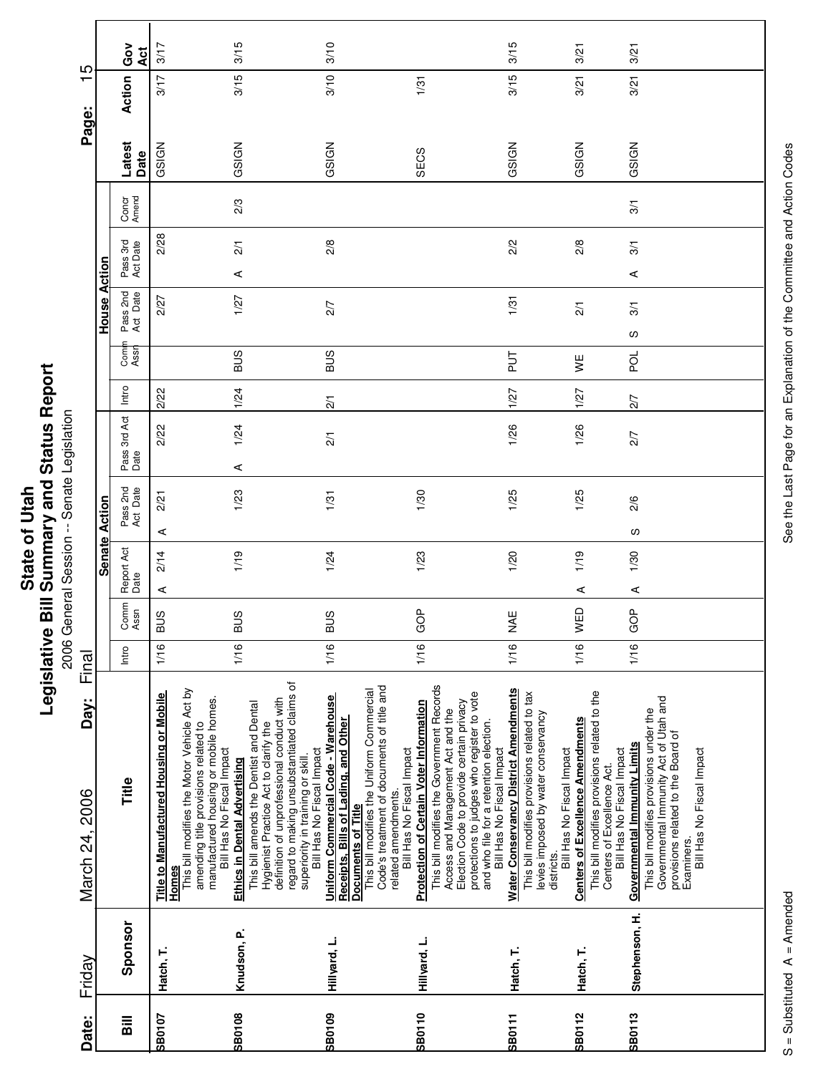| 3<br>Statu.<br>۔<br>7<br>nand<br>⋍<br>nmary<br>ن<br>پ<br>State<br><b>Rill Sur</b><br>Ξ<br>vitslativ |
|-----------------------------------------------------------------------------------------------------|
|-----------------------------------------------------------------------------------------------------|

onative Diri Deminitary and Dictatory<br>2006 General Session -- Senate Legislation 2006 General Session -- Senate Legislation

| Date:                              | Friday         | Day:<br>March 24, 2006                                                                                                                                    | Final |              |                    |                      |                      |               |             |                      |                      |                |                | ഥ<br>$\overline{\phantom{0}}$<br>Page: |               |
|------------------------------------|----------------|-----------------------------------------------------------------------------------------------------------------------------------------------------------|-------|--------------|--------------------|----------------------|----------------------|---------------|-------------|----------------------|----------------------|----------------|----------------|----------------------------------------|---------------|
|                                    |                |                                                                                                                                                           |       |              |                    | <b>Senate Action</b> |                      |               |             | House Action         |                      |                |                |                                        |               |
| $\overline{\overline{\mathbf{a}}}$ | Sponsor        | Title                                                                                                                                                     | Intro | Comm<br>Assn | Report Act<br>Date | Pass 2nd<br>Act Date | Pass 3rd Act<br>Date | Intro         | Com<br>Assr | Pass 2nd<br>Act Date | Pass 3rd<br>Act Date | Concr<br>Amend | Latest<br>Date | Action                                 | Ğ<br>O<br>4ct |
| <b>SB0107</b>                      | Hatch, T.      | Title to Manufactured Housing or Mobile<br>Homes                                                                                                          | 1/16  | <b>BUS</b>   | 2/14<br>⋖          | 2/21<br>⋖            | 2/22                 | 2/22          |             | 2/27                 | 2/28                 |                | GSIGN          | 3/17                                   | 3/17          |
|                                    |                | This bill modifies the Motor Vehicle Act by<br>manufactured housing or mobile homes.<br>amending title provisions related to<br>Bill Has No Fiscal Impact |       |              |                    |                      |                      |               |             |                      |                      |                |                |                                        |               |
| <b>SB0108</b>                      | Knudson, P.    | This bill amends the Dentist and Dental<br>Hygienist Practice Act to clarify the<br><b>Ethics in Dental Advertising</b>                                   | 1/16  | <b>BUS</b>   | 1/19               | 1/23                 | 1/24<br>⋖            | 1/24          | <b>BUS</b>  | 1/27                 | $\overline{21}$<br>⋖ | 2/3            | GSIGN          | 3/15                                   | 3/15          |
|                                    |                | regard to making unsubstantiated claims of<br>definition of unprofessional conduct with<br>Bill Has No Fiscal Impact<br>superiority in training or skill. |       |              |                    |                      |                      |               |             |                      |                      |                |                |                                        |               |
| SB0109                             | Hillyard, L.   | Uniform Commercial Code - Warehouse<br>Receipts, Bills of Lading, and Other                                                                               | 1/16  | <b>BUS</b>   | 1/24               | 1/31                 | $\frac{2}{1}$        | $\frac{2}{1}$ | SUS         | $\overline{27}$      | 2/8                  |                | GSIGN          | 3/10                                   | 3/10          |
|                                    |                | Code's treatment of documents of title and<br>This bill modifies the Uniform Commercial<br>related amendments.<br><b>Documents of Title</b>               |       |              |                    |                      |                      |               |             |                      |                      |                |                |                                        |               |
| SB0110                             | Hillyard, L.   | <b>Protection of Certain Voter Information</b><br>Bill Has No Fiscal Impact                                                                               | 1/16  | GOP          | 1/23               | 1/30                 |                      |               |             |                      |                      |                | SECS           | 1/31                                   |               |
|                                    |                | This bill modifies the Government Records<br>Election Code to provide certain privacy<br>Access and Management Act and the                                |       |              |                    |                      |                      |               |             |                      |                      |                |                |                                        |               |
|                                    |                | protections to judges who register to vote<br>and who file for a retention election.<br>Bill Has No Fiscal Impact                                         |       |              |                    |                      |                      |               |             |                      |                      |                |                |                                        |               |
| <b>SB0111</b>                      | Hatch, T.      | <b>Water Conservancy District Amendments</b><br>This bill modifies provisions related to tax                                                              | 1/16  | M<br>M       | 1/20               | 1/25                 | 1/26                 | 1/27          | 11g         | 1/31                 | 2/2                  |                | GSIGN          | 3/15                                   | 3/15          |
| <b>SB0112</b>                      | Hatch, T.      | levies imposed by water conservancy<br><b>Centers of Excellence Amendments</b><br>Bill Has No Fiscal Impact<br>districts.                                 | 1/16  | WED          | 1/19<br>⋖          | 1/25                 | 1/26                 | 1/27          | ¥           | $\overline{21}$      | 2/8                  |                | GSIGN          | 3/21                                   | 3/21          |
|                                    |                | This bill modifies provisions related to the<br>Bill Has No Fiscal Impact<br>Centers of Excellence Act.                                                   |       |              |                    |                      |                      |               |             |                      |                      |                |                |                                        |               |
| <b>SB0113</b>                      | Stephenson, H. | <b>Governmental Immunity Limits</b>                                                                                                                       | 1/16  | GOP          | 1/30<br>⋖          | 2/6<br>လ             | 2/7                  | 2/7           | pol         | 3/1<br>S             | 3/1<br>⋖             | 3/1            | GSIGN          | 3/21                                   | 3/21          |
|                                    |                | Governmental Immunity Act of Utah and<br>This bill modifies provisions under the<br>provisions related to the Board of<br>Examiners.                      |       |              |                    |                      |                      |               |             |                      |                      |                |                |                                        |               |
|                                    |                | Bill Has No Fiscal Impact                                                                                                                                 |       |              |                    |                      |                      |               |             |                      |                      |                |                |                                        |               |
|                                    |                |                                                                                                                                                           |       |              |                    |                      |                      |               |             |                      |                      |                |                |                                        |               |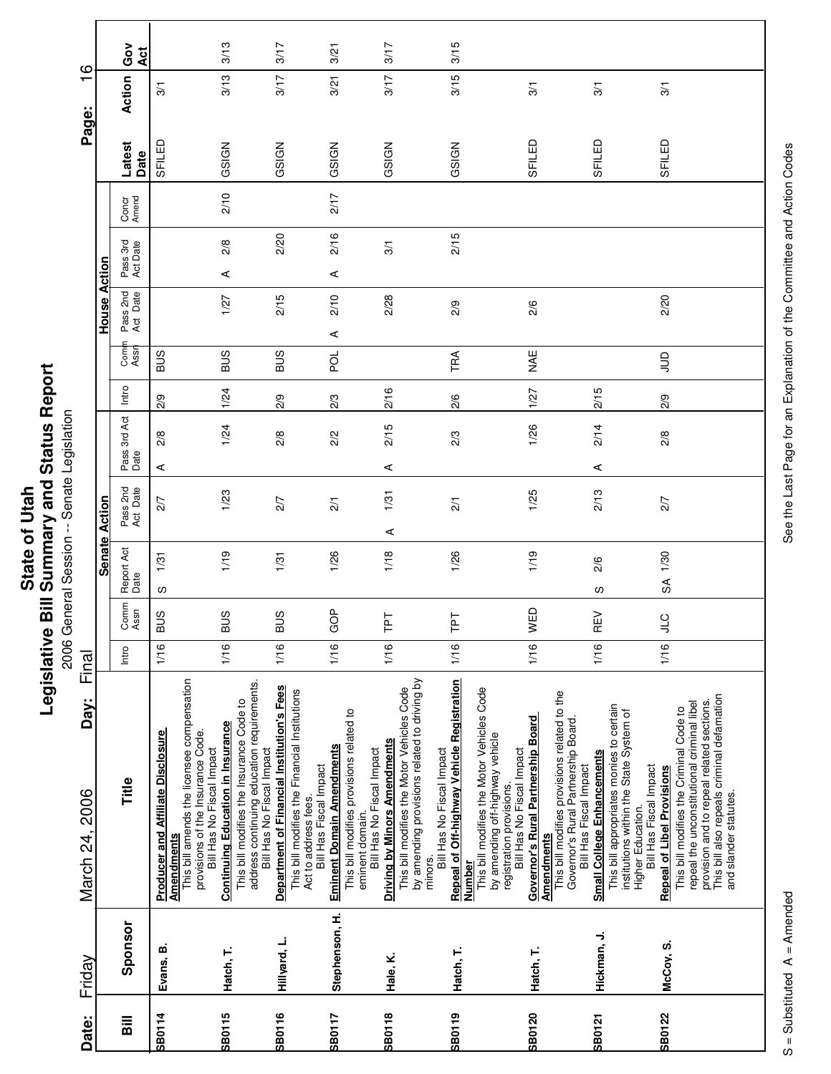|                                | ው<br>ድ<br>Status I          |
|--------------------------------|-----------------------------|
| <b>Utah</b><br>₹<br>ō<br>State | ' and<br>Summary            |
|                                | $\frac{1}{2}$<br>egislative |

## eport **Legislative Bill Summary and Status Report** onative Diri Deminitary and Dictatory<br>2006 General Session -- Senate Legislation

2006 General Session -- Senate Legislation

| March 24, 2006<br>Friday                                                                                                                                                                                                                              | Day: | Final |                    | <b>Senate Action</b> |                      |       |               | <b>House Action</b>  |                      |                |                | $\overline{\phantom{0}}$<br>Page: | $\circ$    |
|-------------------------------------------------------------------------------------------------------------------------------------------------------------------------------------------------------------------------------------------------------|------|-------|--------------------|----------------------|----------------------|-------|---------------|----------------------|----------------------|----------------|----------------|-----------------------------------|------------|
| Comm<br>Assn<br>Intro<br>Title<br>Sponsor                                                                                                                                                                                                             |      |       | Report Act<br>Date | Pass 2nd<br>Act Date | Pass 3rd Act<br>Date | Intro | Comn<br>Assn  | Pass 2nd<br>Act Date | Pass 3rd<br>Act Date | Concr<br>Amend | Latest<br>Date | Action                            | Gov<br>Act |
| <b>BUS</b><br>1/16<br><b>Producer and Affiliate Disclosure</b><br><b>Amendments</b><br>Evans, B.                                                                                                                                                      |      |       | 1/31<br>w          | 2/7                  | 2/8<br>⋖             | 2/9   | <b>SUB</b>    |                      |                      |                | SFILED         | $\overline{3}$                    |            |
| <b>BUS</b><br>1/16<br>This bill amends the licensee compensation<br><b>Continuing Education in Insurance</b><br>provisions of the Insurance Code.<br>Bill Has No Fiscal Impact<br>Hatch, T.                                                           |      |       | 1/19               | 1/23                 | 1/24                 | 1/24  | <b>SUS</b>    | 1/27                 | 2/8<br>⋖             | 2/10           | GSIGN          | 3/13                              | 3/13       |
| <b>BUS</b><br>1/16<br>address continuing education requirements.<br><b>Department of Financial Institution's Fees</b><br>This bill modifies the Insurance Code to<br>Bill Has No Fiscal Impact<br>Hillyard, L.                                        |      |       | 1/31               | 2/7                  | $\frac{2}{8}$        | 2/9   | <b>SUS</b>    | 2/15                 | 2/20                 |                | GSIGN          | 3/17                              | 3/17       |
| GOP<br>1/16<br>This bill modifies the Financial Institutions<br>This bill modifies provisions related to<br><b>Eminent Domain Amendments</b><br>Bill Has Fiscal Impact<br>Act to address fees.<br>Stephenson, H.                                      |      |       | 1/26               | $\overline{21}$      | 2/2                  | 2/3   | pol           | 2/10<br>⋖            | 2/16<br>⋖            | 2/17           | GSIGN          | 3/21                              | 3/21       |
| <b>Tel</b><br>1/16<br>This bill modifies the Motor Vehicles Code<br><b>Driving by Minors Amendments</b><br>Bill Has No Fiscal Impact<br>eminent domain.<br>Hale, K.                                                                                   |      |       | 1/18               | 1/31<br>⋖            | 2/15<br>⋖            | 2/16  |               | 2/28                 | 3/1                  |                | GSIGN          | 3/17                              | 3/17       |
| 눈<br>⊢<br>1/16<br><b>Repeal of Off-highway Vehicle Registration</b><br>by amending provisions related to driving by<br>Bill Has No Fiscal Impact<br>minors.<br><b>Number</b><br>Hatch, T.                                                             |      |       | 1/26               | $\overline{21}$      | 2/3                  | 2/6   | TRA           | 2/9                  | 2/15                 |                | GSIGN          | 3/15                              | 3/15       |
| WED<br>1/16<br>This bill modifies the Motor Vehicles Code<br>Governor's Rural Partnership Board<br>by amending off-highway vehicle<br>Bill Has No Fiscal Impact<br>registration provisions.<br><b>Amendments</b><br>Hatch, T.                         |      |       | 1/19               | 1/25                 | 1/26                 | 1/27  | <b>NAE</b>    | 2/6                  |                      |                | SFILED         | 3/1                               |            |
| $\Xi$<br>Œ<br>1/16<br>This bill modifies provisions related to the<br>Governor's Rural Partnership Board.<br><b>Small College Enhancements</b><br>Bill Has Fiscal Impact<br>Hickman, J.                                                               |      |       | 2/6<br>S           | 2/13                 | 2/14<br>⋖            | 2/15  |               |                      |                      |                | SFILED         | $\frac{5}{2}$                     |            |
| <b>JTC</b><br>1/16<br>This bill appropriates monies to certain<br>This bill modifies the Criminal Code to<br>institutions within the State System of<br>Bill Has Fiscal Impact<br><b>Repeal of Libel Provisions</b><br>Higher Education.<br>McCoy, S. |      |       | SA 1/30            | 2/7                  | 2/8                  | 2/9   | $\frac{1}{2}$ | 2/20                 |                      |                | SFILED         | 3/1                               |            |
| This bill also repeals criminal defamation<br>provision and to repeal related sections.<br>repeal the unconstitutional criminal libel<br>and slander statutes.                                                                                        |      |       |                    |                      |                      |       |               |                      |                      |                |                |                                   |            |

See the Last Page for an Explanation of the Committee and Action Codes S = Substituted A = Amended A = Amended See the Last Page for an Explanation of the Committee and Action Codes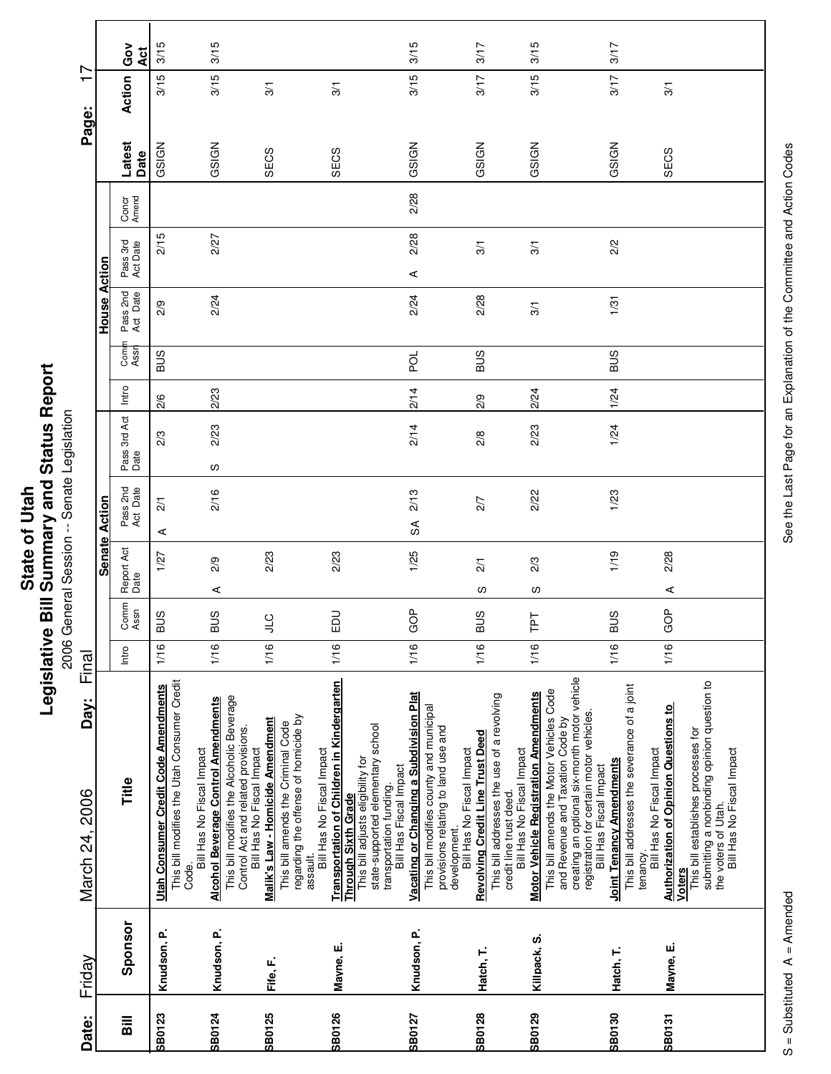| Repo<br>π<br>Statu<br>-<br>bure<br>.<br>–<br>∑<br>nmar<br>$\mathbb{I}$<br>State<br>یم<br>=<br>=<br>vislativ |
|-------------------------------------------------------------------------------------------------------------|
|-------------------------------------------------------------------------------------------------------------|

| Friday                                                                                                                                                                                                                                              | March 24, 2006 | Day: | Final |              |                      |                        |                      |       |              |                      |                      |                |                | ┯<br>Page:    | r         |
|-----------------------------------------------------------------------------------------------------------------------------------------------------------------------------------------------------------------------------------------------------|----------------|------|-------|--------------|----------------------|------------------------|----------------------|-------|--------------|----------------------|----------------------|----------------|----------------|---------------|-----------|
|                                                                                                                                                                                                                                                     |                |      |       |              |                      | <b>Senate Action</b>   |                      |       |              | House Action         |                      |                |                |               |           |
| Intro<br>Title<br>Sponsor                                                                                                                                                                                                                           |                |      |       | Comm<br>Assn | Report Act<br>Date   | Pass 2nd<br>Act Date   | Pass 3rd Act<br>Date | Intro | Comn<br>Assn | Pass 2nd<br>Act Date | Pass 3rd<br>Act Date | Concr<br>Amend | Latest<br>Date | Action        | Ğο<br>Act |
| 1/16<br>This bill modifies the Utah Consumer Credit<br><b>Utah Consumer Credit Code Amendments</b><br>Code.<br>Knudson, P.                                                                                                                          |                |      |       | <b>BUS</b>   | 1/27                 | $\overline{21}$<br>⋖   | 2/3                  | 2/6   | <b>BUS</b>   | 2/9                  | 2/15                 |                | GSIGN          | 3/15          | 3/15      |
| <b>BUS</b><br>1/16<br><b>Alcohol Beverage Control Amendments</b><br>Bill Has No Fiscal Impact<br>Knudson, P.                                                                                                                                        |                |      |       |              | 2/9<br>⋖             | 2/16                   | 2/23<br>လ            | 2/23  |              | 2/24                 | 2/27                 |                | GSIGN          | 3/15          | 3/15      |
| $\frac{1}{2}$<br>1/16<br>This bill modifies the Alcoholic Beverage<br>Malik's Law - Homicide Amendment<br>This bill amends the Criminal Code<br>Control Act and related provisions.<br>Bill Has No Fiscal Impact<br>Fife, F.                        |                |      |       |              | 2/23                 |                        |                      |       |              |                      |                      |                | SECS           | $\frac{5}{2}$ |           |
| 1/16<br>Transportation of Children in Kindergarten<br>Through Sixth Grade<br>regarding the offense of homicide by<br>Bill Has No Fiscal Impact<br>This bill adjusts eligibility for<br>assault.<br>Mayne, E.                                        |                |      |       | EDU          | 2/23                 |                        |                      |       |              |                      |                      |                | SECS           | $\frac{5}{2}$ |           |
| GOP<br>1/16<br>Vacating or Changing a Subdivision Plat<br>This bill modifies county and municipal<br>state-supported elementary school<br>provisions relating to land use and<br>Bill Has Fiscal Impact<br>transportation funding.<br>Knudson, P.   |                |      |       |              | 1/25                 | 2/13<br>$\mathfrak{F}$ | 2/14                 | 2/14  | pol          | 2/24                 | 2/28<br>⋖            | 2/28           | GSIGN          | 3/15          | 3/15      |
| <b>BUS</b><br>1/16<br>This bill addresses the use of a revolving<br><b>Revolving Credit Line Trust Deed</b><br>Bill Has No Fiscal Impact<br>credit line trust deed.<br>development.<br>Hatch, T.                                                    |                |      |       |              | $\overline{21}$<br>w | 2/7                    | 2/8                  | 2/9   | <b>SUS</b>   | 2/28                 | 3/1                  |                | GSIGN          | 3/17          | 3/17      |
| ⊢<br>1/16<br>This bill amends the Motor Vehicles Code<br><b>Motor Vehicle Registration Amendments</b><br>and Revenue and Taxation Code by<br>Bill Has No Fiscal Impact<br>Killpack, S.                                                              |                |      |       | 군            | 2/3<br>w             | 2/22                   | 2/23                 | 2/24  |              | 3/1                  | 3/1                  |                | GSIGN          | 3/15          | 3/15      |
| <b>SUS</b><br>1/16<br>creating an optional six-month motor vehicle<br>This bill addresses the severance of a joint<br>registration for certain motor vehicles.<br><b>Joint Tenancy Amendments</b><br>Bill Has Fiscal Impact<br>tenancy<br>Hatch, T. |                |      |       |              | 1/19                 | 1/23                   | 1/24                 | 1/24  | <b>BUS</b>   | 1/31                 | 2/2                  |                | GSIGN          | 3/17          | 3/17      |
| GOP<br>1/16<br><b>Authorization of Opinion Questions to<br/>Voters</b><br>This bill establishes processes for<br>Bill Has No Fiscal Impact<br>Mayne, E.                                                                                             |                |      |       |              | 2/28<br>⋖            |                        |                      |       |              |                      |                      |                | SECS           | 3/1           |           |
| submitting a nonbinding opinion question to<br>Bill Has No Fiscal Impact<br>the voters of Utah.                                                                                                                                                     |                |      |       |              |                      |                        |                      |       |              |                      |                      |                |                |               |           |

See the Last Page for an Explanation of the Committee and Action Codes S = Substituted A = Amended A = Amended See the Last Page for an Explanation of the Committee and Action Codes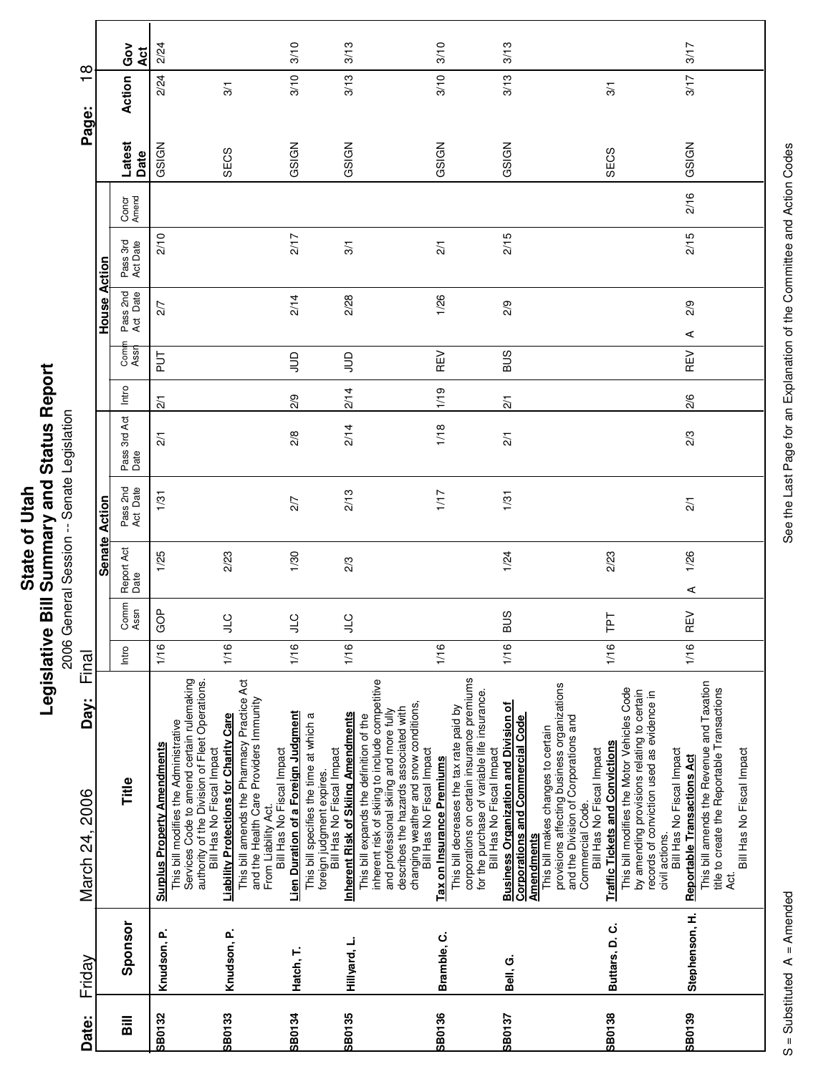**Printing Conditions of the Second Session**<br>2006 General Session -- Senate Legislation 2006 General Session -- Senate Legislation

|                        |               | Ğo<br>ă              | 2/24                                                                        |                                                                                                                                                                           |                                                                                                                                          | 3/10                                                                           | 3/13                                                                                                                                           |                                                                                                                                                                                                         | 3/10                      |                                                                                                                                                                     | 3/13                                                                                                         |                                                                                                                                                                                                                      |                                                                                                                                                                                      | 3/17                                                                                                                                                               |  |
|------------------------|---------------|----------------------|-----------------------------------------------------------------------------|---------------------------------------------------------------------------------------------------------------------------------------------------------------------------|------------------------------------------------------------------------------------------------------------------------------------------|--------------------------------------------------------------------------------|------------------------------------------------------------------------------------------------------------------------------------------------|---------------------------------------------------------------------------------------------------------------------------------------------------------------------------------------------------------|---------------------------|---------------------------------------------------------------------------------------------------------------------------------------------------------------------|--------------------------------------------------------------------------------------------------------------|----------------------------------------------------------------------------------------------------------------------------------------------------------------------------------------------------------------------|--------------------------------------------------------------------------------------------------------------------------------------------------------------------------------------|--------------------------------------------------------------------------------------------------------------------------------------------------------------------|--|
| $\frac{8}{1}$<br>Page: |               | Action               | 2/24                                                                        | 3/1                                                                                                                                                                       |                                                                                                                                          | 3/10                                                                           | 3/13                                                                                                                                           |                                                                                                                                                                                                         | 3/10                      |                                                                                                                                                                     | 3/13                                                                                                         | $\overline{3}$                                                                                                                                                                                                       |                                                                                                                                                                                      | 3/17                                                                                                                                                               |  |
|                        |               | Latest<br>Date       | GSIGN                                                                       | SECS                                                                                                                                                                      |                                                                                                                                          | GSIGN                                                                          | GSIGN                                                                                                                                          |                                                                                                                                                                                                         | GSIGN                     |                                                                                                                                                                     | GSIGN                                                                                                        | SECS                                                                                                                                                                                                                 |                                                                                                                                                                                      | GSIGN                                                                                                                                                              |  |
|                        |               | Concr<br>Amend       |                                                                             |                                                                                                                                                                           |                                                                                                                                          |                                                                                |                                                                                                                                                |                                                                                                                                                                                                         |                           |                                                                                                                                                                     |                                                                                                              |                                                                                                                                                                                                                      |                                                                                                                                                                                      | 2/16                                                                                                                                                               |  |
|                        | Action        | Pass 3rd<br>Act Date | 2/10                                                                        |                                                                                                                                                                           |                                                                                                                                          | 2/17                                                                           | 3/1                                                                                                                                            |                                                                                                                                                                                                         | $\overline{21}$           |                                                                                                                                                                     | 2/15                                                                                                         |                                                                                                                                                                                                                      |                                                                                                                                                                                      | 2/15                                                                                                                                                               |  |
|                        | House         | Pass 2nd<br>Act Date | 2/7                                                                         |                                                                                                                                                                           |                                                                                                                                          | 2/14                                                                           | 2/28                                                                                                                                           |                                                                                                                                                                                                         | 1/26                      |                                                                                                                                                                     | 2/9                                                                                                          |                                                                                                                                                                                                                      |                                                                                                                                                                                      | 2/9<br>⋖                                                                                                                                                           |  |
|                        |               | Comi<br>Assr         | 5<br>P                                                                      |                                                                                                                                                                           |                                                                                                                                          | $\supseteq$                                                                    | $\Xi$                                                                                                                                          |                                                                                                                                                                                                         | REV                       |                                                                                                                                                                     | <b>SUB</b>                                                                                                   |                                                                                                                                                                                                                      |                                                                                                                                                                                      | <b>REV</b>                                                                                                                                                         |  |
|                        |               | Intro                | $\frac{2}{1}$                                                               |                                                                                                                                                                           |                                                                                                                                          | 2/9                                                                            | 2/14                                                                                                                                           |                                                                                                                                                                                                         | 1/19                      |                                                                                                                                                                     | $\overline{21}$                                                                                              |                                                                                                                                                                                                                      |                                                                                                                                                                                      | 2/6                                                                                                                                                                |  |
|                        |               | Pass 3rd Act<br>Date | $\overline{2}$                                                              |                                                                                                                                                                           |                                                                                                                                          | 2/8                                                                            | 2/14                                                                                                                                           |                                                                                                                                                                                                         | 1/18                      |                                                                                                                                                                     | $\overline{21}$                                                                                              |                                                                                                                                                                                                                      |                                                                                                                                                                                      | 2/3                                                                                                                                                                |  |
|                        | Action        | Pass 2nd<br>Act Date | 1/31                                                                        |                                                                                                                                                                           |                                                                                                                                          | 2/7                                                                            | 2/13                                                                                                                                           |                                                                                                                                                                                                         | 1/17                      |                                                                                                                                                                     | 1/31                                                                                                         |                                                                                                                                                                                                                      |                                                                                                                                                                                      | $\overline{2}$                                                                                                                                                     |  |
|                        | <b>Senate</b> | Report Act<br>Date   | 1/25                                                                        | 2/23                                                                                                                                                                      |                                                                                                                                          | 1/30                                                                           | 2/3                                                                                                                                            |                                                                                                                                                                                                         |                           |                                                                                                                                                                     | 1/24                                                                                                         | 2/23                                                                                                                                                                                                                 |                                                                                                                                                                                      | 1/26<br>⋖                                                                                                                                                          |  |
|                        |               | Comm<br>Assn         | ģ<br>O                                                                      | $\frac{1}{2}$                                                                                                                                                             |                                                                                                                                          | $\overline{a}$<br>⋾                                                            | <b>JTC</b>                                                                                                                                     |                                                                                                                                                                                                         |                           |                                                                                                                                                                     | <b>BUS</b>                                                                                                   | ΓF                                                                                                                                                                                                                   |                                                                                                                                                                                      | $\geq$<br>Œ                                                                                                                                                        |  |
| Final                  |               | Intro                | 1/16                                                                        | 1/16                                                                                                                                                                      |                                                                                                                                          | 1/16                                                                           | 1/16                                                                                                                                           |                                                                                                                                                                                                         | 1/16                      |                                                                                                                                                                     | 1/16                                                                                                         | 1/16                                                                                                                                                                                                                 |                                                                                                                                                                                      | 1/16                                                                                                                                                               |  |
| Day:<br>March 24, 2006 |               | Title                | This bill modifies the Administrative<br><b>Surplus Property Amendments</b> | Services Code to amend certain rulemaking<br>authority of the Division of Fleet Operations.<br><b>Liability Protections for Charity Care</b><br>Bill Has No Fiscal Impact | This bill amends the Pharmacy Practice Act<br>and the Health Care Providers Immunity<br>Bill Has No Fiscal Impact<br>From Liability Act. | Lien Duration of a Foreign Judgment<br>This bill specifies the time at which a | <b>Inherent Risk of Skiing Amendments</b><br>This bill expands the definition of the<br>Bill Has No Fiscal Impact<br>foreign judgment expires. | inherent risk of skiing to include competitive<br>changing weather and snow conditions,<br>describes the hazards associated with<br>and professional skiing and more fully<br>Bill Has No Fiscal Impact | Tax on Insurance Premiums | corporations on certain insurance premiums<br>for the purchase of variable life insurance.<br>This bill decreases the tax rate paid by<br>Bill Has No Fiscal Impact | <b>Business Organization and Division of</b><br><b>Corporations and Commercial Code</b><br><b>Amendments</b> | provisions affecting business organizations<br>and the Division of Corporations and<br>This bill makes changes to certain<br><b>Traffic Tickets and Convictions</b><br>Bill Has No Fiscal Impact<br>Commercial Code. | This bill modifies the Motor Vehicles Code<br>by amending provisions relating to certain<br>records of conviction used as evidence in<br>Bill Has No Fiscal Impact<br>civil actions. | This bill amends the Revenue and Taxation<br>title to create the Reportable Transactions<br>Bill Has No Fiscal Impact<br><b>Reportable Transactions Act</b><br>4d. |  |
| Friday                 |               | Sponsor              | Knudson, P.                                                                 |                                                                                                                                                                           | Knudson, P.                                                                                                                              | Hatch, T.                                                                      | Hillyard, L.                                                                                                                                   |                                                                                                                                                                                                         | Bramble, C.               |                                                                                                                                                                     | Bell, G.                                                                                                     |                                                                                                                                                                                                                      | Buttars, D.C.                                                                                                                                                                        | Stephenson, H.                                                                                                                                                     |  |
| Date:                  |               | <b>Sill</b>          | <b>SB0132</b>                                                               | <b>SB0133</b>                                                                                                                                                             |                                                                                                                                          | SB0134                                                                         | SB0135                                                                                                                                         |                                                                                                                                                                                                         | SB0136                    |                                                                                                                                                                     | <b>SB0137</b>                                                                                                | SB0138                                                                                                                                                                                                               |                                                                                                                                                                                      | SB0139                                                                                                                                                             |  |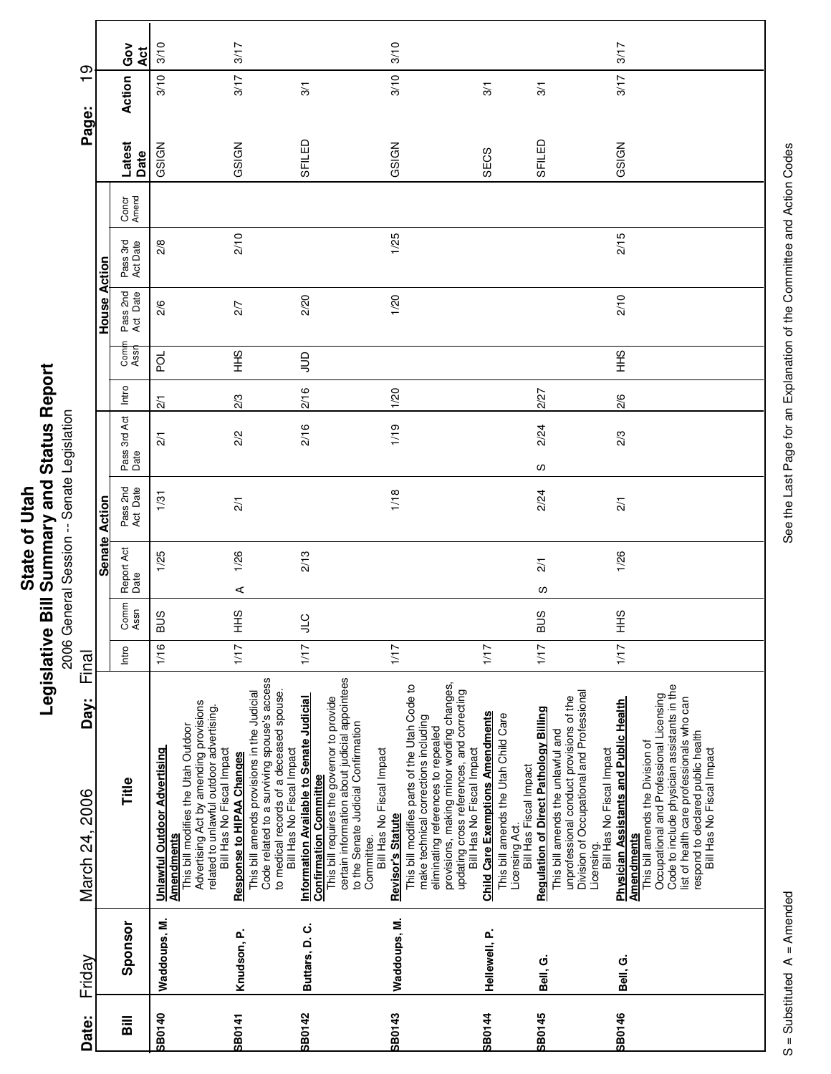onative Diri Deminitary and Direction<br>2006 General Session -- Senate Legislation 2006 General Session -- Senate Legislation

|                        |               | Ğo<br>Act            | 3/10                                                                                                                                                                                  | 3/17                                                                                                                                                                                                    |                                                                                                                                                                                                                                                                                         | 3/10                                                                                                                                                                                                                                                                          |                                                                                                                             |                                                                                                                                                                                                                        | 3/17                                                                                                                                                                                                                                                                                                            |
|------------------------|---------------|----------------------|---------------------------------------------------------------------------------------------------------------------------------------------------------------------------------------|---------------------------------------------------------------------------------------------------------------------------------------------------------------------------------------------------------|-----------------------------------------------------------------------------------------------------------------------------------------------------------------------------------------------------------------------------------------------------------------------------------------|-------------------------------------------------------------------------------------------------------------------------------------------------------------------------------------------------------------------------------------------------------------------------------|-----------------------------------------------------------------------------------------------------------------------------|------------------------------------------------------------------------------------------------------------------------------------------------------------------------------------------------------------------------|-----------------------------------------------------------------------------------------------------------------------------------------------------------------------------------------------------------------------------------------------------------------------------------------------------------------|
| $\frac{6}{1}$          |               | Action               | 3/10                                                                                                                                                                                  | 3/17                                                                                                                                                                                                    | 3/1                                                                                                                                                                                                                                                                                     | 3/10                                                                                                                                                                                                                                                                          | 3/1                                                                                                                         | $\frac{5}{2}$                                                                                                                                                                                                          | 3/17                                                                                                                                                                                                                                                                                                            |
| Page:                  |               |                      |                                                                                                                                                                                       |                                                                                                                                                                                                         |                                                                                                                                                                                                                                                                                         |                                                                                                                                                                                                                                                                               |                                                                                                                             |                                                                                                                                                                                                                        |                                                                                                                                                                                                                                                                                                                 |
|                        |               | Latest<br>Date       | GSIGN                                                                                                                                                                                 | GSIGN                                                                                                                                                                                                   | SFILED                                                                                                                                                                                                                                                                                  | GSIGN                                                                                                                                                                                                                                                                         | SECS                                                                                                                        | SFILED                                                                                                                                                                                                                 | GSIGN                                                                                                                                                                                                                                                                                                           |
|                        |               | Concr<br>Amend       |                                                                                                                                                                                       |                                                                                                                                                                                                         |                                                                                                                                                                                                                                                                                         |                                                                                                                                                                                                                                                                               |                                                                                                                             |                                                                                                                                                                                                                        |                                                                                                                                                                                                                                                                                                                 |
|                        | Action        | Pass 3rd<br>Act Date | 2/8                                                                                                                                                                                   | 2/10                                                                                                                                                                                                    |                                                                                                                                                                                                                                                                                         | 1/25                                                                                                                                                                                                                                                                          |                                                                                                                             |                                                                                                                                                                                                                        | 2/15                                                                                                                                                                                                                                                                                                            |
|                        | House         | Pass 2nd<br>Act Date | 2/6                                                                                                                                                                                   | 2/7                                                                                                                                                                                                     | 2/20                                                                                                                                                                                                                                                                                    | 1/20                                                                                                                                                                                                                                                                          |                                                                                                                             |                                                                                                                                                                                                                        | 2/10                                                                                                                                                                                                                                                                                                            |
|                        |               | Com<br>Assr          | pol                                                                                                                                                                                   | $rac{9}{5}$                                                                                                                                                                                             | $\Xi$                                                                                                                                                                                                                                                                                   |                                                                                                                                                                                                                                                                               |                                                                                                                             |                                                                                                                                                                                                                        | $rac{9}{1}$                                                                                                                                                                                                                                                                                                     |
|                        |               | Intro                | $\overline{21}$                                                                                                                                                                       | 2/3                                                                                                                                                                                                     | 2/16                                                                                                                                                                                                                                                                                    | 1/20                                                                                                                                                                                                                                                                          |                                                                                                                             | 2/27                                                                                                                                                                                                                   | 2/6                                                                                                                                                                                                                                                                                                             |
|                        |               | Pass 3rd Act<br>Date | $\frac{2}{1}$                                                                                                                                                                         | 2/2                                                                                                                                                                                                     | 2/16                                                                                                                                                                                                                                                                                    | 1/19                                                                                                                                                                                                                                                                          |                                                                                                                             | 2/24<br>w                                                                                                                                                                                                              | 2/3                                                                                                                                                                                                                                                                                                             |
|                        | Action        | Pass 2nd<br>Act Date | 1/31                                                                                                                                                                                  | $\overline{21}$                                                                                                                                                                                         |                                                                                                                                                                                                                                                                                         | 1/18                                                                                                                                                                                                                                                                          |                                                                                                                             | 2/24                                                                                                                                                                                                                   | $\overline{21}$                                                                                                                                                                                                                                                                                                 |
|                        | <b>Senate</b> | Report Act<br>Date   | 1/25                                                                                                                                                                                  | 1/26<br>⋖                                                                                                                                                                                               | 2/13                                                                                                                                                                                                                                                                                    |                                                                                                                                                                                                                                                                               |                                                                                                                             | $\frac{2}{1}$<br>ഗ                                                                                                                                                                                                     | 1/26                                                                                                                                                                                                                                                                                                            |
|                        |               | Comm<br>Assn         | <b>BUS</b>                                                                                                                                                                            | SHH                                                                                                                                                                                                     | $rac{C}{\sqrt{2}}$                                                                                                                                                                                                                                                                      |                                                                                                                                                                                                                                                                               |                                                                                                                             | <b>BUS</b>                                                                                                                                                                                                             | SHH                                                                                                                                                                                                                                                                                                             |
| Final                  |               | Intro                | 1/16                                                                                                                                                                                  | 1/17                                                                                                                                                                                                    | 1/17                                                                                                                                                                                                                                                                                    | 1/17                                                                                                                                                                                                                                                                          | 1/17                                                                                                                        | 1/17                                                                                                                                                                                                                   | 1/17                                                                                                                                                                                                                                                                                                            |
| Day:<br>March 24, 2006 |               | Title                | Advertising Act by amending provisions<br>related to unlawful outdoor advertising.<br>This bill modifies the Utah Outdoor<br><b>Unlawful Outdoor Advertising</b><br><b>Amendments</b> | Code related to a surviving spouse's access<br>This bill amends provisions in the Judicial<br>to medical records of a deceased spouse.<br>Bill Has No Fiscal Impact<br><b>Response to HIPAA Changes</b> | certain information about judicial appointees<br>This bill requires the governor to provide<br>Information Available to Senate Judicial<br>to the Senate Judicial Confirmation<br>Bill Has No Fiscal Impact<br>Bill Has No Fiscal Impact<br><b>Confirmation Committee</b><br>Committee. | provisions, making minor wording changes,<br>This bill modifies parts of the Utah Code to<br>updating cross references, and correcting<br>make technical corrections including<br>eliminating references to repealed<br>Bill Has No Fiscal Impact<br><b>Revisor's Statute</b> | <b>Child Care Exemptions Amendments</b><br>This bill amends the Utah Child Care<br>Bill Has Fiscal Impact<br>Licensing Act. | Division of Occupational and Professional<br>unprofessional conduct provisions of the<br><b>Regulation of Direct Pathology Billing</b><br>This bill amends the unlawful and<br>Bill Has No Fiscal Impact<br>Licensing. | Code to include physician assistants in the<br>Occupational and Professional Licensing<br>list of health care professionals who can<br><b>Physician Assistants and Public Health</b><br>respond to declared public health<br>This bill amends the Division of<br>Bill Has No Fiscal Impact<br><b>Amendments</b> |
| Friday                 |               | Sponsor              | Waddoups, M.                                                                                                                                                                          | Knudson, P.                                                                                                                                                                                             | Buttars, D.C.                                                                                                                                                                                                                                                                           | Waddoups, M.                                                                                                                                                                                                                                                                  | Hellewell, P.                                                                                                               | Bell, G.                                                                                                                                                                                                               | Bell, G.                                                                                                                                                                                                                                                                                                        |
| Date:                  |               | $\overline{a}$       | <b>SB0140</b>                                                                                                                                                                         | <b>SB0141</b>                                                                                                                                                                                           | SB0142                                                                                                                                                                                                                                                                                  | <b>SB0143</b>                                                                                                                                                                                                                                                                 | <b>SB0144</b>                                                                                                               | <b>SB0145</b>                                                                                                                                                                                                          | SB0146                                                                                                                                                                                                                                                                                                          |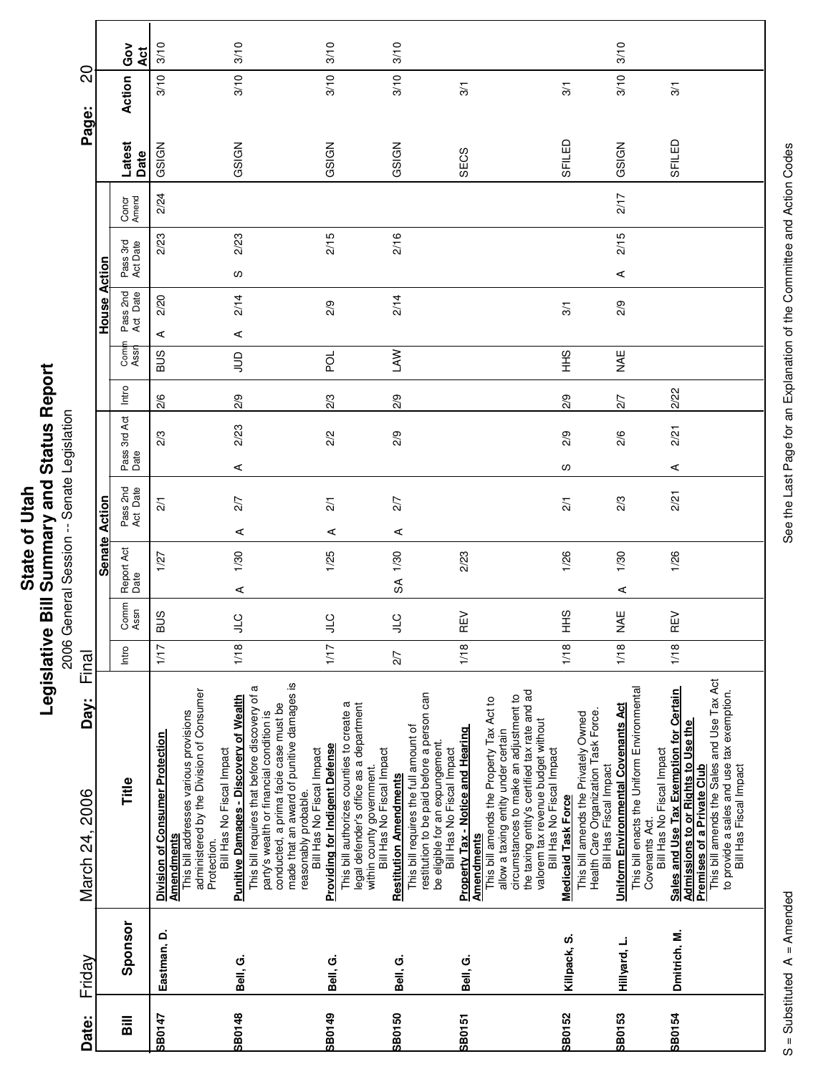| Date:         | Friday       | Day:<br>March 24, 2006                                                                                                                                                                                                                                                                                         | Final |              |                    |                      |                      |       |             |                      |                      |                |      | Page:          | 20             |            |
|---------------|--------------|----------------------------------------------------------------------------------------------------------------------------------------------------------------------------------------------------------------------------------------------------------------------------------------------------------------|-------|--------------|--------------------|----------------------|----------------------|-------|-------------|----------------------|----------------------|----------------|------|----------------|----------------|------------|
|               |              |                                                                                                                                                                                                                                                                                                                |       |              | <b>Senate</b>      | Action               |                      |       |             | House                | Action               |                |      |                |                |            |
| <b>Sill</b>   | Sponsor      | Title                                                                                                                                                                                                                                                                                                          | Intro | Comm<br>Assn | Report Act<br>Date | Pass 2nd<br>Act Date | Pass 3rd Act<br>Date | Intro | Com<br>Assi | Pass 2nd<br>Act Date | Pass 3rd<br>Act Date | Concr<br>Amend |      | Latest<br>Date | Action         | Gov<br>Act |
| <b>SB0147</b> | Eastman, D.  | administered by the Division of Consumer<br>This bill addresses various provisions<br><b>Division of Consumer Protection</b><br>Bill Has No Fiscal Impact<br><b>Amendments</b><br>Protection.                                                                                                                  | 1/17  | <b>BUS</b>   | 1/27               | $\overline{21}$      | 2/3                  | 2/6   | SUS         | 2/20<br>⋖            |                      | 2/23           | 2/24 | GSIGN          | 3/10           | 3/10       |
| SB0148        | Bell, G.     | made that an award of punitive damages is<br>This bill requires that before discovery of a<br><b>Punitive Damages - Discovery of Wealth</b><br>conducted, a prima facie case must be<br>party's wealth or financial condition is<br>Bill Has No Fiscal Impact<br>reasonably probable.                          | 1/18  | )<br>기       | 1/30<br>⋖          | 2/7<br>⋖             | 2/23<br>⋖            | 2/9   | $\Xi$       | 2/14<br>⋖            | လ                    | 2/23           |      | GSIGN          | 3/10           | 3/10       |
| SB0149        | Bell, G.     | This bill authorizes counties to create a<br>legal defender's office as a department<br><b>Providing for Indigent Defense</b><br>Bill Has No Fiscal Impact<br>within county government.                                                                                                                        | 1/17  | $\cup$       | 1/25               | $\frac{2}{1}$<br>⋖   | 2/2                  | 2/3   | pol         | 2/9                  |                      | 2/15           |      | GSIGN          | 3/10           | 3/10       |
| SB0150        | Bell, G.     | restitution to be paid before a person can<br>This bill requires the full amount of<br>be eligible for an expungement.<br>Bill Has No Fiscal Impact<br><b>Restitution Amendments</b>                                                                                                                           | 2/7   | $\cup$       | 1/30<br>SA         | 2/7<br>⋖             | 2/9                  | 2/9   | <b>NVT</b>  | 2/14                 |                      | 2/16           |      | GSIGN          | 3/10           | 3/10       |
| <b>SB0151</b> | Bell, G.     | the taxing entity's certified tax rate and ad<br>circumstances to make an adjustment to<br>This bill amends the Property Tax Act to<br>valorem tax revenue budget without<br><b>Property Tax - Notice and Hearing</b><br>allow a taxing entity under certain<br>Bill Has No Fiscal Impact<br><b>Amendments</b> | 1/18  | REV          | 2/23               |                      |                      |       |             |                      |                      |                |      | SECS           | 3/1            |            |
| SB0152        | Killpack, S. | Health Care Organization Task Force.<br>Bill Has Fiscal Impact<br>This bill amends the Privately Owned<br><b>Medicaid Task Force</b>                                                                                                                                                                           | 1/18  | SHH          | 1/26               | $\frac{2}{1}$        | 2/9<br>လ             | 2/9   | $rac{9}{1}$ | 3/1                  |                      |                |      | SFILED         | 3/1            |            |
| <b>SB0153</b> | Hillyard, L. | This bill enacts the Uniform Environmental<br>Uniform Environmental Covenants Act<br>Bill Has No Fiscal Impact<br>Covenants Act.                                                                                                                                                                               | 1/18  | WAE          | 1/30<br>⋖          | 2/3                  | 2/6                  | 2/7   | WAE         | 2/9                  | ⋖                    | 2/15           | 2/17 | GSIGN          | 3/10           | 3/10       |
| SB0154        | Dmitrich, M. | This bill amends the Sales and Use Tax Act<br>Sales and Use Tax Exemption for Certain<br>to provide a sales and use tax exemption.<br>Admissions to or Rights to Use the<br>Bill Has Fiscal Impact<br><b>Premises of a Private Club</b>                                                                        | 1/18  | REV          | 1/26               | 221                  | 2/21<br>⋖            | 2/22  |             |                      |                      |                |      | SFILED         | $\overline{3}$ |            |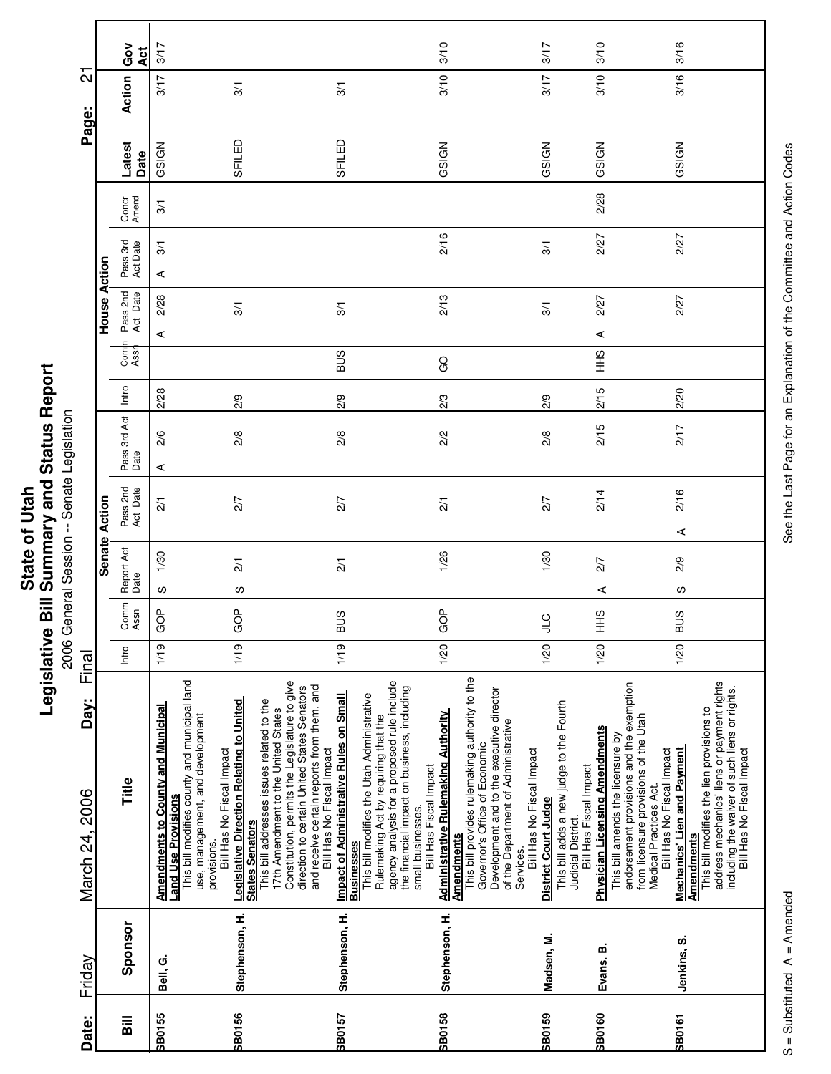**Printing Conditions of the Second Session**<br>2006 General Session -- Senate Legislation 2006 General Session -- Senate Legislation

|                        |               | Ğ<br>Act             | 3/17                                                                                                                                                                                                                                                |                                                                                                                                                                                                                                                                                                                                         | 3/10                                                                                                                                                                                                                                                                                              | 3/17                                                                                                                                                                                                                                                              | 3/10                                                                                                                              | 3/16                                                                                                                                                                                                                                                                                                                                                                                                              |
|------------------------|---------------|----------------------|-----------------------------------------------------------------------------------------------------------------------------------------------------------------------------------------------------------------------------------------------------|-----------------------------------------------------------------------------------------------------------------------------------------------------------------------------------------------------------------------------------------------------------------------------------------------------------------------------------------|---------------------------------------------------------------------------------------------------------------------------------------------------------------------------------------------------------------------------------------------------------------------------------------------------|-------------------------------------------------------------------------------------------------------------------------------------------------------------------------------------------------------------------------------------------------------------------|-----------------------------------------------------------------------------------------------------------------------------------|-------------------------------------------------------------------------------------------------------------------------------------------------------------------------------------------------------------------------------------------------------------------------------------------------------------------------------------------------------------------------------------------------------------------|
| ត                      |               | Action               | 3/17<br>$\frac{5}{1}$                                                                                                                                                                                                                               | 3/1                                                                                                                                                                                                                                                                                                                                     | 3/10                                                                                                                                                                                                                                                                                              | 3/17                                                                                                                                                                                                                                                              | 3/10                                                                                                                              | 3/16                                                                                                                                                                                                                                                                                                                                                                                                              |
| Page:                  |               | Latest<br>Date       | SFILED<br>GSIGN                                                                                                                                                                                                                                     | SFILED                                                                                                                                                                                                                                                                                                                                  | GSIGN                                                                                                                                                                                                                                                                                             | GSIGN                                                                                                                                                                                                                                                             | GSIGN                                                                                                                             | GSIGN                                                                                                                                                                                                                                                                                                                                                                                                             |
|                        |               | Concr<br>Amend       | $\overline{3}$                                                                                                                                                                                                                                      |                                                                                                                                                                                                                                                                                                                                         |                                                                                                                                                                                                                                                                                                   |                                                                                                                                                                                                                                                                   | 2/28                                                                                                                              |                                                                                                                                                                                                                                                                                                                                                                                                                   |
|                        | Action        | Pass 3rd<br>Act Date | $\overline{3}$<br>⋖                                                                                                                                                                                                                                 |                                                                                                                                                                                                                                                                                                                                         | 2/16                                                                                                                                                                                                                                                                                              | 3/1                                                                                                                                                                                                                                                               | 2/27                                                                                                                              | 2/27                                                                                                                                                                                                                                                                                                                                                                                                              |
|                        | House         | Pass 2nd<br>Act Date | 2/28<br>3/1<br>4                                                                                                                                                                                                                                    | 3/1                                                                                                                                                                                                                                                                                                                                     | 2/13                                                                                                                                                                                                                                                                                              | 3/1                                                                                                                                                                                                                                                               | 2/27<br>⋖                                                                                                                         | 2/27                                                                                                                                                                                                                                                                                                                                                                                                              |
|                        |               | Com<br>Assr          |                                                                                                                                                                                                                                                     | <b>SUS</b>                                                                                                                                                                                                                                                                                                                              | GO                                                                                                                                                                                                                                                                                                |                                                                                                                                                                                                                                                                   | $rac{9}{5}$                                                                                                                       |                                                                                                                                                                                                                                                                                                                                                                                                                   |
|                        |               | Intro                | 2/28<br>2/9                                                                                                                                                                                                                                         | 2/9                                                                                                                                                                                                                                                                                                                                     | 23                                                                                                                                                                                                                                                                                                | 2/9                                                                                                                                                                                                                                                               | 2/15                                                                                                                              | 2/20                                                                                                                                                                                                                                                                                                                                                                                                              |
|                        |               | Pass 3rd Act<br>Date | 2/6<br>$\frac{2}{8}$<br>⋖                                                                                                                                                                                                                           | 2/8                                                                                                                                                                                                                                                                                                                                     | 2/2                                                                                                                                                                                                                                                                                               | 2/8                                                                                                                                                                                                                                                               | 2/15                                                                                                                              | 2/17                                                                                                                                                                                                                                                                                                                                                                                                              |
|                        | Action        | Pass 2nd<br>Act Date | 2/7<br>$\overline{21}$                                                                                                                                                                                                                              | 2/7                                                                                                                                                                                                                                                                                                                                     | $\overline{21}$                                                                                                                                                                                                                                                                                   | 2/7                                                                                                                                                                                                                                                               | 2/14                                                                                                                              | 2/16<br>⋖                                                                                                                                                                                                                                                                                                                                                                                                         |
|                        | <b>Senate</b> | Report Act<br>Date   | 1/30<br>2/1<br>လ<br>w                                                                                                                                                                                                                               | $\overline{2}/1$                                                                                                                                                                                                                                                                                                                        | 1/26                                                                                                                                                                                                                                                                                              | 1/30                                                                                                                                                                                                                                                              | 2/7<br>⋖                                                                                                                          | 2/9<br>S                                                                                                                                                                                                                                                                                                                                                                                                          |
|                        |               | Comm<br>Assn         | $\frac{a}{2}$<br>ģ<br>O<br>O                                                                                                                                                                                                                        | <b>BUS</b>                                                                                                                                                                                                                                                                                                                              | GOP                                                                                                                                                                                                                                                                                               | <b>JTC</b>                                                                                                                                                                                                                                                        | SHH                                                                                                                               | <b>BUS</b>                                                                                                                                                                                                                                                                                                                                                                                                        |
| Final                  |               | Intro                | 1/19<br>1/19                                                                                                                                                                                                                                        | 1/19                                                                                                                                                                                                                                                                                                                                    | 1/20                                                                                                                                                                                                                                                                                              | 1/20                                                                                                                                                                                                                                                              | 1/20                                                                                                                              | 1/20                                                                                                                                                                                                                                                                                                                                                                                                              |
| Day:<br>March 24, 2006 |               | Title                | This bill modifies county and municipal land<br>Legislative Direction Relating to United<br><b>Amendments to County and Municipal</b><br>use, management, and development<br>Bill Has No Fiscal Impact<br><b>Land Use Provisions</b><br>provisions. | Constitution, permits the Legislature to give<br>direction to certain United States Senators<br>and receive certain reports from them, and<br>Bill Has No Fiscal Impact<br><b>Impact of Administrative Rules on Small</b><br>This bill addresses issues related to the<br>17th Amendment to the United States<br><b>States Senators</b> | agency analysis for a proposed rule include<br>the financial impact on business, including<br>This bill modifies the Utah Administrative<br><b>Administrative Rulemaking Authority</b><br>Rulemaking Act by requiring that the<br>Bill Has Fiscal Impact<br>small businesses<br><b>Businesses</b> | This bill provides rulemaking authority to the<br>Development and to the executive director<br>of the Department of Administrative<br>Governor's Office of Economic<br>Bill Has No Fiscal Impact<br><b>District Court Judge</b><br><b>Amendments</b><br>Services. | This bill adds a new judge to the Fourth<br><b>Physician Licensing Amendments</b><br>Bill Has Fiscal Impact<br>Judicial District. | endorsement provisions and the exemption<br>address mechanics' liens or payment rights<br>including the waiver of such liens or rights.<br>This bill modifies the lien provisions to<br>from licensure provisions of the Utah<br>This bill amends the licensure by<br>Bill Has No Fiscal Impact<br><b>Mechanics' Lien and Payment</b><br>Bill Has No Fiscal Impact<br>Medical Practices Act.<br><b>Amendments</b> |
| Friday                 |               | Sponsor              | Stephenson, H.<br>Bell, G.                                                                                                                                                                                                                          | Stephenson, H.                                                                                                                                                                                                                                                                                                                          | Stephenson, H.                                                                                                                                                                                                                                                                                    | Madsen, M.                                                                                                                                                                                                                                                        | Evans, B.                                                                                                                         | Jenkins, S.                                                                                                                                                                                                                                                                                                                                                                                                       |
| Date:                  |               | $\overline{B}$       | SB0156<br><b>SB0155</b>                                                                                                                                                                                                                             | <b>SB0157</b>                                                                                                                                                                                                                                                                                                                           | <b>SB0158</b>                                                                                                                                                                                                                                                                                     | <b>SB0159</b>                                                                                                                                                                                                                                                     | <b>SB0160</b>                                                                                                                     | <b>SB0161</b>                                                                                                                                                                                                                                                                                                                                                                                                     |

See the Last Page for an Explanation of the Committee and Action Codes S = Substituted A = Amended A = Amended See the Last Page for an Explanation of the Committee and Action Codes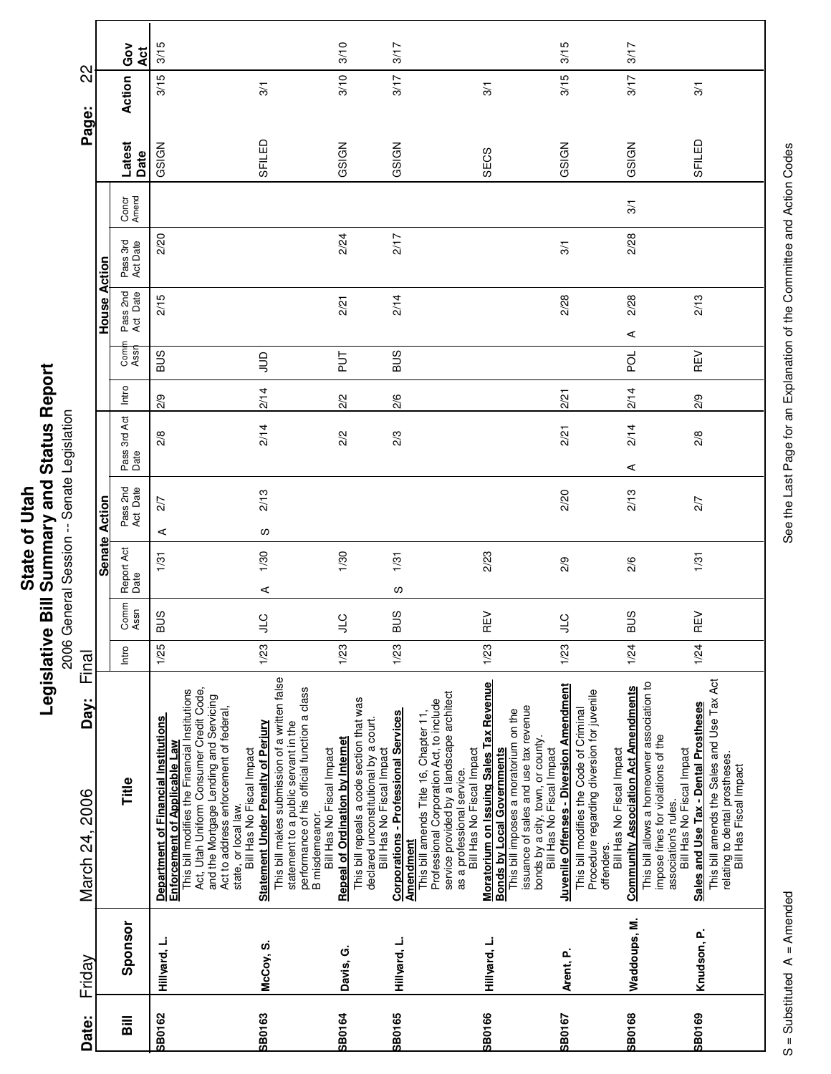| Date:                   | Friday       | Day:<br>March 24, 2006                                                                                                                                                                                                                                                                                      | Final |                |                    |                      |                      |       |               |                      |                      |                | Page:          | 22             |                  |
|-------------------------|--------------|-------------------------------------------------------------------------------------------------------------------------------------------------------------------------------------------------------------------------------------------------------------------------------------------------------------|-------|----------------|--------------------|----------------------|----------------------|-------|---------------|----------------------|----------------------|----------------|----------------|----------------|------------------|
|                         |              |                                                                                                                                                                                                                                                                                                             |       |                |                    | <b>Senate Action</b> |                      |       |               | House Action         |                      |                |                |                |                  |
| $\overline{\mathbf{B}}$ | Sponsor      | Title                                                                                                                                                                                                                                                                                                       | Intro | Comm<br>Assn   | Report Act<br>Date | Pass 2nd<br>Act Date | Pass 3rd Act<br>Date | Intro | Comi<br>Assr  | Pass 2nd<br>Act Date | Pass 3rd<br>Act Date | Concr<br>Amend | Latest<br>Date | Action         | Ğο<br><b>Act</b> |
| <b>SB0162</b>           | Hillyard, L. | Act, Utah Uniform Consumer Credit Code,<br>Enforcement of Applicable Law<br>This bill modifies the Financial Institutions<br>and the Mortgage Lending and Servicing<br>Act to address enforcement of federal,<br><b>Department of Financial Institutions</b>                                                | 1/25  | <b>BUS</b>     | 1/31               | 2/7<br>⋖             | 2/8                  | 2/9   | <b>SUB</b>    | 2/15                 | 2/20                 |                | GSIGN          | 3/15           | 3/15             |
| <b>SB0163</b>           | McCoy, S.    | This bill makes submission of a written false<br>performance of his official function a class<br>Statement Under Penalty of Perjury<br>statement to a public servant in the<br>Bill Has No Fiscal Impact<br>state, or local law.                                                                            | 1/23  | $\overline{a}$ | 1/30<br>$\prec$    | 2/13<br>လ            | 2/14                 | 2/14  | $\supseteq$   |                      |                      |                | SFILED         | $\overline{3}$ |                  |
| <b>SB0164</b>           | Davis, G.    | This bill repeals a code section that was<br><b>Repeal of Ordination by Internet</b><br>Bill Has No Fiscal Impact<br>B misdemeanor.                                                                                                                                                                         | 1/23  | $\sqrt{2}$     | 1/30               |                      | 2/2                  | 2/2   | $\frac{1}{2}$ | 2/21                 | 2/24                 |                | GSIGN          | 3/10           | 3/10             |
| <b>SB0165</b>           | Hillyard, L. | <b>Corporations - Professional Services</b><br>This bill amends Title 16, Chapter 11,<br>declared unconstitutional by a court.<br>Bill Has No Fiscal Impact<br><u>Amendment</u>                                                                                                                             | 1/23  | <b>BUS</b>     | 1/31<br>S          |                      | 2/3                  | 2/6   | <b>SUB</b>    | 2/14                 | 2/17                 |                | GSIGN          | 3/17           | 3/17             |
| <b>SB0166</b>           | Hillyard, L. | Moratorium on Issuing Sales Tax Revenue<br>Bonds by Local Governments<br>service provided by a landscape architect<br>Professional Corporation Act, to include<br>issuance of sales and use tax revenue<br>This bill imposes a moratorium on the<br>Bill Has No Fiscal Impact<br>as a professional service. | 1/23  | REV            | 2/23               |                      |                      |       |               |                      |                      |                | SECS           | 3/1            |                  |
| SB0167                  | Arent, P.    | Juvenile Offenses - Diversion Amendment<br>Procedure regarding diversion for juvenile<br>This bill modifies the Code of Criminal<br>bonds by a city, town, or county.<br>Bill Has No Fiscal Impact                                                                                                          | 1/23  | $\sqrt{2}$     | 2/9                | 2/20                 | 2/21                 | 2/21  |               | 2/28                 | 3/1                  |                | GSIGN          | 3/15           | 3/15             |
| <b>SB0168</b>           | Waddoups, M. | This bill allows a homeowner association to<br><b>Community Association Act Amendments</b><br>impose fines for violations of the<br>Bill Has No Fiscal Impact<br>offenders.                                                                                                                                 | 1/24  | <b>BUS</b>     | 2/6                | 2/13                 | 2/14<br>⋖            | 2/14  | <b>PO</b>     | 2/28<br>⋖            | 2/28                 | 3/1            | GSIGN          | 3/17           | 3/17             |
| SB0169                  | Knudson, P.  | This bill amends the Sales and Use Tax Act<br>Sales and Use Tax - Dental Prostheses<br>Bill Has No Fiscal Impact<br>relating to dental prostheses.<br>Bill Has Fiscal Impact<br>association's rules.                                                                                                        | 1/24  | REV            | 1/31               | 2/7                  | 2/8                  | 2/9   | REV           | 2/13                 |                      |                | SFILED         | 3/1            |                  |
|                         |              |                                                                                                                                                                                                                                                                                                             |       |                |                    |                      |                      |       |               |                      |                      |                |                |                |                  |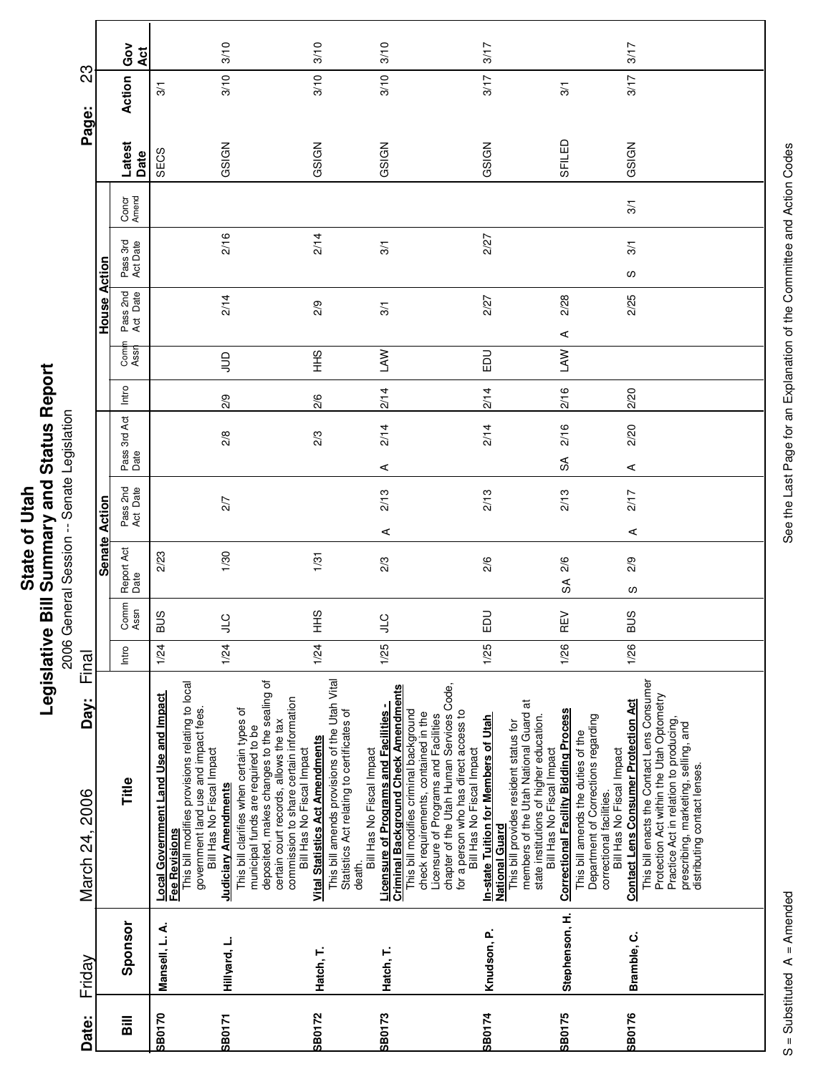|               | Repor                            |
|---------------|----------------------------------|
| $\frac{1}{2}$ | <b>Bill Summary and Status I</b> |
| State of      | egislative                       |

eport onative Diri Deminitary and Dictatory<br>2006 General Session -- Senate Legislation 2006 General Session -- Senate Legislation

| 23                     |                      | Gov<br>Act                         | 3/10                                                                                                                                                                                                                |                                                                                                                                                                                                                                                | 3/10                                                                                                                                            | 3/10                                                                                                                                                                                                        | 3/17                                                                                                                                                                                                                                                                                                       |                                                                                                                                                                                                   | 3/17                                                                                                                                                                                                                                                                                                             |
|------------------------|----------------------|------------------------------------|---------------------------------------------------------------------------------------------------------------------------------------------------------------------------------------------------------------------|------------------------------------------------------------------------------------------------------------------------------------------------------------------------------------------------------------------------------------------------|-------------------------------------------------------------------------------------------------------------------------------------------------|-------------------------------------------------------------------------------------------------------------------------------------------------------------------------------------------------------------|------------------------------------------------------------------------------------------------------------------------------------------------------------------------------------------------------------------------------------------------------------------------------------------------------------|---------------------------------------------------------------------------------------------------------------------------------------------------------------------------------------------------|------------------------------------------------------------------------------------------------------------------------------------------------------------------------------------------------------------------------------------------------------------------------------------------------------------------|
| Page:                  |                      | Action                             | 3/10<br>3/1                                                                                                                                                                                                         |                                                                                                                                                                                                                                                | 3/10                                                                                                                                            | 3/10                                                                                                                                                                                                        | 3/17                                                                                                                                                                                                                                                                                                       | 3/1                                                                                                                                                                                               | 3/17                                                                                                                                                                                                                                                                                                             |
|                        |                      | Latest<br>Date                     | GSIGN<br>SECS                                                                                                                                                                                                       |                                                                                                                                                                                                                                                | GSIGN                                                                                                                                           | GSIGN                                                                                                                                                                                                       | GSIGN                                                                                                                                                                                                                                                                                                      | SFILED                                                                                                                                                                                            | GSIGN                                                                                                                                                                                                                                                                                                            |
|                        |                      | Concr<br>Amend                     |                                                                                                                                                                                                                     |                                                                                                                                                                                                                                                |                                                                                                                                                 |                                                                                                                                                                                                             |                                                                                                                                                                                                                                                                                                            |                                                                                                                                                                                                   | 3/1                                                                                                                                                                                                                                                                                                              |
|                        |                      | Pass 3rd<br>Act Date               | 2/16                                                                                                                                                                                                                |                                                                                                                                                                                                                                                | 2/14                                                                                                                                            | 3/1                                                                                                                                                                                                         | 2/27                                                                                                                                                                                                                                                                                                       |                                                                                                                                                                                                   | 3/1<br>S                                                                                                                                                                                                                                                                                                         |
|                        | House Action         | Pass 2nd<br>Act Date               | 2/14                                                                                                                                                                                                                |                                                                                                                                                                                                                                                | 2/9                                                                                                                                             | 3/1                                                                                                                                                                                                         | 2/27                                                                                                                                                                                                                                                                                                       | 2/28<br>$\prec$                                                                                                                                                                                   | 2/25                                                                                                                                                                                                                                                                                                             |
|                        |                      | Com<br>Assr                        | $\Xi$                                                                                                                                                                                                               |                                                                                                                                                                                                                                                | $\frac{6}{5}$                                                                                                                                   | <b>NVT</b>                                                                                                                                                                                                  | <b>DU</b>                                                                                                                                                                                                                                                                                                  | LAW                                                                                                                                                                                               |                                                                                                                                                                                                                                                                                                                  |
|                        |                      | Intro                              | 2/9                                                                                                                                                                                                                 |                                                                                                                                                                                                                                                | 2/6                                                                                                                                             | 2/14                                                                                                                                                                                                        | 2/14                                                                                                                                                                                                                                                                                                       | 2/16                                                                                                                                                                                              | 2/20                                                                                                                                                                                                                                                                                                             |
|                        |                      | Pass 3rd Act<br>Date               | 2/8                                                                                                                                                                                                                 |                                                                                                                                                                                                                                                | 2/3                                                                                                                                             | 2/14<br>⋖                                                                                                                                                                                                   | 2/14                                                                                                                                                                                                                                                                                                       | 2/16<br>S                                                                                                                                                                                         | 2/20<br>⋖                                                                                                                                                                                                                                                                                                        |
|                        |                      | Pass 2nd<br>Act Date               | 2/7                                                                                                                                                                                                                 |                                                                                                                                                                                                                                                |                                                                                                                                                 | 2/13<br>⋖                                                                                                                                                                                                   | 2/13                                                                                                                                                                                                                                                                                                       | 2/13                                                                                                                                                                                              | 2/17<br>⋖                                                                                                                                                                                                                                                                                                        |
|                        | <b>Senate Action</b> | Report Act<br>Date                 | 1/30<br>2/23                                                                                                                                                                                                        |                                                                                                                                                                                                                                                | 1/31                                                                                                                                            | 2/3                                                                                                                                                                                                         | 2/6                                                                                                                                                                                                                                                                                                        | 2/6<br>S                                                                                                                                                                                          | 2/9<br>လ                                                                                                                                                                                                                                                                                                         |
|                        |                      | Comm<br>Assn                       | <b>BUS</b><br>$J_0$                                                                                                                                                                                                 |                                                                                                                                                                                                                                                | 오<br>보                                                                                                                                          | )<br>니                                                                                                                                                                                                      | $\Xi$                                                                                                                                                                                                                                                                                                      | $\geq$<br>Œ                                                                                                                                                                                       | <b>BUS</b>                                                                                                                                                                                                                                                                                                       |
| Final                  |                      | Intro                              | 1/24<br>1/24                                                                                                                                                                                                        |                                                                                                                                                                                                                                                | 1/24                                                                                                                                            | 1/25                                                                                                                                                                                                        | 1/25                                                                                                                                                                                                                                                                                                       | 1/26                                                                                                                                                                                              | 1/26                                                                                                                                                                                                                                                                                                             |
| Day:<br>March 24, 2006 |                      | Title                              | This bill modifies provisions relating to local<br>Local Government Land Use and Impact<br>government land use and impact fees.<br>Bill Has No Fiscal Impact<br><b>Judiciary Amendments</b><br><b>Fee Revisions</b> | deposited, makes changes to the sealing of<br>commission to share certain information<br>This bill clarifies when certain types of<br>certain court records, allows the tax<br>municipal funds are required to be<br>Bill Has No Fiscal Impact | This bill amends provisions of the Utah Vital<br>Statistics Act relating to certificates of<br><b>Vital Statistics Act Amendments</b><br>death. | <b>Criminal Background Check Amendments</b><br><b>Licensure of Programs and Facilities -</b><br>This bill modifies criminal background<br>check requirements, contained in the<br>Bill Has No Fiscal Impact | chapter of the Utah Human Services Code,<br>members of the Utah National Guard at<br>for a person who has direct access to<br>Licensure of Programs and Facilities<br><b>In-state Tuition for Members of Utah</b><br>This bill provides resident status for<br>Bill Has No Fiscal Impact<br>National Guard | <b>Correctional Facility Bidding Process</b><br>state institutions of higher education.<br>Department of Corrections regarding<br>This bill amends the duties of the<br>Bill Has No Fiscal Impact | This bill enacts the Contact Lens Consumer<br>Protection Act within the Utah Optometry<br><b>Contact Lens Consumer Protection Act</b><br>Practice Act in relation to producing,<br>prescribing, marketing, selling, and<br>Bill Has No Fiscal Impact<br>distributing contact lenses.<br>correctional facilities. |
| Friday                 |                      | Sponsor                            | Mansell, L. A.<br>Hillyard, L.                                                                                                                                                                                      |                                                                                                                                                                                                                                                | Hatch, T.                                                                                                                                       | Hatch, T.                                                                                                                                                                                                   | Knudson, P.                                                                                                                                                                                                                                                                                                | Stephenson, H.                                                                                                                                                                                    | Bramble, C.                                                                                                                                                                                                                                                                                                      |
| Date:                  |                      | $\overline{\overline{\mathbf{a}}}$ | SB0170<br><b>SB0171</b>                                                                                                                                                                                             |                                                                                                                                                                                                                                                | <b>SB0172</b>                                                                                                                                   | <b>SB0173</b>                                                                                                                                                                                               | <b>B0174</b>                                                                                                                                                                                                                                                                                               | SB0175                                                                                                                                                                                            | <b>SB0176</b>                                                                                                                                                                                                                                                                                                    |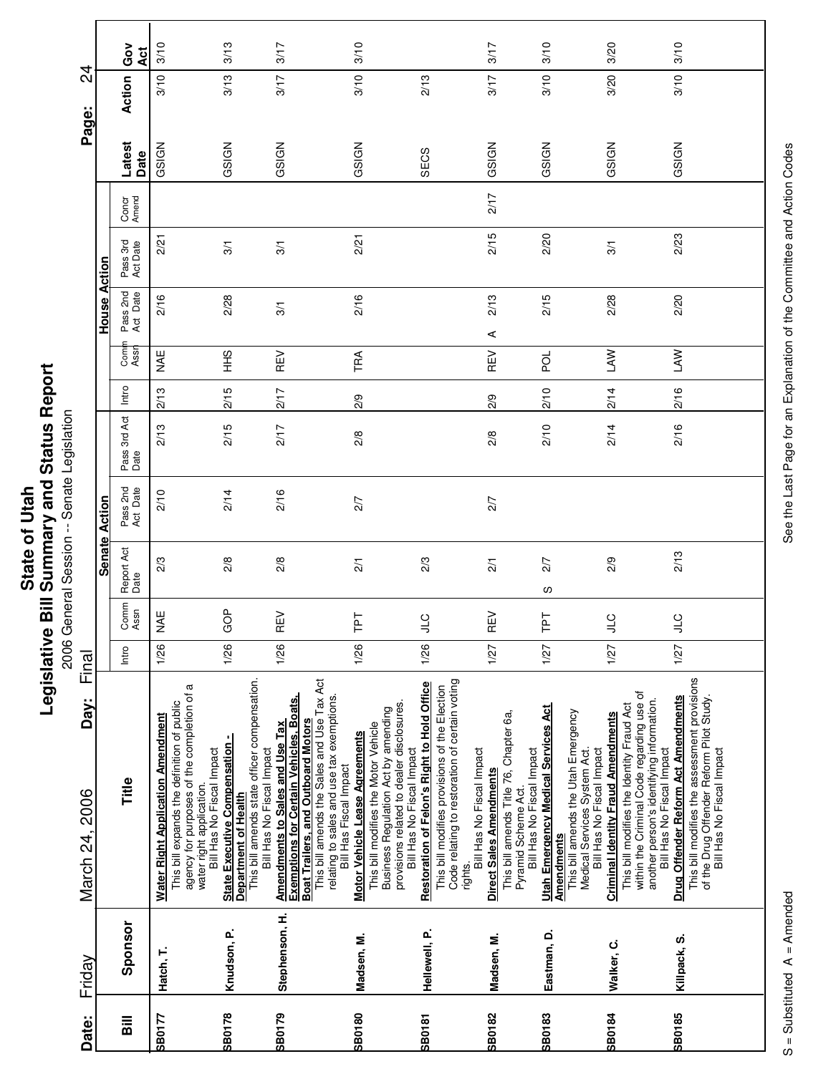| Ĩ.<br>' and<br>į<br>$\overline{\phantom{a}}$<br>ご<br>nmar<br>State of<br><b>Rill Cum</b><br>ï<br>vislativ<br>りうい |
|------------------------------------------------------------------------------------------------------------------|
|------------------------------------------------------------------------------------------------------------------|

ontine Diriche Marian Parade Legislation<br>2006 General Session -- Senate Legislation 2006 General Session -- Senate Legislation

|                        |                     | Gov<br><b>Act</b>    | 3/10                                                                                                                                                             | 3/13                                                                                                                                            | 3/17                                                                                                                                                        | 3/10                                                                                                                                                                                                                               |                                                                                                                                                                                                                          | 3/17                                                                                                                             | 3/10                                                                                                                                | 3/20                                                                                                                                                                                             | 3/10                                                                                                                                                                                                                                   |  |
|------------------------|---------------------|----------------------|------------------------------------------------------------------------------------------------------------------------------------------------------------------|-------------------------------------------------------------------------------------------------------------------------------------------------|-------------------------------------------------------------------------------------------------------------------------------------------------------------|------------------------------------------------------------------------------------------------------------------------------------------------------------------------------------------------------------------------------------|--------------------------------------------------------------------------------------------------------------------------------------------------------------------------------------------------------------------------|----------------------------------------------------------------------------------------------------------------------------------|-------------------------------------------------------------------------------------------------------------------------------------|--------------------------------------------------------------------------------------------------------------------------------------------------------------------------------------------------|----------------------------------------------------------------------------------------------------------------------------------------------------------------------------------------------------------------------------------------|--|
| $\overline{4}$         |                     | Action               | 3/10                                                                                                                                                             | 3/13                                                                                                                                            | 3/17                                                                                                                                                        | 3/10                                                                                                                                                                                                                               | 2/13                                                                                                                                                                                                                     | 3/17                                                                                                                             | 3/10                                                                                                                                | 3/20                                                                                                                                                                                             | 3/10                                                                                                                                                                                                                                   |  |
| Page:                  |                     | Latest<br>Date       | GSIGN                                                                                                                                                            | GSIGN                                                                                                                                           | GSIGN                                                                                                                                                       | GSIGN                                                                                                                                                                                                                              | SECS                                                                                                                                                                                                                     | GSIGN                                                                                                                            | GSIGN                                                                                                                               | GSIGN                                                                                                                                                                                            | GSIGN                                                                                                                                                                                                                                  |  |
|                        |                     | Concr<br>Amend       |                                                                                                                                                                  |                                                                                                                                                 |                                                                                                                                                             |                                                                                                                                                                                                                                    |                                                                                                                                                                                                                          | 217                                                                                                                              |                                                                                                                                     |                                                                                                                                                                                                  |                                                                                                                                                                                                                                        |  |
|                        |                     | Pass 3rd<br>Act Date | 2/21                                                                                                                                                             | 3/1                                                                                                                                             | 3/1                                                                                                                                                         | 2/21                                                                                                                                                                                                                               |                                                                                                                                                                                                                          | 2/15                                                                                                                             | 2/20                                                                                                                                | 3/1                                                                                                                                                                                              | 2/23                                                                                                                                                                                                                                   |  |
|                        | <b>House Action</b> | Pass 2nd<br>Act Date | 2/16                                                                                                                                                             | 2/28                                                                                                                                            | 3/1                                                                                                                                                         | 2/16                                                                                                                                                                                                                               |                                                                                                                                                                                                                          | 2/13<br>⋖                                                                                                                        | 2/15                                                                                                                                | 2/28                                                                                                                                                                                             | 2/20                                                                                                                                                                                                                                   |  |
|                        |                     | Com<br>Assr          | ¥N<br>N                                                                                                                                                          | $rac{9}{1}$                                                                                                                                     | REV                                                                                                                                                         | TRA                                                                                                                                                                                                                                |                                                                                                                                                                                                                          | REV                                                                                                                              | pol                                                                                                                                 | <b>NVT</b>                                                                                                                                                                                       | LAW                                                                                                                                                                                                                                    |  |
|                        |                     | Intro                | 2/13                                                                                                                                                             | 2/15                                                                                                                                            | 217                                                                                                                                                         | 2/9                                                                                                                                                                                                                                |                                                                                                                                                                                                                          | 2/9                                                                                                                              | 2/10                                                                                                                                | 2/14                                                                                                                                                                                             | 2/16                                                                                                                                                                                                                                   |  |
|                        |                     | Pass 3rd Act<br>Date | 2/13                                                                                                                                                             | 2/15                                                                                                                                            | 2/17                                                                                                                                                        | 2/8                                                                                                                                                                                                                                |                                                                                                                                                                                                                          | $\frac{2}{8}$                                                                                                                    | 2/10                                                                                                                                | 2/14                                                                                                                                                                                             | 2/16                                                                                                                                                                                                                                   |  |
|                        | Action              | Pass 2nd<br>Act Date | 2/10                                                                                                                                                             | 2/14                                                                                                                                            | 2/16                                                                                                                                                        | 2/7                                                                                                                                                                                                                                |                                                                                                                                                                                                                          | 2/7                                                                                                                              |                                                                                                                                     |                                                                                                                                                                                                  |                                                                                                                                                                                                                                        |  |
|                        | <b>Senate</b>       | Report Act<br>Date   | 2/3                                                                                                                                                              | 2/8                                                                                                                                             | 2/8                                                                                                                                                         | $\overline{2}/1$                                                                                                                                                                                                                   | 2/3                                                                                                                                                                                                                      | $\frac{2}{1}$                                                                                                                    | 2/7<br>လ                                                                                                                            | 2/9                                                                                                                                                                                              | 2/13                                                                                                                                                                                                                                   |  |
|                        |                     | Comm<br>Assn         | Æ<br>z                                                                                                                                                           | $\frac{1}{2}$<br>O                                                                                                                              | $\geq$<br>Œ                                                                                                                                                 | TPT                                                                                                                                                                                                                                | <b>JTC</b>                                                                                                                                                                                                               | $\geq$<br>Œ                                                                                                                      | ΓF                                                                                                                                  | $\sqrt{2}$                                                                                                                                                                                       | $\sqrt{2}$                                                                                                                                                                                                                             |  |
| Final                  |                     | Intro                | 1/26                                                                                                                                                             | 1/26                                                                                                                                            | 1/26                                                                                                                                                        | 1/26                                                                                                                                                                                                                               | 1/26                                                                                                                                                                                                                     | 1/27                                                                                                                             | 1/27                                                                                                                                | 1/27                                                                                                                                                                                             | 1/27                                                                                                                                                                                                                                   |  |
| Day:<br>March 24, 2006 |                     | Title                | agency for purposes of the completion of a<br>This bill expands the definition of public<br><b>Water Right Application Amendment</b><br>water right application. | This bill amends state officer compensation.<br><b>State Executive Compensation</b><br>Bill Has No Fiscal Impact<br><b>Department of Health</b> | <u>Amendments to Sales and Use Tax</u><br>Exemptions for Certain Vehicles, Boats,<br><b>Boat Trailers, and Outboard Motors</b><br>Bill Has No Fiscal Impact | This bill amends the Sales and Use Tax Act<br>relating to sales and use tax exemptions.<br>Business Regulation Act by amending<br>This bill modifies the Motor Vehicle<br>Motor Vehicle Lease Agreements<br>Bill Has Fiscal Impact | Code relating to restoration of certain voting<br>Restoration of Felon's Right to Hold Office<br>This bill modifies provisions of the Election<br>provisions related to dealer disclosures.<br>Bill Has No Fiscal Impact | This bill amends Title 76, Chapter 6a,<br>Bill Has No Fiscal Impact<br>Direct Sales Amendments<br>Pyramid Scheme Act.<br>rights. | <b>Utah Emergency Medical Services Act</b><br>This bill amends the Utah Emergency<br>Bill Has No Fiscal Impact<br><b>Amendments</b> | within the Criminal Code regarding use of<br>This bill modifies the Identity Fraud Act<br><b>Criminal Identity Fraud Amendments</b><br>Medical Services System Act.<br>Bill Has No Fiscal Impact | This bill modifies the assessment provisions<br>Drug Offender Reform Act Amendments<br>of the Drug Offender Reform Pilot Study.<br>another person's identifying information.<br>Bill Has No Fiscal Impact<br>Bill Has No Fiscal Impact |  |
| Friday                 |                     | Sponsor              | Hatch, T.                                                                                                                                                        | Knudson, P.                                                                                                                                     | Stephenson, H.                                                                                                                                              | Madsen, M.                                                                                                                                                                                                                         | Hellewell, P.                                                                                                                                                                                                            | Madsen, M.                                                                                                                       | Eastman, D.                                                                                                                         | Walker, C.                                                                                                                                                                                       | Killpack, S.                                                                                                                                                                                                                           |  |
| Date:                  |                     | $\overline{a}$       | SB0177                                                                                                                                                           | <b>SB0178</b>                                                                                                                                   | <b>SB0179</b>                                                                                                                                               | <b>SB0180</b>                                                                                                                                                                                                                      | <b>SB0181</b>                                                                                                                                                                                                            | <b>SB0182</b>                                                                                                                    | <b>SB0183</b>                                                                                                                       | <b>SB0184</b>                                                                                                                                                                                    | SB0185                                                                                                                                                                                                                                 |  |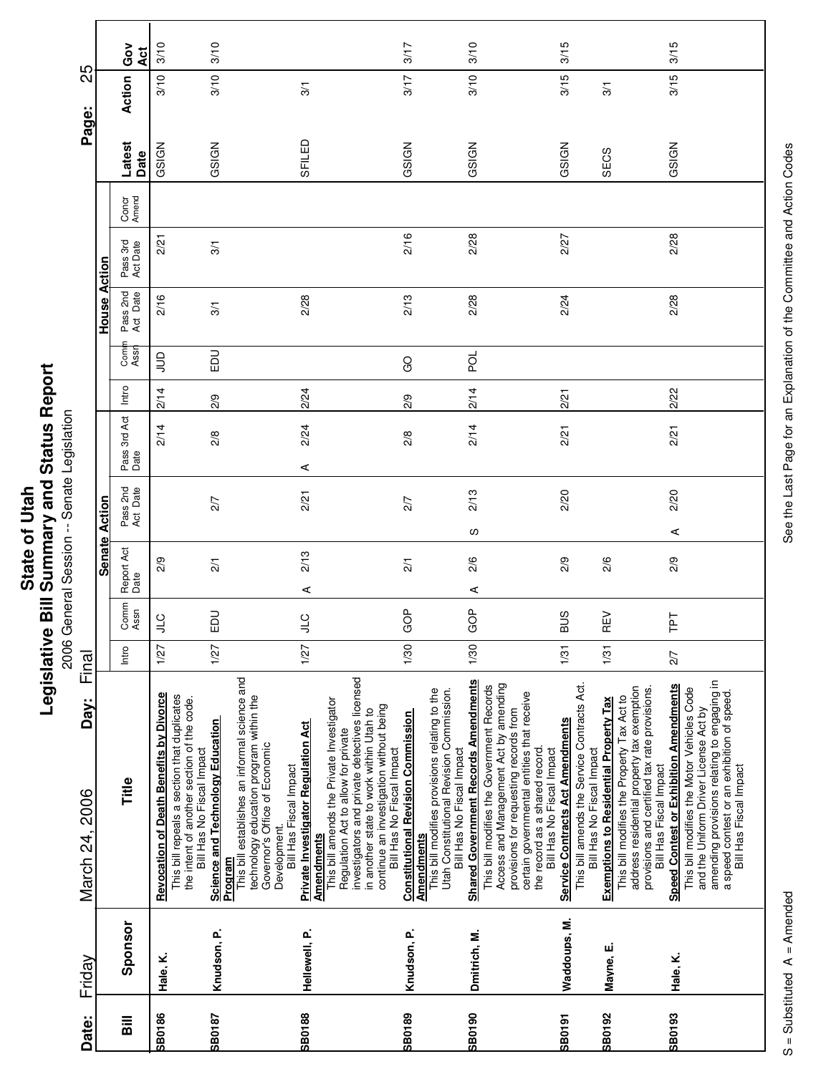| 3/10<br>3/10<br>3/15<br>3/15<br>3/10<br>3/17<br>Ğo<br>Āct<br>3/10<br>3/15<br>3/15<br>3/10<br>3/10<br>3/17<br>Action<br>$\frac{5}{2}$<br>3/1<br>SFILED<br>Latest<br>GSIGN<br>GSIGN<br>GSIGN<br>GSIGN<br>GSIGN<br>GSIGN<br>SECS<br>Date<br>Concr<br>Amend<br>2/16<br>2/28<br>2/28<br>2/27<br>2/21<br>Pass 3rd<br>Act Date<br>3/1<br>House Action<br>Pass 2nd<br>Act Date<br>2/16<br>2/28<br>2/13<br>2/28<br>2/28<br>2/24<br>$\overline{3}$<br>Comi<br>Assr<br><b>DU</b><br>pol<br>$\Xi$<br>GO<br>Intro<br>2/14<br>2/22<br>2/14<br>2/24<br>2/21<br>2/9<br>2/9<br>Pass 3rd Act<br>Date<br>2/14<br>2/14<br>2/24<br>2/21<br>2/21<br>2/8<br>2/8<br>⋖<br>Pass 2nd<br>Act Date<br>2/13<br>2/20<br>2/20<br>2/21<br>2/7<br>2/7<br>Senate Action<br>လ<br>⋖<br>Report Act<br>Date<br>2/13<br>2/9<br>2/9<br>2/6<br>2/9<br>2/6<br>$\frac{2}{1}$<br>$\overline{21}$<br>⋖<br>⋖<br>Comm<br>Assn<br>GOP<br>GOP<br>EDU<br><b>BUS</b><br>REV<br>군<br>$\frac{1}{2}$<br><b>CTP</b><br>1/30<br>1/27<br>1/30<br>1/27<br>1/31<br>1/31<br>1/27<br>Intro<br>2/7 | Friday                                                                                                                                                                                                                                                                                             | Day:<br>March 24, 2006 | Final |  |  |  |  | Page: | 25 |  |
|-------------------------------------------------------------------------------------------------------------------------------------------------------------------------------------------------------------------------------------------------------------------------------------------------------------------------------------------------------------------------------------------------------------------------------------------------------------------------------------------------------------------------------------------------------------------------------------------------------------------------------------------------------------------------------------------------------------------------------------------------------------------------------------------------------------------------------------------------------------------------------------------------------------------------------------------------------------------------------------------------------------------------------------|----------------------------------------------------------------------------------------------------------------------------------------------------------------------------------------------------------------------------------------------------------------------------------------------------|------------------------|-------|--|--|--|--|-------|----|--|
|                                                                                                                                                                                                                                                                                                                                                                                                                                                                                                                                                                                                                                                                                                                                                                                                                                                                                                                                                                                                                                     |                                                                                                                                                                                                                                                                                                    |                        |       |  |  |  |  |       |    |  |
|                                                                                                                                                                                                                                                                                                                                                                                                                                                                                                                                                                                                                                                                                                                                                                                                                                                                                                                                                                                                                                     | Title<br>Sponsor                                                                                                                                                                                                                                                                                   |                        |       |  |  |  |  |       |    |  |
|                                                                                                                                                                                                                                                                                                                                                                                                                                                                                                                                                                                                                                                                                                                                                                                                                                                                                                                                                                                                                                     | <b>Revocation of Death Benefits by Divorce</b><br>This bill repeals a section that duplicates<br>the intent of another section of the code.<br>Bill Has No Fiscal Impact<br>Hale, K.                                                                                                               |                        |       |  |  |  |  |       |    |  |
|                                                                                                                                                                                                                                                                                                                                                                                                                                                                                                                                                                                                                                                                                                                                                                                                                                                                                                                                                                                                                                     | This bill establishes an informal science and<br><b>Science and Technology Education</b><br>Program<br>Knudson, P.                                                                                                                                                                                 |                        |       |  |  |  |  |       |    |  |
|                                                                                                                                                                                                                                                                                                                                                                                                                                                                                                                                                                                                                                                                                                                                                                                                                                                                                                                                                                                                                                     | technology education program within the<br>Governor's Office of Economic<br>This bill amends the Private Investigator<br><b>Private Investigator Regulation Act</b><br>Regulation Act to allow for private<br>Bill Has Fiscal Impact<br>Development.<br><b>Amendments</b><br>Hellewell, P.         |                        |       |  |  |  |  |       |    |  |
|                                                                                                                                                                                                                                                                                                                                                                                                                                                                                                                                                                                                                                                                                                                                                                                                                                                                                                                                                                                                                                     | investigators and private detectives licensed<br>This bill modifies provisions relating to the<br>continue an investigation without being<br>in another state to work within Utah to<br><b>Constitutional Revision Commission</b><br>Bill Has No Fiscal Impact<br><b>Amendments</b><br>Knudson, P. |                        |       |  |  |  |  |       |    |  |
|                                                                                                                                                                                                                                                                                                                                                                                                                                                                                                                                                                                                                                                                                                                                                                                                                                                                                                                                                                                                                                     | <b>Shared Government Records Amendments</b><br>Access and Management Act by amending<br>This bill modifies the Government Records<br>Utah Constitutional Revision Commission.<br>Bill Has No Fiscal Impact<br>Dmitrich, M.                                                                         |                        |       |  |  |  |  |       |    |  |
|                                                                                                                                                                                                                                                                                                                                                                                                                                                                                                                                                                                                                                                                                                                                                                                                                                                                                                                                                                                                                                     | This bill amends the Service Contracts Act.<br>certain governmental entities that receive<br>provisions for requesting records from<br>Service Contracts Act Amendments<br>the record as a shared record.<br>Bill Has No Fiscal Impact<br>Bill Has No Fiscal Impact<br>Waddoups, M.                |                        |       |  |  |  |  |       |    |  |
|                                                                                                                                                                                                                                                                                                                                                                                                                                                                                                                                                                                                                                                                                                                                                                                                                                                                                                                                                                                                                                     | address residential property tax exemption<br>provisions and certified tax rate provisions.<br>This bill modifies the Property Tax Act to<br><b>Exemptions to Residential Property Tax</b><br>Bill Has Fiscal Impact<br>Mayne, E.                                                                  |                        |       |  |  |  |  |       |    |  |
|                                                                                                                                                                                                                                                                                                                                                                                                                                                                                                                                                                                                                                                                                                                                                                                                                                                                                                                                                                                                                                     | amending provisions relating to engaging in<br>a speed contest or an exhibition of speed.<br><b>Speed Contest or Exhibition Amendments</b><br>This bill modifies the Motor Vehicles Code<br>and the Uniform Driver License Act by<br>Bill Has Fiscal Impact<br>Hale, K.                            |                        |       |  |  |  |  |       |    |  |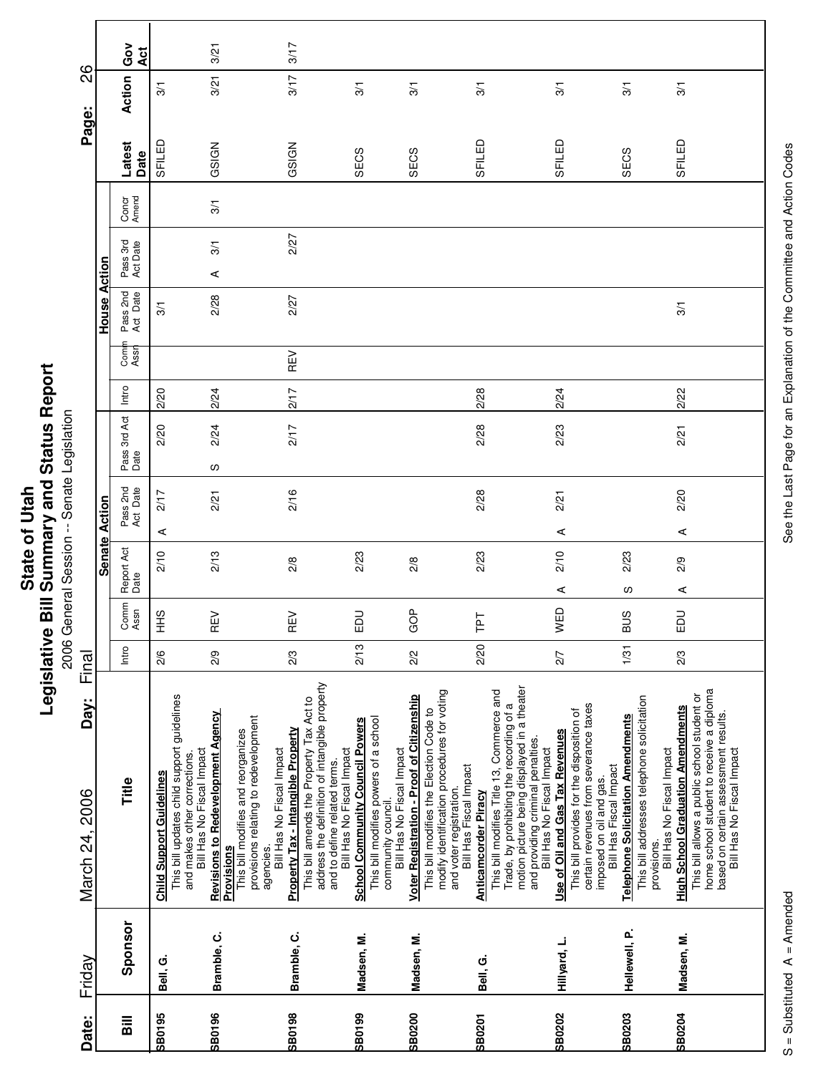|                        |               | Gov<br>Act                         |                                 | 3/21                                                                                                                                                |                                                                                                                                           | 3/17                                                                                  |                                                                                                            |                                                                                 |                                                                                                     |                                                                                        |                                                   |                                                                          |                                                                                                                              |                           |                                                                                                                       |                                                   |                                          |                                                                                        |                                          |                                                                                                                                                              |  |
|------------------------|---------------|------------------------------------|---------------------------------|-----------------------------------------------------------------------------------------------------------------------------------------------------|-------------------------------------------------------------------------------------------------------------------------------------------|---------------------------------------------------------------------------------------|------------------------------------------------------------------------------------------------------------|---------------------------------------------------------------------------------|-----------------------------------------------------------------------------------------------------|----------------------------------------------------------------------------------------|---------------------------------------------------|--------------------------------------------------------------------------|------------------------------------------------------------------------------------------------------------------------------|---------------------------|-----------------------------------------------------------------------------------------------------------------------|---------------------------------------------------|------------------------------------------|----------------------------------------------------------------------------------------|------------------------------------------|--------------------------------------------------------------------------------------------------------------------------------------------------------------|--|
| 88<br>Page:            |               | Action                             | $\frac{1}{2}$                   | 3/21                                                                                                                                                |                                                                                                                                           | 3/17                                                                                  |                                                                                                            | $\frac{5}{2}$                                                                   | $\frac{5}{2}$                                                                                       |                                                                                        |                                                   | 3/1                                                                      |                                                                                                                              | 3/1                       |                                                                                                                       |                                                   | 3/1                                      |                                                                                        | $\overline{3}$                           |                                                                                                                                                              |  |
|                        |               | Latest<br>Date                     | SFILED                          | GSIGN                                                                                                                                               |                                                                                                                                           | GSIGN                                                                                 |                                                                                                            | SECS                                                                            | SECS                                                                                                |                                                                                        |                                                   | SFILED                                                                   |                                                                                                                              | SFILED                    |                                                                                                                       |                                                   | SECS                                     |                                                                                        | SFILED                                   |                                                                                                                                                              |  |
|                        |               | Concr<br>Amend                     |                                 | 3/1                                                                                                                                                 |                                                                                                                                           |                                                                                       |                                                                                                            |                                                                                 |                                                                                                     |                                                                                        |                                                   |                                                                          |                                                                                                                              |                           |                                                                                                                       |                                                   |                                          |                                                                                        |                                          |                                                                                                                                                              |  |
|                        | Action        | Pass 3rd<br>Act Date               |                                 | 3/1<br>⋖                                                                                                                                            |                                                                                                                                           | 2/27                                                                                  |                                                                                                            |                                                                                 |                                                                                                     |                                                                                        |                                                   |                                                                          |                                                                                                                              |                           |                                                                                                                       |                                                   |                                          |                                                                                        |                                          |                                                                                                                                                              |  |
|                        | House         | Pass 2nd<br>Act Date               | 3/1                             | 2/28                                                                                                                                                |                                                                                                                                           | 2/27                                                                                  |                                                                                                            |                                                                                 |                                                                                                     |                                                                                        |                                                   |                                                                          |                                                                                                                              |                           |                                                                                                                       |                                                   |                                          |                                                                                        | 3/1                                      |                                                                                                                                                              |  |
|                        |               | Comi<br>Assr                       |                                 |                                                                                                                                                     |                                                                                                                                           | REV                                                                                   |                                                                                                            |                                                                                 |                                                                                                     |                                                                                        |                                                   |                                                                          |                                                                                                                              |                           |                                                                                                                       |                                                   |                                          |                                                                                        |                                          |                                                                                                                                                              |  |
|                        |               | Intro                              | 2/20                            | 2/24                                                                                                                                                |                                                                                                                                           | 2/17                                                                                  |                                                                                                            |                                                                                 |                                                                                                     |                                                                                        |                                                   | 2/28                                                                     |                                                                                                                              | 2/24                      |                                                                                                                       |                                                   |                                          |                                                                                        | 2/22                                     |                                                                                                                                                              |  |
|                        |               | Pass 3rd Act<br>Date               | 2/20                            | 2/24<br>လ                                                                                                                                           |                                                                                                                                           | 2/17                                                                                  |                                                                                                            |                                                                                 |                                                                                                     |                                                                                        |                                                   | 2/28                                                                     |                                                                                                                              | 2/23                      |                                                                                                                       |                                                   |                                          |                                                                                        | 2/21                                     |                                                                                                                                                              |  |
|                        | Action        | Pass 2nd<br>Act Date               | 2/17<br>⋖                       | 2/21                                                                                                                                                |                                                                                                                                           | 2/16                                                                                  |                                                                                                            |                                                                                 |                                                                                                     |                                                                                        |                                                   | 2/28                                                                     |                                                                                                                              | 2/21                      | ⋖                                                                                                                     |                                                   |                                          |                                                                                        | 2/20<br>⋖                                |                                                                                                                                                              |  |
|                        | <b>Senate</b> | Report Act<br>Date                 | 2/10                            | 2/13                                                                                                                                                |                                                                                                                                           | 2/8                                                                                   |                                                                                                            | 2/23                                                                            | $\frac{8}{2}$                                                                                       |                                                                                        |                                                   | 2/23                                                                     |                                                                                                                              | 2/10                      | ⋖                                                                                                                     |                                                   | 2/23<br>w                                |                                                                                        | 2/9<br>⋖                                 |                                                                                                                                                              |  |
|                        |               | Comm<br>Assn                       | SHH                             | らい<br>Œ                                                                                                                                             |                                                                                                                                           | ξñ<br>Œ                                                                               |                                                                                                            | <b>SO</b><br>щ                                                                  | GOP                                                                                                 |                                                                                        |                                                   | ΤPΤ                                                                      |                                                                                                                              | WED                       |                                                                                                                       |                                                   | <b>BUS</b>                               |                                                                                        | EDU                                      |                                                                                                                                                              |  |
| Final                  |               | Intro                              | 2/6                             | 2/9                                                                                                                                                 |                                                                                                                                           | 2/3                                                                                   |                                                                                                            | 2/13                                                                            | 2/2                                                                                                 |                                                                                        |                                                   | 2/20                                                                     |                                                                                                                              | 2/7                       |                                                                                                                       |                                                   | 1/31                                     |                                                                                        | 2/3                                      |                                                                                                                                                              |  |
| Day:<br>March 24, 2006 |               | Title                              | <b>Child Support Guidelines</b> | This bill updates child support guidelines<br><b>Revisions to Redevelopment Agency</b><br>Bill Has No Fiscal Impact<br>and makes other corrections. | provisions relating to redevelopment<br>This bill modifies and reorganizes<br>Bill Has No Fiscal Impact<br>agencies.<br><b>Provisions</b> | This bill amends the Property Tax Act to<br><b>Property Tax - Intangible Property</b> | address the definition of intangible property<br>Bill Has No Fiscal Impact<br>and to define related terms. | This bill modifies powers of a school<br><b>School Community Council Powers</b> | <b>Voter Registration - Proof of Citizenship</b><br>Bill Has No Fiscal Impact<br>community council. | modify identification procedures for voting<br>This bill modifies the Election Code to | Bill Has Fiscal Impact<br>and voter registration. | This bill modifies Title 13, Commerce and<br><b>Anticamcorder Piracy</b> | motion picture being displayed in a theater<br>Trade, by prohibiting the recording of a<br>and providing criminal penalties. | Bill Has No Fiscal Impact | certain revenues from severance taxes<br>This bill provides for the disposition of<br>Use of Oil and Gas Tax Revenues | Bill Has Fiscal Impact<br>imposed on oil and gas. | <b>Telephone Solicitation Amendments</b> | This bill addresses telephone solicitation<br>Bill Has No Fiscal Impact<br>provisions. | <b>High School Graduation Amendments</b> | home school student to receive a diploma<br>This bill allows a public school student or<br>based on certain assessment results.<br>Bill Has No Fiscal Impact |  |
| Friday                 |               | Sponsor                            | Bell, G.                        | Bramble, C.                                                                                                                                         |                                                                                                                                           | Bramble, C.                                                                           |                                                                                                            | Madsen, M.                                                                      | Madsen, M.                                                                                          |                                                                                        |                                                   | Bell, G.                                                                 |                                                                                                                              |                           | Hillyard, L.                                                                                                          |                                                   | Hellewell, P.                            |                                                                                        | Madsen, M.                               |                                                                                                                                                              |  |
| Date:                  |               | $\overline{\overline{\mathbf{a}}}$ | <b>SB0195</b>                   | <b>SB0196</b>                                                                                                                                       |                                                                                                                                           | <b>SB0198</b>                                                                         |                                                                                                            | <b>SB0199</b>                                                                   | <b>SB0200</b>                                                                                       |                                                                                        |                                                   | <b>SB0201</b>                                                            |                                                                                                                              | <b>SB0202</b>             |                                                                                                                       |                                                   | <b>SB0203</b>                            |                                                                                        | <b>SB0204</b>                            |                                                                                                                                                              |  |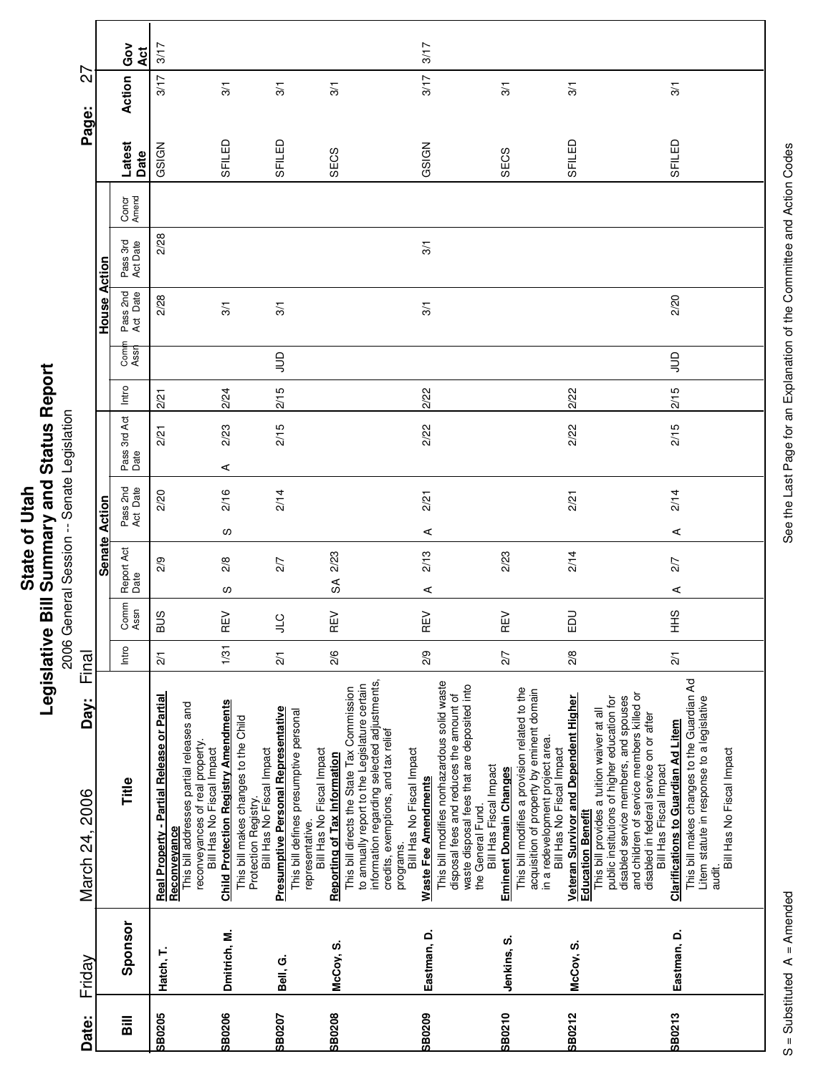| Repor<br><b>1 Status</b>       |            |
|--------------------------------|------------|
| Bill Summary and<br>State of U | egislative |

eport 2006 General Session -- Senate Legislation

|                        |               | Ğ<br>Act                           | 3/17                                                                                                                                      |                                                                                                                                                                       |                                                                                                                                      |                                                                                                                                                                                                                                | 3/17                                                                                                                                                                                                            |                                                                                                                                                       |                                                                                                                                                                                                                                 |                                                                                                                                                                                                                                                                                                                                          |
|------------------------|---------------|------------------------------------|-------------------------------------------------------------------------------------------------------------------------------------------|-----------------------------------------------------------------------------------------------------------------------------------------------------------------------|--------------------------------------------------------------------------------------------------------------------------------------|--------------------------------------------------------------------------------------------------------------------------------------------------------------------------------------------------------------------------------|-----------------------------------------------------------------------------------------------------------------------------------------------------------------------------------------------------------------|-------------------------------------------------------------------------------------------------------------------------------------------------------|---------------------------------------------------------------------------------------------------------------------------------------------------------------------------------------------------------------------------------|------------------------------------------------------------------------------------------------------------------------------------------------------------------------------------------------------------------------------------------------------------------------------------------------------------------------------------------|
| 27                     |               | Action                             | 3/17                                                                                                                                      | 3/1                                                                                                                                                                   | 3/1                                                                                                                                  | 3/1                                                                                                                                                                                                                            | 3/17                                                                                                                                                                                                            | $\overline{3}$                                                                                                                                        | $\frac{1}{3}$                                                                                                                                                                                                                   | 3/1                                                                                                                                                                                                                                                                                                                                      |
| Page:                  |               | Latest<br>Date                     | GSIGN                                                                                                                                     | SFILED                                                                                                                                                                | SFILED                                                                                                                               | SECS                                                                                                                                                                                                                           | GSIGN                                                                                                                                                                                                           | SECS                                                                                                                                                  | SFILED                                                                                                                                                                                                                          | SFILED                                                                                                                                                                                                                                                                                                                                   |
|                        |               | Concr<br>Amend                     |                                                                                                                                           |                                                                                                                                                                       |                                                                                                                                      |                                                                                                                                                                                                                                |                                                                                                                                                                                                                 |                                                                                                                                                       |                                                                                                                                                                                                                                 |                                                                                                                                                                                                                                                                                                                                          |
|                        | Action        | Pass 3rd<br>Act Date               | 2/28                                                                                                                                      |                                                                                                                                                                       |                                                                                                                                      |                                                                                                                                                                                                                                | 3/1                                                                                                                                                                                                             |                                                                                                                                                       |                                                                                                                                                                                                                                 |                                                                                                                                                                                                                                                                                                                                          |
|                        | House         | Pass 2nd<br>Act Date               | 2/28                                                                                                                                      | 3/1                                                                                                                                                                   | 3/1                                                                                                                                  |                                                                                                                                                                                                                                | 3/1                                                                                                                                                                                                             |                                                                                                                                                       |                                                                                                                                                                                                                                 | 2/20                                                                                                                                                                                                                                                                                                                                     |
|                        |               | Comi<br>Assr                       |                                                                                                                                           |                                                                                                                                                                       | $\supseteq$                                                                                                                          |                                                                                                                                                                                                                                |                                                                                                                                                                                                                 |                                                                                                                                                       |                                                                                                                                                                                                                                 | $\Xi$                                                                                                                                                                                                                                                                                                                                    |
|                        |               | Intro                              | 2/21                                                                                                                                      | 2/24                                                                                                                                                                  | 2/15                                                                                                                                 |                                                                                                                                                                                                                                | 2/22                                                                                                                                                                                                            |                                                                                                                                                       | 2/22                                                                                                                                                                                                                            | 2/15                                                                                                                                                                                                                                                                                                                                     |
|                        |               | Pass 3rd Act<br>Date               | 2/21                                                                                                                                      | 2/23<br>⋖                                                                                                                                                             | 2/15                                                                                                                                 |                                                                                                                                                                                                                                | 2/22                                                                                                                                                                                                            |                                                                                                                                                       | 2/22                                                                                                                                                                                                                            | 2/15                                                                                                                                                                                                                                                                                                                                     |
|                        | Action        | Pass 2nd<br>Act Date               | 2/20                                                                                                                                      | 2/16<br>w                                                                                                                                                             | 2/14                                                                                                                                 |                                                                                                                                                                                                                                | 2/21<br>⋖                                                                                                                                                                                                       |                                                                                                                                                       | 2/21                                                                                                                                                                                                                            | 2/14<br>⋖                                                                                                                                                                                                                                                                                                                                |
|                        | <b>Senate</b> | Report Act<br>Date                 | 2/9                                                                                                                                       | 2/8<br>လ                                                                                                                                                              | 2/7                                                                                                                                  | 2/23<br>S                                                                                                                                                                                                                      | 2/13<br>⋖                                                                                                                                                                                                       | 2/23                                                                                                                                                  | 2/14                                                                                                                                                                                                                            | 2/7<br>⋖                                                                                                                                                                                                                                                                                                                                 |
|                        |               | Comm<br>Assn                       | <b>BUS</b>                                                                                                                                | $\geq$<br>Œ                                                                                                                                                           | $\overline{a}$<br>⋾                                                                                                                  | 乙<br>Œ                                                                                                                                                                                                                         | る<br>Œ                                                                                                                                                                                                          | $\geq$<br>Œ                                                                                                                                           | EDU                                                                                                                                                                                                                             | SHH                                                                                                                                                                                                                                                                                                                                      |
| Final                  |               | Intro                              | $\overline{21}$                                                                                                                           | 1/31                                                                                                                                                                  | 2/1                                                                                                                                  | 2/6                                                                                                                                                                                                                            | 2/9                                                                                                                                                                                                             | 2/7                                                                                                                                                   | $\frac{2}{8}$                                                                                                                                                                                                                   | $\overline{21}$                                                                                                                                                                                                                                                                                                                          |
| Day:<br>March 24, 2006 |               | Title                              | Real Property - Partial Release or Partial<br>This bill addresses partial releases and<br>reconveyances of real property.<br>Reconveyance | <b>Child Protection Registry Amendments</b><br>This bill makes changes to the Child<br>Bill Has No Fiscal Impact<br>Bill Has No Fiscal Impact<br>Protection Registry. | <b>Presumptive Personal Representative</b><br>This bill defines presumptive personal<br>Bill Has No Fiscal Impact<br>representative. | information regarding selected adjustments,<br>to annually report to the Legislature certain<br>This bill directs the State Tax Commission<br>credits, exemptions, and tax relief<br>Reporting of Tax Information<br>programs. | This bill modifies nonhazardous solid waste<br>waste disposal fees that are deposited into<br>disposal fees and reduces the amount of<br>Bill Has No Fiscal Impact<br>Waste Fee Amendments<br>the General Fund. | This bill modifies a provision related to the<br>acquisition of property by eminent domain<br>Bill Has Fiscal Impact<br><b>Eminent Domain Changes</b> | Veteran Survivor and Dependent Higher<br>public institutions of higher education for<br>This bill provides a tuition waiver at all<br>in a redevelopment project area.<br>Bill Has No Fiscal Impact<br><b>Education Benefit</b> | This bill makes changes to the Guardian Ad<br>and children of service members killed or<br>disabled service members, and spouses<br>Litem statute in response to a legislative<br>disabled in federal service on or after<br><b>Clarifications to Guardian Ad Litem</b><br>Bill Has No Fiscal Impact<br>Bill Has Fiscal Impact<br>audit. |
| Friday                 |               | Sponsor                            | Hatch, T.                                                                                                                                 | Dmitrich, M.                                                                                                                                                          | Bell, G.                                                                                                                             | McCoy, S.                                                                                                                                                                                                                      | Eastman, D.                                                                                                                                                                                                     | Jenkins, S.                                                                                                                                           | McCov. S.                                                                                                                                                                                                                       | Eastman, D.                                                                                                                                                                                                                                                                                                                              |
| Date:                  |               | $\overline{\overline{\mathbf{a}}}$ | <b>SB0205</b>                                                                                                                             | <b>SB0206</b>                                                                                                                                                         | <b>SB0207</b>                                                                                                                        | <b>SB0208</b>                                                                                                                                                                                                                  | <b>SB0209</b>                                                                                                                                                                                                   | <b>SB0210</b>                                                                                                                                         | <b>SB0212</b>                                                                                                                                                                                                                   | SB0213                                                                                                                                                                                                                                                                                                                                   |

See the Last Page for an Explanation of the Committee and Action Codes S = Substituted A = Amended A = Amended See the Last Page for an Explanation of the Committee and Action Codes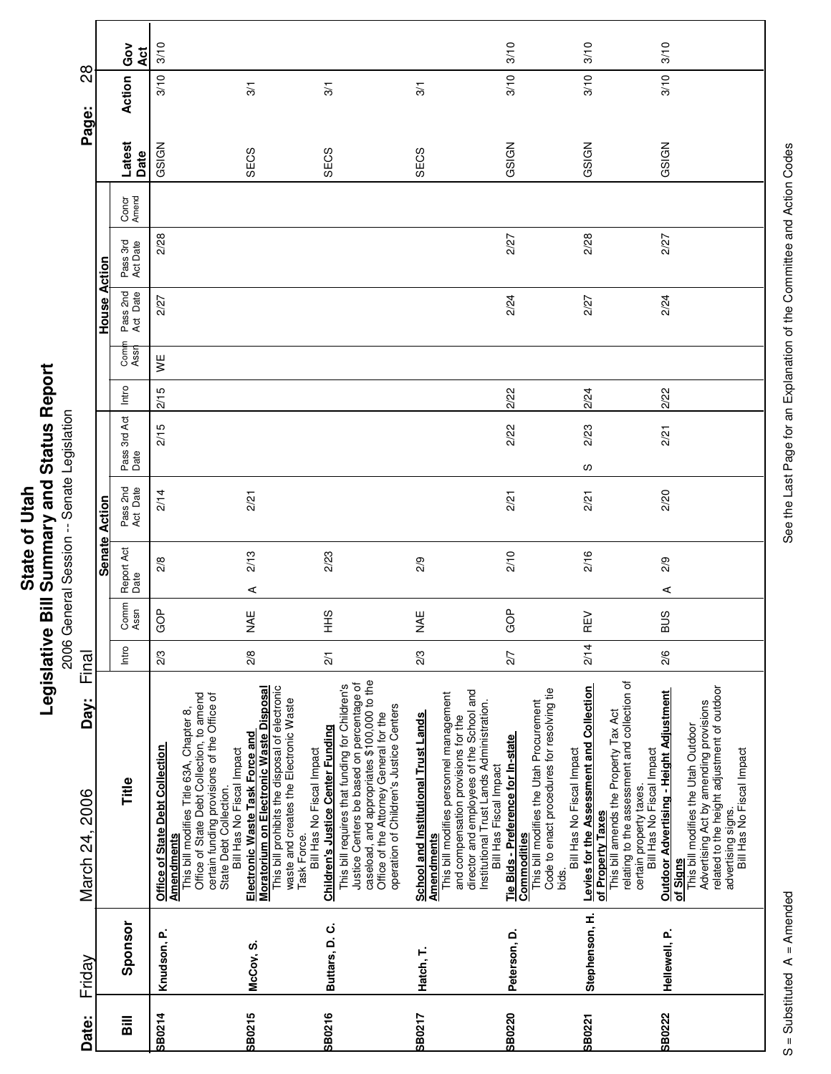|                        |               | Ğo<br>ă              | 3/10                                                                                                                                                                                                                   |                                                                                                                                                                                                                                                 |                                                                                                                                                                                                                                                                             |                                                                                                                                                                                                                                                                       | 3/10                                                                                                                                                                             | 3/10                                                                                                                                                                                                           | 3/10                                                                                                                                                                                                                                          |
|------------------------|---------------|----------------------|------------------------------------------------------------------------------------------------------------------------------------------------------------------------------------------------------------------------|-------------------------------------------------------------------------------------------------------------------------------------------------------------------------------------------------------------------------------------------------|-----------------------------------------------------------------------------------------------------------------------------------------------------------------------------------------------------------------------------------------------------------------------------|-----------------------------------------------------------------------------------------------------------------------------------------------------------------------------------------------------------------------------------------------------------------------|----------------------------------------------------------------------------------------------------------------------------------------------------------------------------------|----------------------------------------------------------------------------------------------------------------------------------------------------------------------------------------------------------------|-----------------------------------------------------------------------------------------------------------------------------------------------------------------------------------------------------------------------------------------------|
| 82                     |               | Action               | 3/10                                                                                                                                                                                                                   | $\frac{1}{3}$                                                                                                                                                                                                                                   | $\overline{3}$                                                                                                                                                                                                                                                              | 3/1                                                                                                                                                                                                                                                                   | 3/10                                                                                                                                                                             | 3/10                                                                                                                                                                                                           | 3/10                                                                                                                                                                                                                                          |
| Page:                  |               | Latest<br>Date       | GSIGN                                                                                                                                                                                                                  | SECS                                                                                                                                                                                                                                            | SECS                                                                                                                                                                                                                                                                        | SECS                                                                                                                                                                                                                                                                  | GSIGN                                                                                                                                                                            | GSIGN                                                                                                                                                                                                          | GSIGN                                                                                                                                                                                                                                         |
|                        |               | Concr<br>Amend       |                                                                                                                                                                                                                        |                                                                                                                                                                                                                                                 |                                                                                                                                                                                                                                                                             |                                                                                                                                                                                                                                                                       |                                                                                                                                                                                  |                                                                                                                                                                                                                |                                                                                                                                                                                                                                               |
|                        | Action        | Pass 3rd<br>Act Date | 2/28                                                                                                                                                                                                                   |                                                                                                                                                                                                                                                 |                                                                                                                                                                                                                                                                             |                                                                                                                                                                                                                                                                       | 2/27                                                                                                                                                                             | 2/28                                                                                                                                                                                                           | 2/27                                                                                                                                                                                                                                          |
|                        | House         | Pass 2nd<br>Act Date | 2/27                                                                                                                                                                                                                   |                                                                                                                                                                                                                                                 |                                                                                                                                                                                                                                                                             |                                                                                                                                                                                                                                                                       | 2/24                                                                                                                                                                             | 2/27                                                                                                                                                                                                           | 2/24                                                                                                                                                                                                                                          |
|                        |               | Com<br>Assr          | ¥                                                                                                                                                                                                                      |                                                                                                                                                                                                                                                 |                                                                                                                                                                                                                                                                             |                                                                                                                                                                                                                                                                       |                                                                                                                                                                                  |                                                                                                                                                                                                                |                                                                                                                                                                                                                                               |
|                        |               | Intro                | 2/15                                                                                                                                                                                                                   |                                                                                                                                                                                                                                                 |                                                                                                                                                                                                                                                                             |                                                                                                                                                                                                                                                                       | 2/22                                                                                                                                                                             | 2/24                                                                                                                                                                                                           | 2/22                                                                                                                                                                                                                                          |
|                        |               | Pass 3rd Act<br>Date | 2/15                                                                                                                                                                                                                   |                                                                                                                                                                                                                                                 |                                                                                                                                                                                                                                                                             |                                                                                                                                                                                                                                                                       | 2/22                                                                                                                                                                             | 2/23                                                                                                                                                                                                           | 2/21                                                                                                                                                                                                                                          |
|                        | Action        | Pass 2nd<br>Act Date | 2/14                                                                                                                                                                                                                   | 2/21                                                                                                                                                                                                                                            |                                                                                                                                                                                                                                                                             |                                                                                                                                                                                                                                                                       | 2/21                                                                                                                                                                             | လ<br>2/21                                                                                                                                                                                                      | 2/20                                                                                                                                                                                                                                          |
|                        | <b>Senate</b> | Report Act<br>Date   | 2/8                                                                                                                                                                                                                    | 2/13<br>⋖                                                                                                                                                                                                                                       | 2/23                                                                                                                                                                                                                                                                        | 2/9                                                                                                                                                                                                                                                                   | 2/10                                                                                                                                                                             | 2/16                                                                                                                                                                                                           | 2/9<br>⋖                                                                                                                                                                                                                                      |
|                        |               | Comm<br>Assn         | ģ<br>O                                                                                                                                                                                                                 | NAE                                                                                                                                                                                                                                             | SHH                                                                                                                                                                                                                                                                         | NAE                                                                                                                                                                                                                                                                   | GOP                                                                                                                                                                              | る<br>Œ                                                                                                                                                                                                         | <b>BUS</b>                                                                                                                                                                                                                                    |
| Final                  |               | Intro                | 2/3                                                                                                                                                                                                                    | 2/8                                                                                                                                                                                                                                             | $\overline{21}$                                                                                                                                                                                                                                                             | 2/3                                                                                                                                                                                                                                                                   | 2/7                                                                                                                                                                              | 2/14                                                                                                                                                                                                           | 2/6                                                                                                                                                                                                                                           |
| Day:<br>March 24, 2006 |               | Title                | Office of State Debt Collection, to amend<br>certain funding provisions of the Office of<br>This bill modifies Title 63A, Chapter 8,<br>Office of State Debt Collection<br>State Debt Collection.<br><b>Amendments</b> | This bill prohibits the disposal of electronic<br>Moratorium on Electronic Waste Disposal<br>waste and creates the Electronic Waste<br>Electronic Waste Task Force and<br>Bill Has No Fiscal Impact<br>Bill Has No Fiscal Impact<br>Task Force. | caseload, and appropriates \$100,000 to the<br>Justice Centers be based on percentage of<br>This bill requires that funding for Children's<br>operation of Children's Justice Centers<br>Office of the Attorney General for the<br><b>Children's Justice Center Funding</b> | director and employees of the School and<br>This bill modifies personnel management<br>Institutional Trust Lands Administration.<br><b>School and Institutional Trust Lands</b><br>and compensation provisions for the<br>Bill Has Fiscal Impact<br><b>Amendments</b> | Code to enact procedures for resolving tie<br>This bill modifies the Utah Procurement<br>Tie Bids - Preference for In-state<br>Bill Has No Fiscal Impact<br>Commodities<br>bids. | relating to the assessment and collection of<br>certain property taxes.<br>Levies for the Assessment and Collection<br>This bill amends the Property Tax Act<br>Bill Has No Fiscal Impact<br>of Property Taxes | related to the height adjustment of outdoor<br><b>Outdoor Advertising - Height Adjustment</b><br>Advertising Act by amending provisions<br>This bill modifies the Utah Outdoor<br>Bill Has No Fiscal Impact<br>advertising signs.<br>of Signs |
| Friday                 |               | Sponsor              | Knudson, P.                                                                                                                                                                                                            | McCoy, S.                                                                                                                                                                                                                                       | Buttars, D.C.                                                                                                                                                                                                                                                               | Hatch, T.                                                                                                                                                                                                                                                             | Peterson, D.                                                                                                                                                                     | Stephenson, H.                                                                                                                                                                                                 | Hellewell, P.                                                                                                                                                                                                                                 |
| Date:                  |               | $\overline{a}$       | <b>SB0214</b>                                                                                                                                                                                                          | SB0215                                                                                                                                                                                                                                          | SB0216                                                                                                                                                                                                                                                                      | <b>SB0217</b>                                                                                                                                                                                                                                                         | <b>SB0220</b>                                                                                                                                                                    | <b>SB0221</b>                                                                                                                                                                                                  | <b>SB0222</b>                                                                                                                                                                                                                                 |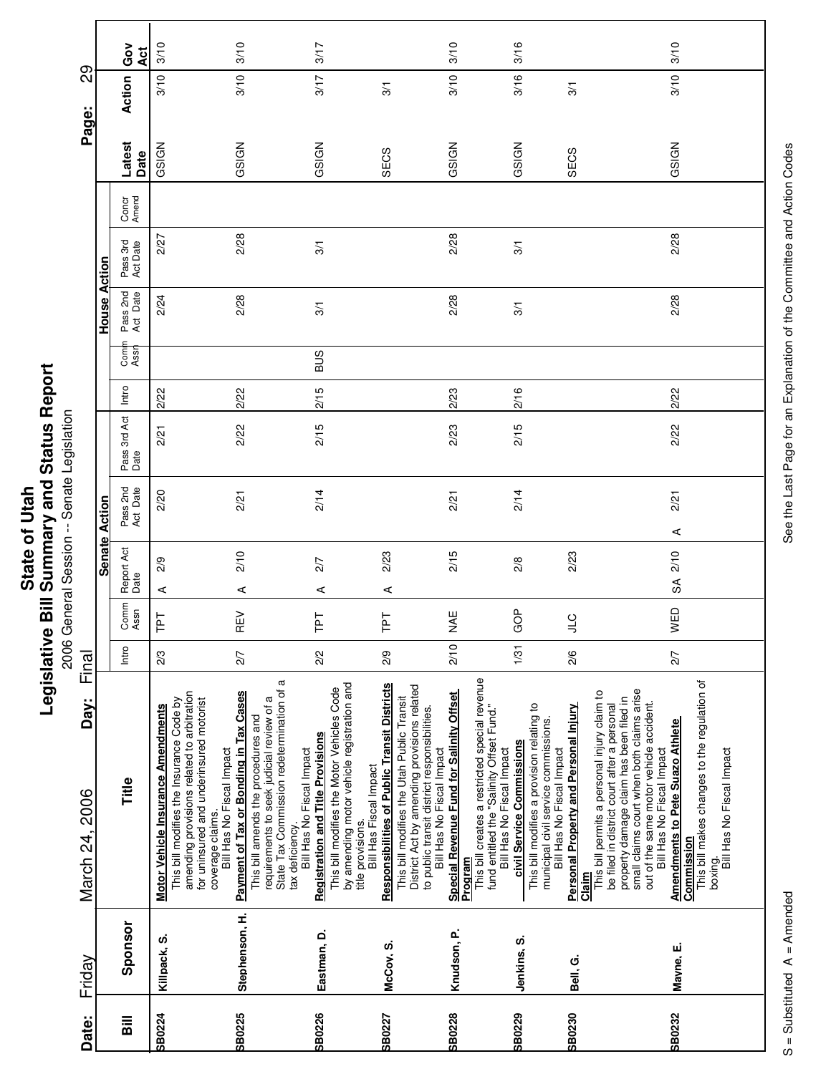|                      | Repor<br>Status I                     |
|----------------------|---------------------------------------|
| <b>State of Utah</b> | <b>Bill Summary and?</b><br>vitslativ |

eport 2006 General Session -- Senate Legislation

| Date: | Friday         | Day:<br>March 24, 2006                                                                                                                                                                                                                                                                                        | Final |               |                    |                      |                      |       |             |                      |                      |                | Page:          | 89            |            |
|-------|----------------|---------------------------------------------------------------------------------------------------------------------------------------------------------------------------------------------------------------------------------------------------------------------------------------------------------------|-------|---------------|--------------------|----------------------|----------------------|-------|-------------|----------------------|----------------------|----------------|----------------|---------------|------------|
|       |                |                                                                                                                                                                                                                                                                                                               |       |               | <b>Senate</b>      | Action               |                      |       |             | House                | Action               |                |                |               |            |
|       | Sponsor        | Title                                                                                                                                                                                                                                                                                                         | Intro | Comm<br>Assn  | Report Act<br>Date | Pass 2nd<br>Act Date | Pass 3rd Act<br>Date | Intro | Com<br>Assr | Pass 2nd<br>Act Date | Pass 3rd<br>Act Date | Concr<br>Amend | Latest<br>Date | Action        | Gov<br>Āct |
|       | Killpack, S.   | amending provisions related to arbitration<br>for uninsured and underinsured motorist<br>This bill modifies the Insurance Code by<br><b>Motor Vehicle Insurance Amendments</b><br>Bill Has No Fiscal Impact<br>coverage claims.                                                                               | 2/3   | 군<br>⊢        | 2/9<br>⋖           | 2/20                 | 2/21                 | 2/22  |             | 2/24                 | 2/27                 |                | GSIGN          | 3/10          | 3/10       |
|       | Stephenson, H. | a<br>State Tax Commission redetermination of<br><b>Payment of Tax or Bonding in Tax Cases</b><br>requirements to seek judicial review of a<br>This bill amends the procedures and<br>Bill Has No Fiscal Impact<br>tax deficiency.                                                                             | 2/7   | ξÑ<br>Œ       | 2/10<br>⋖          | 2/21                 | 2/22                 | 2/22  |             | 2/28                 | 2/28                 |                | GSIGN          | 3/10          | 3/10       |
|       | Eastman, D.    | by amending motor vehicle registration and<br>This bill modifies the Motor Vehicles Code<br><b>Registration and Title Provisions</b><br>Bill Has Fiscal Impact<br>title provisions.                                                                                                                           | 2/2   | 군<br>⊢        | 2/7<br>⋖           | 2/14                 | 2/15                 | 2/15  | <b>BUS</b>  | 3/1                  | 3/1                  |                | GSIGN          | 3/17          | 3/17       |
|       | McCov, S.      | <b>Responsibilities of Public Transit Districts</b><br>District Act by amending provisions related<br>This bill modifies the Utah Public Transit<br>to public transit district responsibilities.<br>Bill Has No Fiscal Impact                                                                                 | 2/9   | 군<br>⊢        | 2/23<br>⋖          |                      |                      |       |             |                      |                      |                | SECS           | $\frac{5}{2}$ |            |
|       | Knudson, P.    | This bill creates a restricted special revenue<br>Special Revenue Fund for Salinity Offset<br>fund entitled the "Salinity Offset Fund."<br>Bill Has No Fiscal Impact<br>Program                                                                                                                               | 2/10  | <b>NAE</b>    | 2/15               | 2/21                 | 2/23                 | 2/23  |             | 2/28                 | 2/28                 |                | GSIGN          | 3/10          | 3/10       |
|       | Jenkins, S.    | This bill modifies a provision relating to<br>municipal civil service commissions.<br>civil Service Commissions<br>Bill Has No Fiscal Impact                                                                                                                                                                  | 1/31  | GOP           | 2/8                | 2/14                 | 2/15                 | 2/16  |             | 3/1                  | 3/1                  |                | GSIGN          | 3/16          | 3/16       |
|       | Bell, G.       | small claims court when both claims arise<br>This bill permits a personal injury claim to<br>property damage claim has been filed in<br>out of the same motor vehicle accident.<br>Personal Property and Personal Injury<br>be filed in district court after a personal<br>Bill Has No Fiscal Impact<br>Claim | 2/6   | $\frac{1}{2}$ | 2/23               |                      |                      |       |             |                      |                      |                | SECS           | 3/1           |            |
|       | Mayne, E.      | This bill makes changes to the regulation of<br><b>Amendments to Pete Suazo Athlete</b><br>boxing.<br>Bill Has No Fiscal Impact<br>Commission                                                                                                                                                                 | 2/7   | WED           | 2/10<br>S          | 2/21<br>⋖            | 2/22                 | 2/22  |             | 2/28                 | 2/28                 |                | GSIGN          | 3/10          | 3/10       |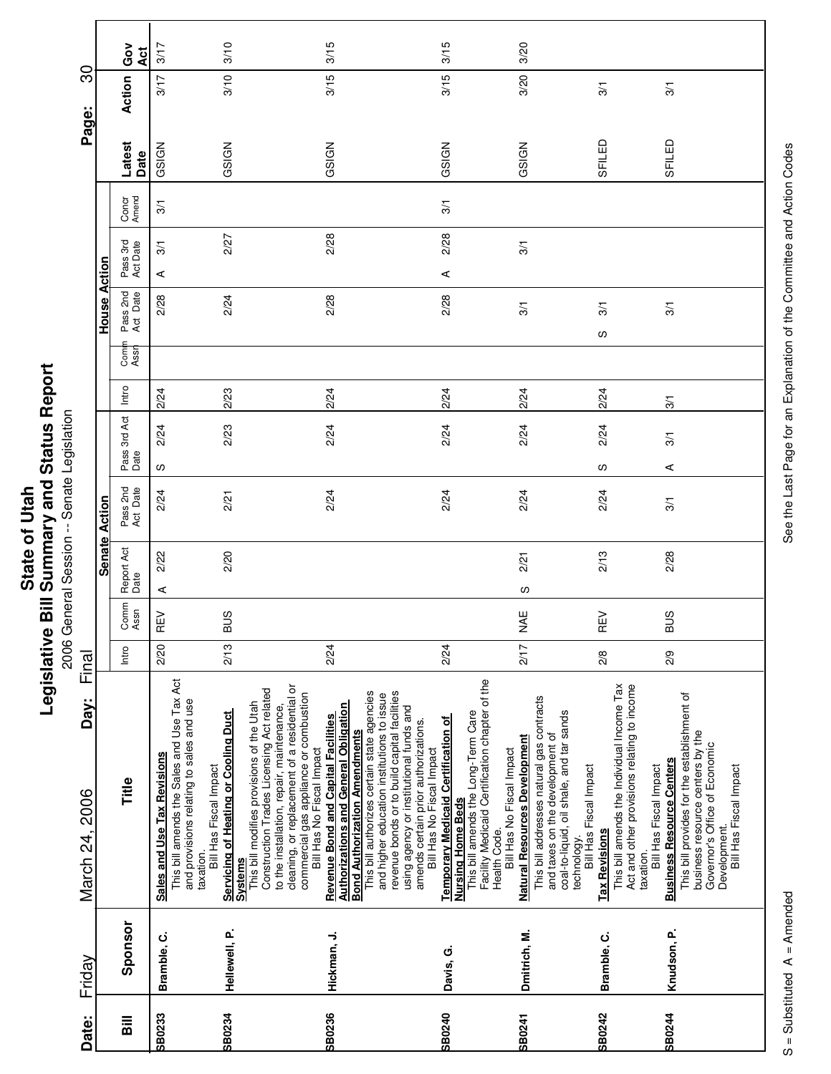| Repor<br><b>1 Status</b>       |            |
|--------------------------------|------------|
| Bill Summary and<br>State of U | egislative |

eport 2006 General Session -- Senate Legislation

|                        |               | Ğo<br>Act            | 3/17                                                                                                                               | 3/10                                                                             |                                                                                                                                                                                                                                                            | 3/15                                                                                                                                                                              |                                                                                                                                                                                                            | 3/15                                                                                                                                                            | 3/20                                                                                                                                                              |                                                                                                                                                                                                        |                                                                                                                                                                                                                                       |
|------------------------|---------------|----------------------|------------------------------------------------------------------------------------------------------------------------------------|----------------------------------------------------------------------------------|------------------------------------------------------------------------------------------------------------------------------------------------------------------------------------------------------------------------------------------------------------|-----------------------------------------------------------------------------------------------------------------------------------------------------------------------------------|------------------------------------------------------------------------------------------------------------------------------------------------------------------------------------------------------------|-----------------------------------------------------------------------------------------------------------------------------------------------------------------|-------------------------------------------------------------------------------------------------------------------------------------------------------------------|--------------------------------------------------------------------------------------------------------------------------------------------------------------------------------------------------------|---------------------------------------------------------------------------------------------------------------------------------------------------------------------------------------------------------------------------------------|
| <u>ခ</u><br>Page:      |               | Action               | 3/17                                                                                                                               | 3/10                                                                             |                                                                                                                                                                                                                                                            | 3/15                                                                                                                                                                              |                                                                                                                                                                                                            | 3/15                                                                                                                                                            | 3/20                                                                                                                                                              | $\overline{3}$                                                                                                                                                                                         | 3/1                                                                                                                                                                                                                                   |
|                        |               | Latest<br>Date       | GSIGN                                                                                                                              | GSIGN                                                                            |                                                                                                                                                                                                                                                            | GSIGN                                                                                                                                                                             |                                                                                                                                                                                                            | GSIGN                                                                                                                                                           | GSIGN                                                                                                                                                             | SFILED                                                                                                                                                                                                 | SFILED                                                                                                                                                                                                                                |
|                        |               | Concr<br>Amend       | $\frac{5}{2}$                                                                                                                      |                                                                                  |                                                                                                                                                                                                                                                            |                                                                                                                                                                                   |                                                                                                                                                                                                            | 3/1                                                                                                                                                             |                                                                                                                                                                   |                                                                                                                                                                                                        |                                                                                                                                                                                                                                       |
|                        | Action        | Pass 3rd<br>Act Date | 3/1<br>⋖                                                                                                                           | 2/27                                                                             |                                                                                                                                                                                                                                                            | 2/28                                                                                                                                                                              |                                                                                                                                                                                                            | 2/28<br>$\prec$                                                                                                                                                 | 3/1                                                                                                                                                               |                                                                                                                                                                                                        |                                                                                                                                                                                                                                       |
|                        | House         | Pass 2nd<br>Act Date | 2/28                                                                                                                               | 2/24                                                                             |                                                                                                                                                                                                                                                            | 2/28                                                                                                                                                                              |                                                                                                                                                                                                            | 2/28                                                                                                                                                            | 3/1                                                                                                                                                               | 3/1<br>လ                                                                                                                                                                                               | 3/1                                                                                                                                                                                                                                   |
|                        |               | Com<br>Assr          |                                                                                                                                    |                                                                                  |                                                                                                                                                                                                                                                            |                                                                                                                                                                                   |                                                                                                                                                                                                            |                                                                                                                                                                 |                                                                                                                                                                   |                                                                                                                                                                                                        |                                                                                                                                                                                                                                       |
|                        |               | Intro                | 2/24                                                                                                                               | 2/23                                                                             |                                                                                                                                                                                                                                                            | 2/24                                                                                                                                                                              |                                                                                                                                                                                                            | 2/24                                                                                                                                                            | 2/24                                                                                                                                                              | 2/24                                                                                                                                                                                                   | 3/1                                                                                                                                                                                                                                   |
|                        |               | Pass 3rd Act<br>Date | 2/24<br>w                                                                                                                          | 2/23                                                                             |                                                                                                                                                                                                                                                            | 2/24                                                                                                                                                                              |                                                                                                                                                                                                            | 2/24                                                                                                                                                            | 2/24                                                                                                                                                              | 2/24<br>w                                                                                                                                                                                              | 3/1<br>⋖                                                                                                                                                                                                                              |
|                        | Action        | Pass 2nd<br>Act Date | 2/24                                                                                                                               | 2/21                                                                             |                                                                                                                                                                                                                                                            | 2/24                                                                                                                                                                              |                                                                                                                                                                                                            | 2/24                                                                                                                                                            | 2/24                                                                                                                                                              | 2/24                                                                                                                                                                                                   | 3/1                                                                                                                                                                                                                                   |
|                        | <b>Senate</b> | Report Act<br>Date   | 2/22<br>⋖                                                                                                                          | 2/20                                                                             |                                                                                                                                                                                                                                                            |                                                                                                                                                                                   |                                                                                                                                                                                                            |                                                                                                                                                                 | 2/21<br>လ                                                                                                                                                         | 2/13                                                                                                                                                                                                   | 2/28                                                                                                                                                                                                                                  |
|                        |               | Comm<br>Assn         | 집<br>Œ                                                                                                                             | <b>SUS</b>                                                                       |                                                                                                                                                                                                                                                            |                                                                                                                                                                                   |                                                                                                                                                                                                            |                                                                                                                                                                 | <b>NAE</b>                                                                                                                                                        | $\geq$<br>Œ                                                                                                                                                                                            | <b>BUS</b>                                                                                                                                                                                                                            |
| Final                  |               | Intro                | 2/20                                                                                                                               | 2/13                                                                             |                                                                                                                                                                                                                                                            | 2/24                                                                                                                                                                              |                                                                                                                                                                                                            | 2/24                                                                                                                                                            | 2/17                                                                                                                                                              | 2/8                                                                                                                                                                                                    | 2/9                                                                                                                                                                                                                                   |
| Day:<br>March 24, 2006 |               | Title                | This bill amends the Sales and Use Tax Act<br>and provisions relating to sales and use<br>Sales and Use Tax Revisions<br>taxation. | Servicing of Heating or Cooling Duct<br>Bill Has Fiscal Impact<br><b>Systems</b> | cleaning, or replacement of a residential or<br>Construction Trades Licensing Act related<br>commercial gas appliance or combustion<br>Bill Has No Fiscal Impact<br>This bill modifies provisions of the Utah<br>to the installation, repair, maintenance, | This bill authorizes certain state agencies<br><b>Authorizations and General Obligation</b><br><b>Revenue Bond and Capital Facilities</b><br><b>Bond Authorization Amendments</b> | revenue bonds or to build capital facilities<br>and higher education institutions to issue<br>using agency or institutional funds and<br>amends certain prior authorizations.<br>Bill Has No Fiscal Impact | Facility Medicaid Certification chapter of the<br>This bill amends the Long-Term Care<br><b>Temporary Medicaid Certification of</b><br><b>Nursing Home Beds</b> | This bill addresses natural gas contracts<br>and taxes on the development of<br><b>Natural Resources Development</b><br>Bill Has No Fiscal Impact<br>Health Code. | This bill amends the Individual Income Tax<br>Act and other provisions relating to income<br>coal-to-liquid, oil shale, and tar sands<br>Bill Has Fiscal Impact<br><b>Tax Revisions</b><br>technology. | This bill provides for the establishment of<br>business resource centers by the<br>Governor's Office of Economic<br><b>Business Resource Centers</b><br>Bill Has Fiscal Impact<br>Bill Has Fiscal Impact<br>Development.<br>taxation. |
| Friday                 |               | Sponsor              | Bramble, C.                                                                                                                        | Hellewell, P.                                                                    |                                                                                                                                                                                                                                                            | Hickman, J.                                                                                                                                                                       |                                                                                                                                                                                                            | Davis, G.                                                                                                                                                       | Dmitrich, M.                                                                                                                                                      | Bramble, C.                                                                                                                                                                                            | Knudson, P.                                                                                                                                                                                                                           |
| Date:                  |               | $\overline{a}$       | <b>SB0233</b>                                                                                                                      | <b>SB0234</b>                                                                    |                                                                                                                                                                                                                                                            | SB0236                                                                                                                                                                            |                                                                                                                                                                                                            | SB0240                                                                                                                                                          | <b>SB0241</b>                                                                                                                                                     | SB0242                                                                                                                                                                                                 | <b>SB0244</b>                                                                                                                                                                                                                         |

See the Last Page for an Explanation of the Committee and Action Codes S = Substituted A = Amended A = Amended See the Last Page for an Explanation of the Committee and Action Codes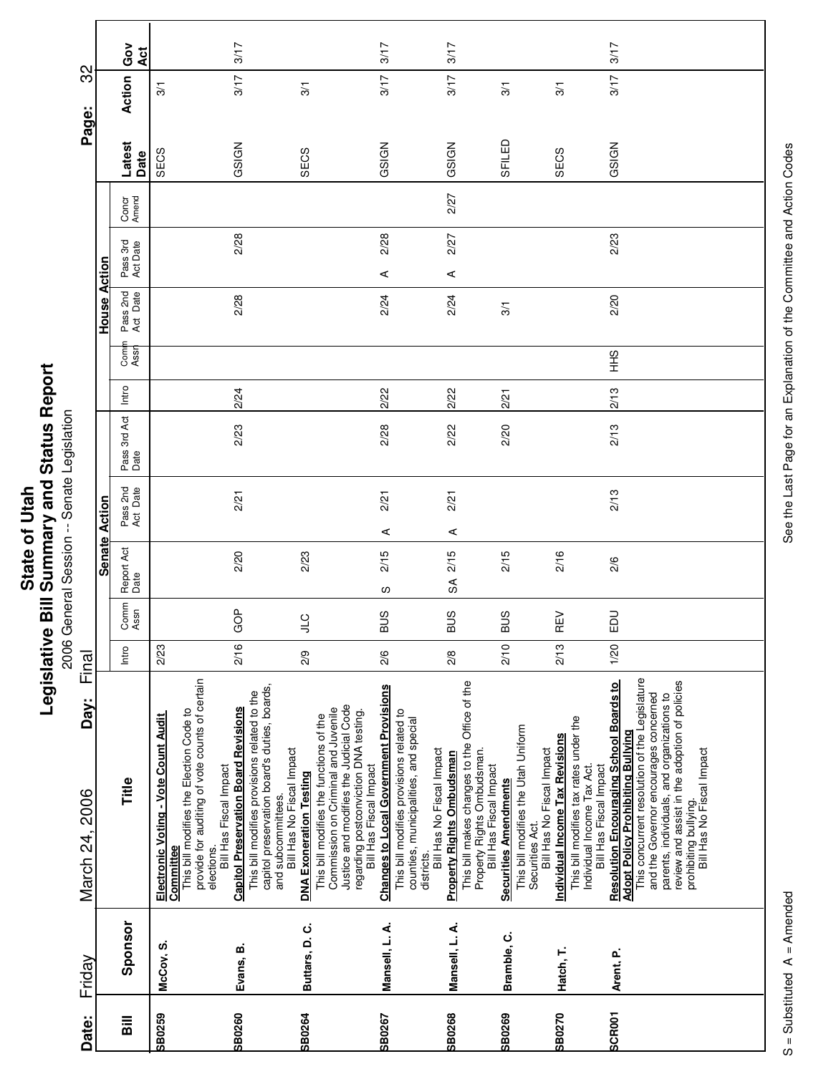|                        |                      | Ğov<br>Act                         |                                                                                                                                                                                        | 3/17                                                                                                                                                                                           |                                                                                                                                                                                                                        | 3/17                                                                                                                                                                          | 3/17                                                                                                                                     |                                                                                                                     |                                                                                                                                          | 3/17                                                                                                                                                                                                                                                                                                                                      |
|------------------------|----------------------|------------------------------------|----------------------------------------------------------------------------------------------------------------------------------------------------------------------------------------|------------------------------------------------------------------------------------------------------------------------------------------------------------------------------------------------|------------------------------------------------------------------------------------------------------------------------------------------------------------------------------------------------------------------------|-------------------------------------------------------------------------------------------------------------------------------------------------------------------------------|------------------------------------------------------------------------------------------------------------------------------------------|---------------------------------------------------------------------------------------------------------------------|------------------------------------------------------------------------------------------------------------------------------------------|-------------------------------------------------------------------------------------------------------------------------------------------------------------------------------------------------------------------------------------------------------------------------------------------------------------------------------------------|
| 32                     |                      | Action                             | $\frac{5}{10}$                                                                                                                                                                         | 3/17                                                                                                                                                                                           | $\overline{3}$                                                                                                                                                                                                         | 3/17                                                                                                                                                                          | 3/17                                                                                                                                     | 3/1                                                                                                                 | 3/1                                                                                                                                      | 3/17                                                                                                                                                                                                                                                                                                                                      |
| Page:                  |                      | Latest<br>Date                     | SECS                                                                                                                                                                                   | GSIGN                                                                                                                                                                                          | SECS                                                                                                                                                                                                                   | GSIGN                                                                                                                                                                         | GSIGN                                                                                                                                    | SFILED                                                                                                              | SECS                                                                                                                                     | GSIGN                                                                                                                                                                                                                                                                                                                                     |
|                        |                      | Concr<br>Amend                     |                                                                                                                                                                                        |                                                                                                                                                                                                |                                                                                                                                                                                                                        |                                                                                                                                                                               | 2/27                                                                                                                                     |                                                                                                                     |                                                                                                                                          |                                                                                                                                                                                                                                                                                                                                           |
|                        |                      | Pass 3rd<br>Act Date               |                                                                                                                                                                                        | 2/28                                                                                                                                                                                           |                                                                                                                                                                                                                        | 2/28<br>⋖                                                                                                                                                                     | 2/27<br>⋖                                                                                                                                |                                                                                                                     |                                                                                                                                          | 2/23                                                                                                                                                                                                                                                                                                                                      |
|                        | <b>House Action</b>  | Pass 2nd<br>Act Date               |                                                                                                                                                                                        | 2/28                                                                                                                                                                                           |                                                                                                                                                                                                                        | 2/24                                                                                                                                                                          | 2/24                                                                                                                                     | 3/1                                                                                                                 |                                                                                                                                          | 2/20                                                                                                                                                                                                                                                                                                                                      |
|                        |                      | Comi<br>Assr                       |                                                                                                                                                                                        |                                                                                                                                                                                                |                                                                                                                                                                                                                        |                                                                                                                                                                               |                                                                                                                                          |                                                                                                                     |                                                                                                                                          | SHH                                                                                                                                                                                                                                                                                                                                       |
|                        |                      | Intro                              |                                                                                                                                                                                        | 2/24                                                                                                                                                                                           |                                                                                                                                                                                                                        | 2/22                                                                                                                                                                          | 2/22                                                                                                                                     | 2/21                                                                                                                |                                                                                                                                          | 2/13                                                                                                                                                                                                                                                                                                                                      |
|                        |                      | Pass 3rd Act<br>Date               |                                                                                                                                                                                        | 2/23                                                                                                                                                                                           |                                                                                                                                                                                                                        | 2/28                                                                                                                                                                          | 2/22                                                                                                                                     | 2/20                                                                                                                |                                                                                                                                          | 2/13                                                                                                                                                                                                                                                                                                                                      |
|                        | <b>Senate Action</b> | Pass 2nd<br>Act Date               |                                                                                                                                                                                        | 2/21                                                                                                                                                                                           |                                                                                                                                                                                                                        | 2/21<br>⋖                                                                                                                                                                     | 2/21<br>⋖                                                                                                                                |                                                                                                                     |                                                                                                                                          | 2/13                                                                                                                                                                                                                                                                                                                                      |
|                        |                      | Report Act<br>Date                 |                                                                                                                                                                                        | 2/20                                                                                                                                                                                           | 2/23                                                                                                                                                                                                                   | 2/15<br>S                                                                                                                                                                     | 2/15<br>SÃ                                                                                                                               | 2/15                                                                                                                | 2/16                                                                                                                                     | 2/6                                                                                                                                                                                                                                                                                                                                       |
|                        |                      | Comm<br>Assn                       |                                                                                                                                                                                        | GOP                                                                                                                                                                                            | )<br>기                                                                                                                                                                                                                 | <b>SUS</b>                                                                                                                                                                    | <b>BUS</b>                                                                                                                               | <b>BUS</b>                                                                                                          | ξÑ<br>Œ                                                                                                                                  | $\overline{5}$<br>щ                                                                                                                                                                                                                                                                                                                       |
| Final                  |                      | Intro                              | 2/23                                                                                                                                                                                   | 2/16                                                                                                                                                                                           | 2/9                                                                                                                                                                                                                    | 2/6                                                                                                                                                                           | 2/8                                                                                                                                      | 2/10                                                                                                                | 2/13                                                                                                                                     | 1/20                                                                                                                                                                                                                                                                                                                                      |
| Day:<br>March 24, 2006 |                      | Title                              | provide for auditing of vote counts of certain<br>This bill modifies the Election Code to<br>Electronic Voting - Vote Count Audit<br>Bill Has Fiscal Impact<br>Committee<br>elections. | capitol preservation board's duties, boards,<br>This bill modifies provisions related to the<br><b>Capitol Preservation Board Revisions</b><br>Bill Has No Fiscal Impact<br>and subcommittees. | Justice and modifies the Judicial Code<br>Commission on Criminal and Juvenile<br>regarding postconviction DNA testing.<br>Bill Has Fiscal Impact<br>This bill modifies the functions of the<br>DNA Exoneration Testing | <b>Changes to Local Government Provisions</b><br>This bill modifies provisions related to<br>counties, municipalities, and special<br>Bill Has No Fiscal Impact<br>districts. | This bill makes changes to the Office of the<br>Property Rights Ombudsman.<br><b>Property Rights Ombudsman</b><br>Bill Has Fiscal Impact | This bill modifies the Utah Uniform<br>Bill Has No Fiscal Impact<br><b>Securities Amendments</b><br>Securities Act. | This bill modifies tax rates under the<br><b>Individual Income Tax Revisions</b><br>Individual Income Tax Act.<br>Bill Has Fiscal Impact | This concurrent resolution of the Legislature<br>review and assist in the adoption of policies<br><b>Resolution Encouraging School Boards to</b><br>and the Governor encourages concerned<br>parents, individuals, and organizations to<br><b>Adopt Policy Prohibiting Bullying</b><br>Bill Has No Fiscal Impact<br>prohibiting bullying. |
| Friday                 |                      | Sponsor                            | McCoy, S.                                                                                                                                                                              | Evans, B.                                                                                                                                                                                      | Buttars, D.C.                                                                                                                                                                                                          | Mansell, L. A.                                                                                                                                                                | Mansell, L. A.                                                                                                                           | Bramble, C.                                                                                                         | Hatch, T.                                                                                                                                | Arent, P.                                                                                                                                                                                                                                                                                                                                 |
| Date:                  |                      | $\overline{\overline{\mathbf{a}}}$ | <b>SB0259</b>                                                                                                                                                                          | <b>SB0260</b>                                                                                                                                                                                  | SB0264                                                                                                                                                                                                                 | SB0267                                                                                                                                                                        | <b>SB0268</b>                                                                                                                            | <b>SB0269</b>                                                                                                       | <b>SB0270</b>                                                                                                                            | <b>SCROOT</b>                                                                                                                                                                                                                                                                                                                             |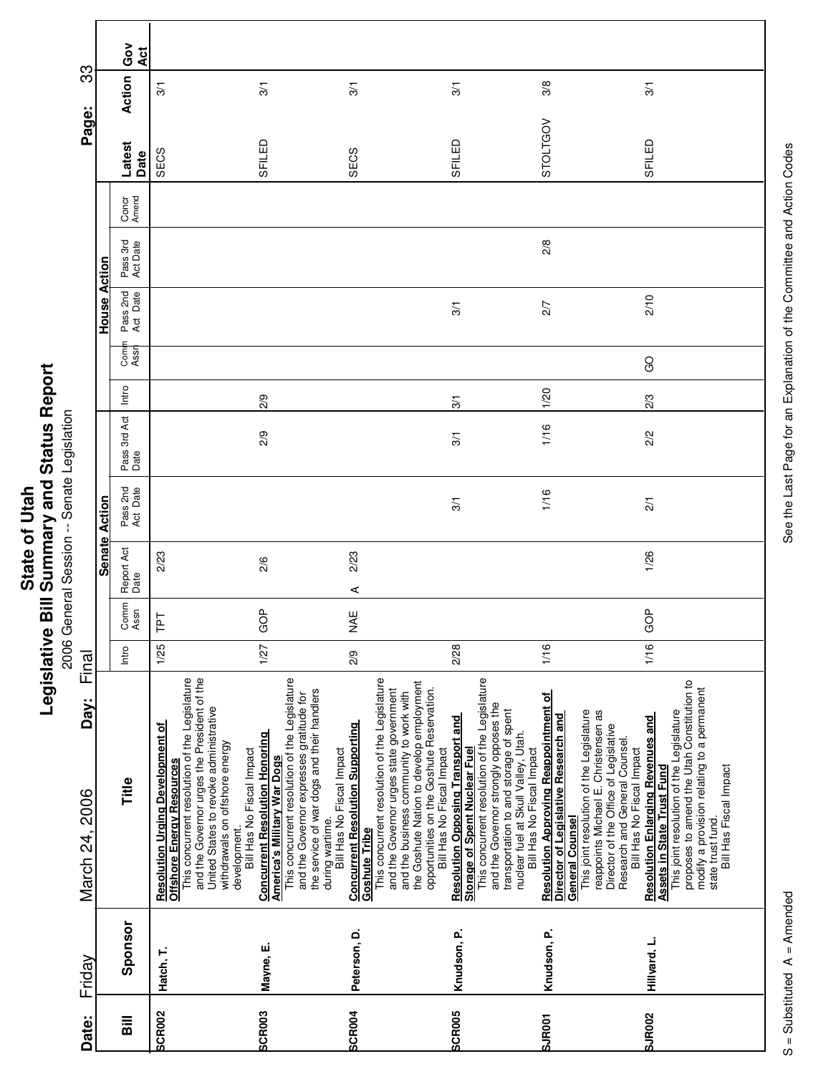|                        |               | Gov<br>Act                         |                                                                                                                                                                                                                                                                   |                                                                                                                                                                                                                                                                                                     |                                                                                                                                                                                                                                                                                                                              |                                                                                                                                                                                                                                                                                          |                                                                                                                                                                                                                                                                                                           |                                                                                                                                                                                                                                                                |
|------------------------|---------------|------------------------------------|-------------------------------------------------------------------------------------------------------------------------------------------------------------------------------------------------------------------------------------------------------------------|-----------------------------------------------------------------------------------------------------------------------------------------------------------------------------------------------------------------------------------------------------------------------------------------------------|------------------------------------------------------------------------------------------------------------------------------------------------------------------------------------------------------------------------------------------------------------------------------------------------------------------------------|------------------------------------------------------------------------------------------------------------------------------------------------------------------------------------------------------------------------------------------------------------------------------------------|-----------------------------------------------------------------------------------------------------------------------------------------------------------------------------------------------------------------------------------------------------------------------------------------------------------|----------------------------------------------------------------------------------------------------------------------------------------------------------------------------------------------------------------------------------------------------------------|
| က္တ                    |               | Action                             | 3/1                                                                                                                                                                                                                                                               | 3/1                                                                                                                                                                                                                                                                                                 | $\frac{5}{2}$                                                                                                                                                                                                                                                                                                                | 3/1                                                                                                                                                                                                                                                                                      | 3/8                                                                                                                                                                                                                                                                                                       | 3/1                                                                                                                                                                                                                                                            |
| Page:                  |               | Latest<br>Date                     | SECS                                                                                                                                                                                                                                                              | SFILED                                                                                                                                                                                                                                                                                              | SECS                                                                                                                                                                                                                                                                                                                         | SFILED                                                                                                                                                                                                                                                                                   | <b>STOLTGOV</b>                                                                                                                                                                                                                                                                                           | SFILED                                                                                                                                                                                                                                                         |
|                        |               | Concr<br>Amend                     |                                                                                                                                                                                                                                                                   |                                                                                                                                                                                                                                                                                                     |                                                                                                                                                                                                                                                                                                                              |                                                                                                                                                                                                                                                                                          |                                                                                                                                                                                                                                                                                                           |                                                                                                                                                                                                                                                                |
|                        | Action        | Pass 3rd<br>Act Date               |                                                                                                                                                                                                                                                                   |                                                                                                                                                                                                                                                                                                     |                                                                                                                                                                                                                                                                                                                              |                                                                                                                                                                                                                                                                                          | 2/8                                                                                                                                                                                                                                                                                                       |                                                                                                                                                                                                                                                                |
|                        | House         | Pass 2nd<br>Act Date               |                                                                                                                                                                                                                                                                   |                                                                                                                                                                                                                                                                                                     |                                                                                                                                                                                                                                                                                                                              | 3/1                                                                                                                                                                                                                                                                                      | 2/7                                                                                                                                                                                                                                                                                                       | 2/10                                                                                                                                                                                                                                                           |
|                        |               | Com<br>Ass                         |                                                                                                                                                                                                                                                                   |                                                                                                                                                                                                                                                                                                     |                                                                                                                                                                                                                                                                                                                              |                                                                                                                                                                                                                                                                                          |                                                                                                                                                                                                                                                                                                           | <b>GO</b>                                                                                                                                                                                                                                                      |
|                        |               | Intro                              |                                                                                                                                                                                                                                                                   | 2/9                                                                                                                                                                                                                                                                                                 |                                                                                                                                                                                                                                                                                                                              | 3/1                                                                                                                                                                                                                                                                                      | 1/20                                                                                                                                                                                                                                                                                                      | 2/3                                                                                                                                                                                                                                                            |
|                        |               | Pass 3rd Act<br>Date               |                                                                                                                                                                                                                                                                   | 2/9                                                                                                                                                                                                                                                                                                 |                                                                                                                                                                                                                                                                                                                              | $\overline{3}$                                                                                                                                                                                                                                                                           | 1/16                                                                                                                                                                                                                                                                                                      | $\frac{2}{3}$                                                                                                                                                                                                                                                  |
|                        | Action        | Pass 2nd<br>Act Date               |                                                                                                                                                                                                                                                                   |                                                                                                                                                                                                                                                                                                     |                                                                                                                                                                                                                                                                                                                              | 3/1                                                                                                                                                                                                                                                                                      | 1/16                                                                                                                                                                                                                                                                                                      | $\overline{21}$                                                                                                                                                                                                                                                |
|                        | <b>Senate</b> | Report Act<br>Date                 | 2/23                                                                                                                                                                                                                                                              | 2/6                                                                                                                                                                                                                                                                                                 | 2/23<br>⋖                                                                                                                                                                                                                                                                                                                    |                                                                                                                                                                                                                                                                                          |                                                                                                                                                                                                                                                                                                           | 1/26                                                                                                                                                                                                                                                           |
|                        |               | Comm<br>Assn                       | Ιd1                                                                                                                                                                                                                                                               | GOP                                                                                                                                                                                                                                                                                                 | yk≣                                                                                                                                                                                                                                                                                                                          |                                                                                                                                                                                                                                                                                          |                                                                                                                                                                                                                                                                                                           | GOP                                                                                                                                                                                                                                                            |
| Final                  |               | Intro                              | 1/25                                                                                                                                                                                                                                                              | 1/27                                                                                                                                                                                                                                                                                                | 2/9                                                                                                                                                                                                                                                                                                                          | 2/28                                                                                                                                                                                                                                                                                     | 1/16                                                                                                                                                                                                                                                                                                      | 1/16                                                                                                                                                                                                                                                           |
| Day:<br>March 24, 2006 |               | Title                              | and the Governor urges the President of the<br>This concurrent resolution of the Legislature<br>United States to revoke administrative<br><b>Resolution Urging Development of<br/>Offshore Energy Resources</b><br>withdrawals on offshore energy<br>development. | This concurrent resolution of the Legislature<br>the service of war dogs and their handlers<br>and the Governor expresses gratitude for<br><b>Concurrent Resolution Honoring</b><br>during wartime.<br>Bill Has No Fiscal Impact<br>Bill Has No Fiscal Impact<br><b>America's Military War Dogs</b> | This concurrent resolution of the Legislature<br>the Goshute Nation to develop employment<br>opportunities on the Goshute Reservation.<br>and the Governor urges state government<br>and the business community to work with<br><b>Concurrent Resolution Supporting</b><br>Bill Has No Fiscal Impact<br><b>Goshute Tribe</b> | This concurrent resolution of the Legislature<br>and the Governor strongly opposes the<br>transportation to and storage of spent<br><b>Resolution Opposing Transport and</b><br>nuclear fuel at Skull Valley, Utah.<br><b>Storage of Spent Nuclear Fuel</b><br>Bill Has No Fiscal Impact | <b>Resolution Approving Reappointment of</b><br>This joint resolution of the Legislature<br>reappoints Michael E. Christensen as<br>Director of Legislative Research and<br>Director of the Office of Legislative<br>Research and General Counsel.<br>Bill Has No Fiscal Impact<br><b>General Counsel</b> | proposes to amend the Utah Constitution to<br>modify a provision relating to a permanent<br>This joint resolution of the Legislature<br><b>Resolution Enlarging Revenues and<br/>Assets in State Trust Fund</b><br>Bill Has Fiscal Impact<br>state trust fund. |
| Friday                 |               | Sponsor                            | Hatch, T.                                                                                                                                                                                                                                                         | Mayne, E.                                                                                                                                                                                                                                                                                           | Peterson, D.                                                                                                                                                                                                                                                                                                                 | Knudson, P.                                                                                                                                                                                                                                                                              | Knudson, P.                                                                                                                                                                                                                                                                                               | Hillyard, L.                                                                                                                                                                                                                                                   |
| Date:                  |               | $\overline{\overline{\mathbf{a}}}$ | <b>SCR002</b>                                                                                                                                                                                                                                                     | <b>SCR003</b>                                                                                                                                                                                                                                                                                       | SCR004                                                                                                                                                                                                                                                                                                                       | <b>SCR005</b>                                                                                                                                                                                                                                                                            | <b>SJR001</b>                                                                                                                                                                                                                                                                                             | <b>SJR002</b>                                                                                                                                                                                                                                                  |

See the Last Page for an Explanation of the Committee and Action Codes S = Substituted A = Amended A = Amended See the Last Page for an Explanation of the Committee and Action Codes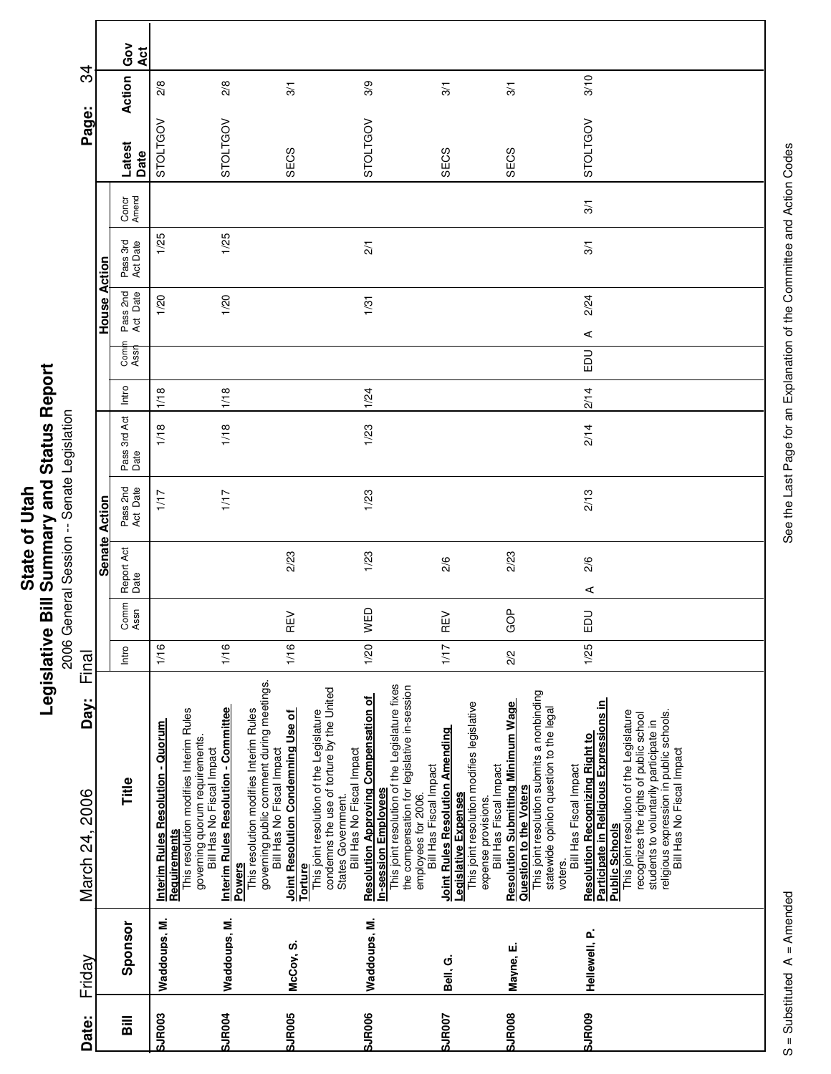| Ĩ.<br>' and<br>į<br>$\overline{\phantom{a}}$<br>ご<br>nmar<br>State of<br><b>Rill Cum</b><br>ï<br>vislativ<br>りうい |
|------------------------------------------------------------------------------------------------------------------|
|------------------------------------------------------------------------------------------------------------------|

|                        |                      | Ğ<br>O<br>Act        |                                                                                                    |                                                                                                            |                                                                                                                                                                         |                                                                                                                                                                                                           |                                                                                                                                                                               |                                                                                                                                                        |                                                                                                                                                       |                                                                                                                                                                                                                                                                                 |                                                                      |
|------------------------|----------------------|----------------------|----------------------------------------------------------------------------------------------------|------------------------------------------------------------------------------------------------------------|-------------------------------------------------------------------------------------------------------------------------------------------------------------------------|-----------------------------------------------------------------------------------------------------------------------------------------------------------------------------------------------------------|-------------------------------------------------------------------------------------------------------------------------------------------------------------------------------|--------------------------------------------------------------------------------------------------------------------------------------------------------|-------------------------------------------------------------------------------------------------------------------------------------------------------|---------------------------------------------------------------------------------------------------------------------------------------------------------------------------------------------------------------------------------------------------------------------------------|----------------------------------------------------------------------|
| ನೆ                     |                      | Action               | 2/8                                                                                                | 2/8                                                                                                        | $\overline{3}$                                                                                                                                                          | 3/9                                                                                                                                                                                                       |                                                                                                                                                                               | $\frac{5}{2}$                                                                                                                                          | $\overline{3}$                                                                                                                                        | 3/10                                                                                                                                                                                                                                                                            |                                                                      |
| Page:                  |                      | Latest<br>Date       | STOLTGOV                                                                                           | STOLTGOV                                                                                                   | SECS                                                                                                                                                                    | STOLTGOV                                                                                                                                                                                                  |                                                                                                                                                                               | SECS                                                                                                                                                   | SECS                                                                                                                                                  | STOLTGOV                                                                                                                                                                                                                                                                        |                                                                      |
|                        |                      | Concr<br>Amend       |                                                                                                    |                                                                                                            |                                                                                                                                                                         |                                                                                                                                                                                                           |                                                                                                                                                                               |                                                                                                                                                        |                                                                                                                                                       | $\overline{3}$                                                                                                                                                                                                                                                                  |                                                                      |
|                        | Action               | Pass 3rd<br>Act Date | 1/25                                                                                               | 1/25                                                                                                       |                                                                                                                                                                         | $\overline{21}$                                                                                                                                                                                           |                                                                                                                                                                               |                                                                                                                                                        |                                                                                                                                                       | $\overline{3}$                                                                                                                                                                                                                                                                  |                                                                      |
|                        | House                | Pass 2nd<br>Act Date | 1/20                                                                                               | 1/20                                                                                                       |                                                                                                                                                                         | 1/31                                                                                                                                                                                                      |                                                                                                                                                                               |                                                                                                                                                        |                                                                                                                                                       | 2/24<br>⋖                                                                                                                                                                                                                                                                       |                                                                      |
|                        |                      | Comi<br>Assr         |                                                                                                    |                                                                                                            |                                                                                                                                                                         |                                                                                                                                                                                                           |                                                                                                                                                                               |                                                                                                                                                        |                                                                                                                                                       | <b>DU</b>                                                                                                                                                                                                                                                                       |                                                                      |
|                        |                      | Intro                | 1/18                                                                                               | 1/18                                                                                                       |                                                                                                                                                                         | 1/24                                                                                                                                                                                                      |                                                                                                                                                                               |                                                                                                                                                        |                                                                                                                                                       | 2/14                                                                                                                                                                                                                                                                            |                                                                      |
|                        |                      | Pass 3rd Act<br>Date | 1/18                                                                                               | 1/18                                                                                                       |                                                                                                                                                                         | 1/23                                                                                                                                                                                                      |                                                                                                                                                                               |                                                                                                                                                        |                                                                                                                                                       | 2/14                                                                                                                                                                                                                                                                            |                                                                      |
|                        | <b>Senate Action</b> | Pass 2nd<br>Act Date | 1/17                                                                                               | 1/17                                                                                                       |                                                                                                                                                                         | 1/23                                                                                                                                                                                                      |                                                                                                                                                                               |                                                                                                                                                        |                                                                                                                                                       | 2/13                                                                                                                                                                                                                                                                            |                                                                      |
|                        |                      | Report Act<br>Date   |                                                                                                    |                                                                                                            | 2/23                                                                                                                                                                    | 1/23                                                                                                                                                                                                      |                                                                                                                                                                               | 2/6                                                                                                                                                    | 2/23                                                                                                                                                  | 2/6<br>⋖                                                                                                                                                                                                                                                                        |                                                                      |
|                        |                      | Comm<br>Assn         |                                                                                                    |                                                                                                            | ξñ<br>Œ                                                                                                                                                                 | WED                                                                                                                                                                                                       |                                                                                                                                                                               | ξÑ<br>Œ                                                                                                                                                | GOP                                                                                                                                                   | $\overline{a}$<br>ш                                                                                                                                                                                                                                                             |                                                                      |
| Final                  |                      | Intro                | 1/16                                                                                               | 1/16                                                                                                       | 1/16                                                                                                                                                                    | 1/20                                                                                                                                                                                                      |                                                                                                                                                                               | 1/17                                                                                                                                                   | 2/2                                                                                                                                                   | 1/25                                                                                                                                                                                                                                                                            |                                                                      |
| Day:<br>March 24, 2006 |                      | Title                | This resolution modifies Interim Rules<br>Interim Rules Resolution - Quorum<br><b>Requirements</b> | <b>Interim Rules Resolution - Committee</b><br>governing quorum requirements.<br>Bill Has No Fiscal Impact | governing public comment during meetings.<br>Bill Has No Fiscal Impact<br>This resolution modifies Interim Rules<br>Joint Resolution Condemning Use of<br><b>Powers</b> | condemns the use of torture by the United<br><b>Resolution Approving Compensation of</b><br>This joint resolution of the Legislature<br>Bill Has No Fiscal Impact<br>States Government.<br><b>Torture</b> | This joint resolution of the Legislature fixes<br>the compensation for legislative in-session<br>employees for 2006.<br>Bill Has Fiscal Impact<br><b>In-session Employees</b> | This joint resolution modifies legislative<br>Joint Rules Resolution Amending<br>Bill Has Fiscal Impact<br>Legislative Expenses<br>expense provisions. | This joint resolution submits a nonbinding<br>Resolution Submitting Minimum Wage<br>statewide opinion question to the legal<br>Question to the Voters | Participate in Religious Expressions in<br>This joint resolution of the Legislature<br>recognizes the rights of public school<br>students to voluntarily participate in<br><b>Resolution Recognizing Right to</b><br>Bill Has Fiscal Impact<br><b>Public Schools</b><br>voters. | religious expression in public schools.<br>Bill Has No Fiscal Impact |
| Friday                 |                      | Sponsor              | Waddoups, M.                                                                                       | Waddoups, M.                                                                                               | McCoy, S.                                                                                                                                                               | Waddoups, M.                                                                                                                                                                                              |                                                                                                                                                                               | Bell, G.                                                                                                                                               | Mayne, E.                                                                                                                                             | Hellewell, P.                                                                                                                                                                                                                                                                   |                                                                      |
| Date:                  |                      | <b>Sill</b>          | <b>SJR003</b>                                                                                      | <b>SJR004</b>                                                                                              | <b>SJR005</b>                                                                                                                                                           | <b>SJR006</b>                                                                                                                                                                                             |                                                                                                                                                                               | <b>SJR007</b>                                                                                                                                          | <b>SJR008</b>                                                                                                                                         | <b>SJR009</b>                                                                                                                                                                                                                                                                   |                                                                      |